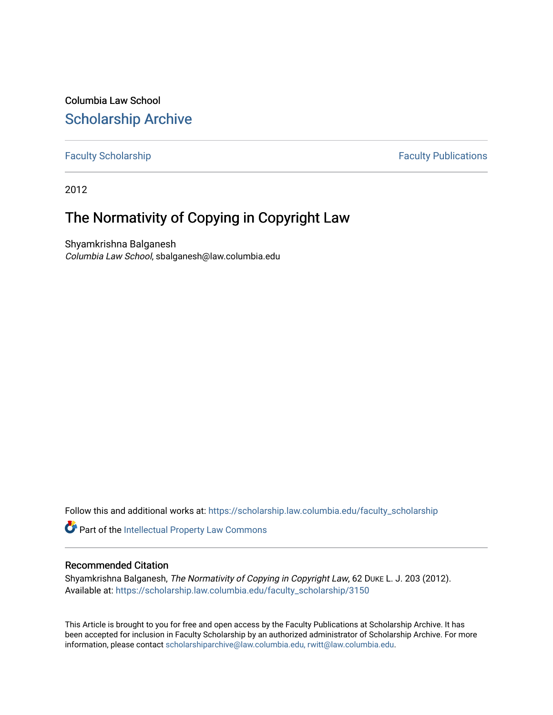Columbia Law School [Scholarship Archive](https://scholarship.law.columbia.edu/) 

[Faculty Scholarship](https://scholarship.law.columbia.edu/faculty_scholarship) **Faculty Scholarship Faculty Publications** 

2012

## The Normativity of Copying in Copyright Law

Shyamkrishna Balganesh Columbia Law School, sbalganesh@law.columbia.edu

Follow this and additional works at: [https://scholarship.law.columbia.edu/faculty\\_scholarship](https://scholarship.law.columbia.edu/faculty_scholarship?utm_source=scholarship.law.columbia.edu%2Ffaculty_scholarship%2F3150&utm_medium=PDF&utm_campaign=PDFCoverPages)

Part of the [Intellectual Property Law Commons](http://network.bepress.com/hgg/discipline/896?utm_source=scholarship.law.columbia.edu%2Ffaculty_scholarship%2F3150&utm_medium=PDF&utm_campaign=PDFCoverPages) 

## Recommended Citation

Shyamkrishna Balganesh, The Normativity of Copying in Copyright Law, 62 DUKE L. J. 203 (2012). Available at: [https://scholarship.law.columbia.edu/faculty\\_scholarship/3150](https://scholarship.law.columbia.edu/faculty_scholarship/3150?utm_source=scholarship.law.columbia.edu%2Ffaculty_scholarship%2F3150&utm_medium=PDF&utm_campaign=PDFCoverPages)

This Article is brought to you for free and open access by the Faculty Publications at Scholarship Archive. It has been accepted for inclusion in Faculty Scholarship by an authorized administrator of Scholarship Archive. For more information, please contact [scholarshiparchive@law.columbia.edu, rwitt@law.columbia.edu](mailto:scholarshiparchive@law.columbia.edu,%20rwitt@law.columbia.edu).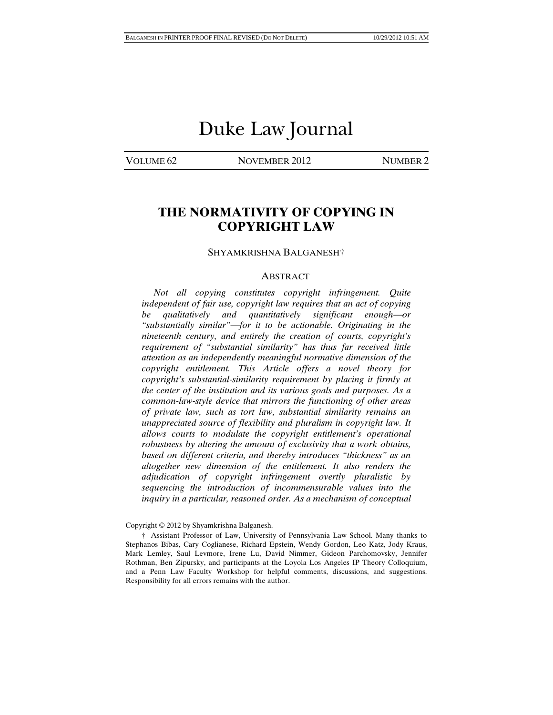# Duke Law Journal

VOLUME 62 NOVEMBER 2012 NUMBER 2

## **THE NORMATIVITY OF COPYING IN COPYRIGHT LAW**

#### SHYAMKRISHNA BALGANESH†

#### ABSTRACT

 *Not all copying constitutes copyright infringement. Quite independent of fair use, copyright law requires that an act of copying be* qualitatively and quantitatively significant enough—or *"substantially similar"for it to be actionable. Originating in the nineteenth century, and entirely the creation of courts, copyright's requirement of "substantial similarity" has thus far received little attention as an independently meaningful normative dimension of the copyright entitlement. This Article offers a novel theory for copyright's substantial-similarity requirement by placing it firmly at the center of the institution and its various goals and purposes. As a common-law-style device that mirrors the functioning of other areas of private law, such as tort law, substantial similarity remains an unappreciated source of flexibility and pluralism in copyright law. It allows courts to modulate the copyright entitlement's operational robustness by altering the amount of exclusivity that a work obtains, based on different criteria, and thereby introduces "thickness" as an altogether new dimension of the entitlement. It also renders the adjudication of copyright infringement overtly pluralistic by sequencing the introduction of incommensurable values into the inquiry in a particular, reasoned order. As a mechanism of conceptual* 

Copyright © 2012 by Shyamkrishna Balganesh.

 <sup>†</sup> Assistant Professor of Law, University of Pennsylvania Law School. Many thanks to Stephanos Bibas, Cary Coglianese, Richard Epstein, Wendy Gordon, Leo Katz, Jody Kraus, Mark Lemley, Saul Levmore, Irene Lu, David Nimmer, Gideon Parchomovsky, Jennifer Rothman, Ben Zipursky, and participants at the Loyola Los Angeles IP Theory Colloquium, and a Penn Law Faculty Workshop for helpful comments, discussions, and suggestions. Responsibility for all errors remains with the author.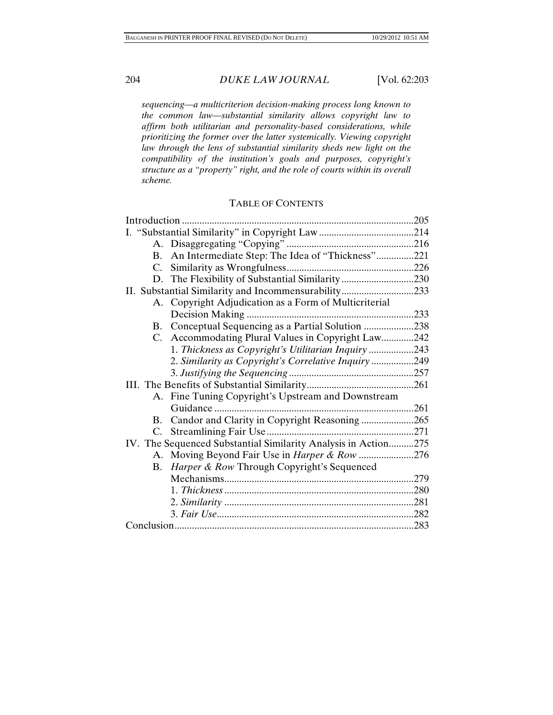*sequencing—a multicriterion decision-making process long known to the common law—substantial similarity allows copyright law to affirm both utilitarian and personality-based considerations, while prioritizing the former over the latter systemically. Viewing copyright law through the lens of substantial similarity sheds new light on the compatibility of the institution's goals and purposes, copyright's structure as a "property" right, and the role of courts within its overall scheme.* 

## TABLE OF CONTENTS

|    | Introduction                                                   | .205 |  |
|----|----------------------------------------------------------------|------|--|
|    |                                                                |      |  |
|    |                                                                |      |  |
|    | B. An Intermediate Step: The Idea of "Thickness"221            |      |  |
|    |                                                                |      |  |
|    |                                                                |      |  |
|    | II. Substantial Similarity and Incommensurability233           |      |  |
|    | A. Copyright Adjudication as a Form of Multicriterial          |      |  |
|    |                                                                |      |  |
|    | B. Conceptual Sequencing as a Partial Solution 238             |      |  |
|    | C. Accommodating Plural Values in Copyright Law242             |      |  |
|    | 1. Thickness as Copyright's Utilitarian Inquiry243             |      |  |
|    | 2. Similarity as Copyright's Correlative Inquiry 249           |      |  |
|    |                                                                |      |  |
|    |                                                                |      |  |
|    | A. Fine Tuning Copyright's Upstream and Downstream             |      |  |
|    | Guidance                                                       |      |  |
|    | B. Candor and Clarity in Copyright Reasoning 265               |      |  |
|    |                                                                |      |  |
|    | IV. The Sequenced Substantial Similarity Analysis in Action275 |      |  |
|    | A. Moving Beyond Fair Use in <i>Harper &amp; Row</i> 276       |      |  |
| В. | <i>Harper &amp; Row Through Copyright's Sequenced</i>          |      |  |
|    |                                                                |      |  |
|    |                                                                |      |  |
|    |                                                                |      |  |
|    |                                                                |      |  |
|    |                                                                |      |  |
|    |                                                                |      |  |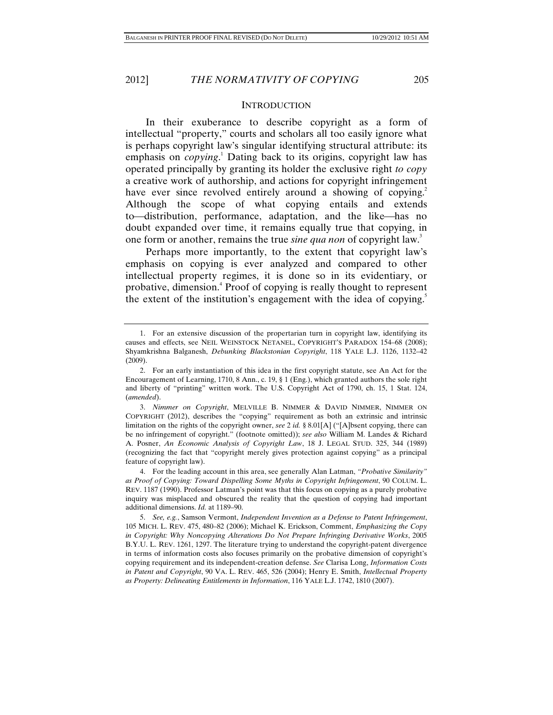#### **INTRODUCTION**

In their exuberance to describe copyright as a form of intellectual "property," courts and scholars all too easily ignore what is perhaps copyright law's singular identifying structural attribute: its emphasis on *copying*.<sup>1</sup> Dating back to its origins, copyright law has operated principally by granting its holder the exclusive right *to copy* a creative work of authorship, and actions for copyright infringement have ever since revolved entirely around a showing of copying.<sup>2</sup> Although the scope of what copying entails and extends to—distribution, performance, adaptation, and the like—has no doubt expanded over time, it remains equally true that copying, in one form or another, remains the true *sine qua non* of copyright law.<sup>3</sup>

Perhaps more importantly, to the extent that copyright law's emphasis on copying is ever analyzed and compared to other intellectual property regimes, it is done so in its evidentiary, or probative, dimension.<sup>4</sup> Proof of copying is really thought to represent the extent of the institution's engagement with the idea of copying.<sup>5</sup>

 <sup>1.</sup> For an extensive discussion of the propertarian turn in copyright law, identifying its causes and effects, see NEIL WEINSTOCK NETANEL, COPYRIGHT'S PARADOX 154–68 (2008); Shyamkrishna Balganesh, *Debunking Blackstonian Copyright*, 118 YALE L.J. 1126, 1132–42 (2009).

 <sup>2.</sup> For an early instantiation of this idea in the first copyright statute, see An Act for the Encouragement of Learning, 1710, 8 Ann., c. 19, § 1 (Eng.), which granted authors the sole right and liberty of "printing" written work. The U.S. Copyright Act of 1790, ch. 15, 1 Stat. 124, (*amended*).

 <sup>3.</sup> *Nimmer on Copyright*, MELVILLE B. NIMMER & DAVID NIMMER, NIMMER ON COPYRIGHT (2012), describes the "copying" requirement as both an extrinsic and intrinsic limitation on the rights of the copyright owner, *see* 2 *id.* § 8.01[A] ("[A]bsent copying, there can be no infringement of copyright." (footnote omitted)); *see also* William M. Landes & Richard A. Posner, *An Economic Analysis of Copyright Law*, 18 J. LEGAL STUD. 325, 344 (1989) (recognizing the fact that "copyright merely gives protection against copying" as a principal feature of copyright law).

 <sup>4.</sup> For the leading account in this area, see generally Alan Latman, *"Probative Similarity" as Proof of Copying: Toward Dispelling Some Myths in Copyright Infringement*, 90 COLUM. L. REV. 1187 (1990). Professor Latman's point was that this focus on copying as a purely probative inquiry was misplaced and obscured the reality that the question of copying had important additional dimensions. *Id.* at 1189–90.

 <sup>5.</sup> *See, e.g.*, Samson Vermont, *Independent Invention as a Defense to Patent Infringement*, 105 MICH. L. REV. 475, 480–82 (2006); Michael K. Erickson, Comment, *Emphasizing the Copy in Copyright: Why Noncopying Alterations Do Not Prepare Infringing Derivative Works*, 2005 B.Y.U. L. REV. 1261, 1297. The literature trying to understand the copyright-patent divergence in terms of information costs also focuses primarily on the probative dimension of copyright's copying requirement and its independent-creation defense. *See* Clarisa Long, *Information Costs in Patent and Copyright*, 90 VA. L. REV. 465, 526 (2004); Henry E. Smith, *Intellectual Property as Property: Delineating Entitlements in Information*, 116 YALE L.J. 1742, 1810 (2007).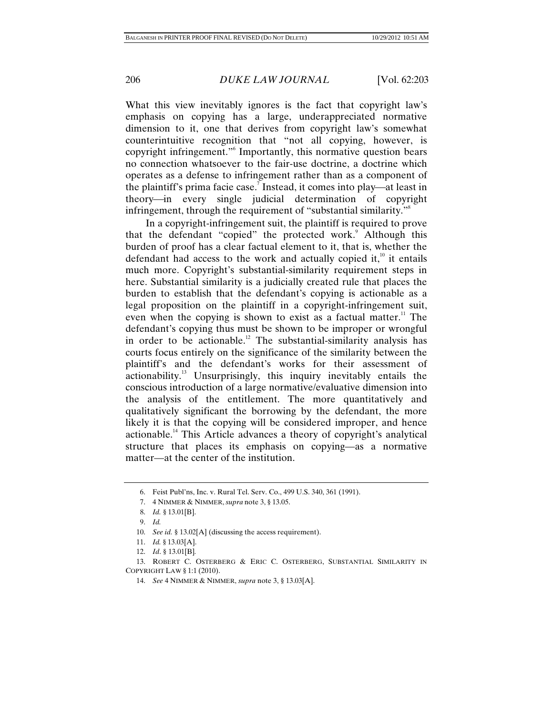What this view inevitably ignores is the fact that copyright law's emphasis on copying has a large, underappreciated normative dimension to it, one that derives from copyright law's somewhat counterintuitive recognition that "not all copying, however, is copyright infringement."6 Importantly, this normative question bears no connection whatsoever to the fair-use doctrine, a doctrine which operates as a defense to infringement rather than as a component of the plaintiff's prima facie case.<sup>7</sup> Instead, it comes into play—at least in theory—in every single judicial determination of copyright infringement, through the requirement of "substantial similarity."<sup>8</sup>

In a copyright-infringement suit, the plaintiff is required to prove that the defendant "copied" the protected work.<sup>9</sup> Although this burden of proof has a clear factual element to it, that is, whether the defendant had access to the work and actually copied it, $^{10}$  it entails much more. Copyright's substantial-similarity requirement steps in here. Substantial similarity is a judicially created rule that places the burden to establish that the defendant's copying is actionable as a legal proposition on the plaintiff in a copyright-infringement suit, even when the copying is shown to exist as a factual matter.<sup>11</sup> The defendant's copying thus must be shown to be improper or wrongful in order to be actionable.<sup>12</sup> The substantial-similarity analysis has courts focus entirely on the significance of the similarity between the plaintiff's and the defendant's works for their assessment of actionability.13 Unsurprisingly, this inquiry inevitably entails the conscious introduction of a large normative/evaluative dimension into the analysis of the entitlement. The more quantitatively and qualitatively significant the borrowing by the defendant, the more likely it is that the copying will be considered improper, and hence actionable.14 This Article advances a theory of copyright's analytical structure that places its emphasis on copying—as a normative matter—at the center of the institution.

 <sup>6.</sup> Feist Publ'ns, Inc. v. Rural Tel. Serv. Co., 499 U.S. 340, 361 (1991).

 <sup>7. 4</sup> NIMMER & NIMMER, *supra* note 3, § 13.05.

 <sup>8.</sup> *Id.* § 13.01[B].

 <sup>9.</sup> *Id.*

 <sup>10.</sup> *See id.* § 13.02[A] (discussing the access requirement).

 <sup>11.</sup> *Id.* § 13.03[A].

 <sup>12.</sup> *Id*. § 13.01[B]*.*

 <sup>13.</sup> ROBERT C. OSTERBERG & ERIC C. OSTERBERG, SUBSTANTIAL SIMILARITY IN COPYRIGHT LAW § 1:1 (2010).

 <sup>14.</sup> *See* 4 NIMMER & NIMMER, *supra* note 3, § 13.03[A].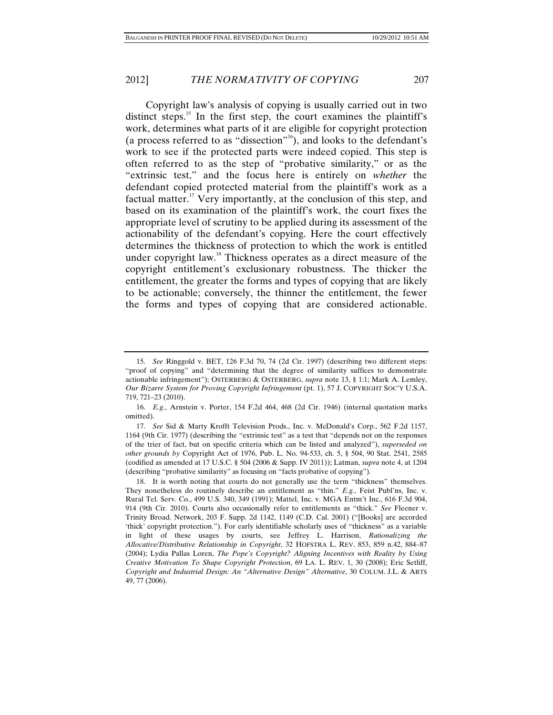Copyright law's analysis of copying is usually carried out in two distinct steps.<sup>15</sup> In the first step, the court examines the plaintiff's work, determines what parts of it are eligible for copyright protection (a process referred to as "dissection"<sup>16</sup>), and looks to the defendant's work to see if the protected parts were indeed copied. This step is often referred to as the step of "probative similarity," or as the "extrinsic test," and the focus here is entirely on *whether* the defendant copied protected material from the plaintiff's work as a factual matter.<sup>17</sup> Very importantly, at the conclusion of this step, and based on its examination of the plaintiff's work, the court fixes the appropriate level of scrutiny to be applied during its assessment of the actionability of the defendant's copying. Here the court effectively determines the thickness of protection to which the work is entitled under copyright law.<sup>18</sup> Thickness operates as a direct measure of the copyright entitlement's exclusionary robustness. The thicker the entitlement, the greater the forms and types of copying that are likely to be actionable; conversely, the thinner the entitlement, the fewer the forms and types of copying that are considered actionable.

 <sup>15.</sup> *See* Ringgold v. BET, 126 F.3d 70, 74 (2d Cir. 1997) (describing two different steps: "proof of copying" and "determining that the degree of similarity suffices to demonstrate actionable infringement"); OSTERBERG & OSTERBERG, *supra* note 13, § 1:1; Mark A. Lemley, *Our Bizarre System for Proving Copyright Infringement* (pt. 1), 57 J. COPYRIGHT SOC'Y U.S.A. 719, 721–23 (2010).

 <sup>16.</sup> *E.g.*, Arnstein v. Porter, 154 F.2d 464, 468 (2d Cir. 1946) (internal quotation marks omitted).

 <sup>17.</sup> *See* Sid & Marty Krofft Television Prods., Inc. v. McDonald's Corp., 562 F.2d 1157, 1164 (9th Cir. 1977) (describing the "extrinsic test" as a test that "depends not on the responses of the trier of fact, but on specific criteria which can be listed and analyzed"), *superseded on other grounds by* Copyright Act of 1976, Pub. L. No. 94-533, ch. 5, § 504, 90 Stat. 2541, 2585 (codified as amended at 17 U.S.C. § 504 (2006 & Supp. IV 2011)); Latman, *supra* note 4, at 1204 (describing "probative similarity" as focusing on "facts probative of copying").

 <sup>18.</sup> It is worth noting that courts do not generally use the term "thickness" themselves. They nonetheless do routinely describe an entitlement as "thin." *E.g.*, Feist Publ'ns, Inc. v. Rural Tel. Serv. Co., 499 U.S. 340, 349 (1991); Mattel, Inc. v. MGA Entm't Inc., 616 F.3d 904, 914 (9th Cir. 2010). Courts also occasionally refer to entitlements as "thick." *See* Fleener v. Trinity Broad. Network, 203 F. Supp. 2d 1142, 1149 (C.D. Cal. 2001) ("[Books] are accorded 'thick' copyright protection."). For early identifiable scholarly uses of "thickness" as a variable in light of these usages by courts, see Jeffrey L. Harrison, *Rationalizing the Allocative/Distributive Relationship in Copyright*, 32 HOFSTRA L. REV. 853, 859 n.42, 884–87 (2004); Lydia Pallas Loren, *The Pope's Copyright? Aligning Incentives with Reality by Using Creative Motivation To Shape Copyright Protection*, 69 LA. L. REV. 1, 30 (2008); Eric Setliff, *Copyright and Industrial Design: An "Alternative Design" Alternative*, 30 COLUM. J.L. & ARTS 49, 77 (2006).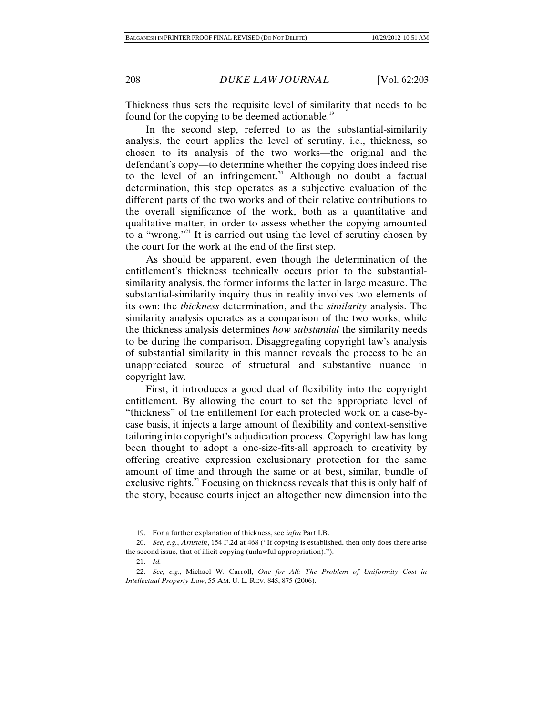Thickness thus sets the requisite level of similarity that needs to be found for the copying to be deemed actionable.<sup>19</sup>

In the second step, referred to as the substantial-similarity analysis, the court applies the level of scrutiny, i.e., thickness, so chosen to its analysis of the two works—the original and the defendant's copy—to determine whether the copying does indeed rise to the level of an infringement.<sup>20</sup> Although no doubt a factual determination, this step operates as a subjective evaluation of the different parts of the two works and of their relative contributions to the overall significance of the work, both as a quantitative and qualitative matter, in order to assess whether the copying amounted to a "wrong."21 It is carried out using the level of scrutiny chosen by the court for the work at the end of the first step.

As should be apparent, even though the determination of the entitlement's thickness technically occurs prior to the substantialsimilarity analysis, the former informs the latter in large measure. The substantial-similarity inquiry thus in reality involves two elements of its own: the *thickness* determination, and the *similarity* analysis. The similarity analysis operates as a comparison of the two works, while the thickness analysis determines *how substantial* the similarity needs to be during the comparison. Disaggregating copyright law's analysis of substantial similarity in this manner reveals the process to be an unappreciated source of structural and substantive nuance in copyright law.

First, it introduces a good deal of flexibility into the copyright entitlement. By allowing the court to set the appropriate level of "thickness" of the entitlement for each protected work on a case-bycase basis, it injects a large amount of flexibility and context-sensitive tailoring into copyright's adjudication process. Copyright law has long been thought to adopt a one-size-fits-all approach to creativity by offering creative expression exclusionary protection for the same amount of time and through the same or at best, similar, bundle of exclusive rights.<sup>22</sup> Focusing on thickness reveals that this is only half of the story, because courts inject an altogether new dimension into the

 <sup>19.</sup> For a further explanation of thickness, see *infra* Part I.B.

 <sup>20.</sup> *See, e.g.*, *Arnstein*, 154 F.2d at 468 ("If copying is established, then only does there arise the second issue, that of illicit copying (unlawful appropriation).").

 <sup>21.</sup> *Id.*

 <sup>22.</sup> *See, e.g.*, Michael W. Carroll, *One for All: The Problem of Uniformity Cost in Intellectual Property Law*, 55 AM. U. L. REV. 845, 875 (2006).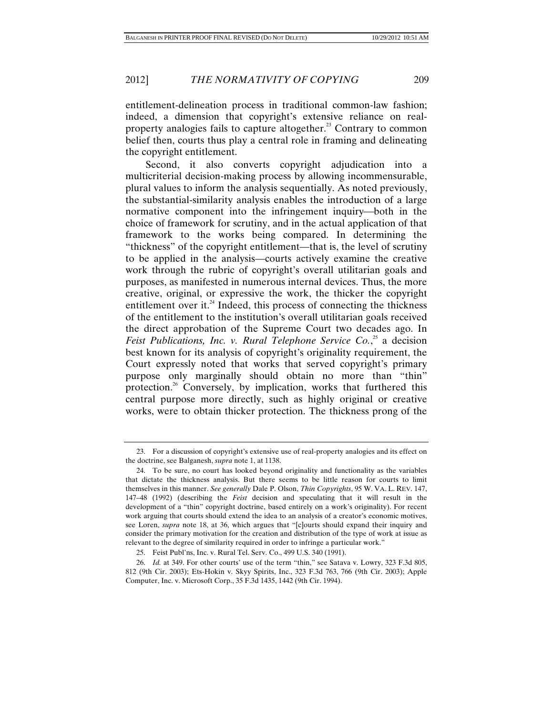entitlement-delineation process in traditional common-law fashion; indeed, a dimension that copyright's extensive reliance on realproperty analogies fails to capture altogether. $^{23}$  Contrary to common belief then, courts thus play a central role in framing and delineating the copyright entitlement.

Second, it also converts copyright adjudication into a multicriterial decision-making process by allowing incommensurable, plural values to inform the analysis sequentially. As noted previously, the substantial-similarity analysis enables the introduction of a large normative component into the infringement inquiry—both in the choice of framework for scrutiny, and in the actual application of that framework to the works being compared. In determining the "thickness" of the copyright entitlement—that is, the level of scrutiny to be applied in the analysis—courts actively examine the creative work through the rubric of copyright's overall utilitarian goals and purposes, as manifested in numerous internal devices. Thus, the more creative, original, or expressive the work, the thicker the copyright entitlement over it.<sup>24</sup> Indeed, this process of connecting the thickness of the entitlement to the institution's overall utilitarian goals received the direct approbation of the Supreme Court two decades ago. In Feist Publications, Inc. v. Rural Telephone Service Co.,<sup>25</sup> a decision best known for its analysis of copyright's originality requirement, the Court expressly noted that works that served copyright's primary purpose only marginally should obtain no more than "thin" protection.26 Conversely, by implication, works that furthered this central purpose more directly, such as highly original or creative works, were to obtain thicker protection. The thickness prong of the

 <sup>23.</sup> For a discussion of copyright's extensive use of real-property analogies and its effect on the doctrine, see Balganesh, *supra* note 1, at 1138.

 <sup>24.</sup> To be sure, no court has looked beyond originality and functionality as the variables that dictate the thickness analysis. But there seems to be little reason for courts to limit themselves in this manner. *See generally* Dale P. Olson, *Thin Copyrights*, 95 W. VA. L. REV. 147, 147–48 (1992) (describing the *Feist* decision and speculating that it will result in the development of a "thin" copyright doctrine, based entirely on a work's originality). For recent work arguing that courts should extend the idea to an analysis of a creator's economic motives, see Loren, *supra* note 18, at 36, which argues that "[c]ourts should expand their inquiry and consider the primary motivation for the creation and distribution of the type of work at issue as relevant to the degree of similarity required in order to infringe a particular work."

 <sup>25.</sup> Feist Publ'ns, Inc. v. Rural Tel. Serv. Co., 499 U.S. 340 (1991).

 <sup>26.</sup> *Id.* at 349. For other courts' use of the term "thin," see Satava v. Lowry, 323 F.3d 805, 812 (9th Cir. 2003); Ets-Hokin v. Skyy Spirits, Inc., 323 F.3d 763, 766 (9th Cir. 2003); Apple Computer, Inc. v. Microsoft Corp., 35 F.3d 1435, 1442 (9th Cir. 1994).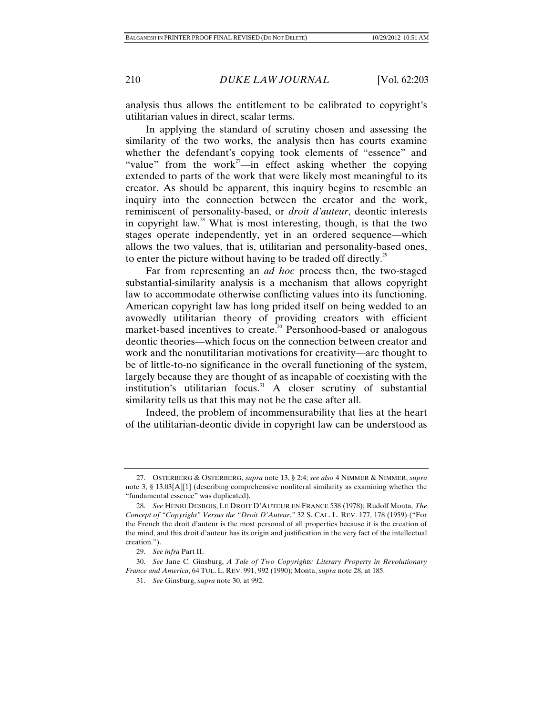analysis thus allows the entitlement to be calibrated to copyright's utilitarian values in direct, scalar terms.

In applying the standard of scrutiny chosen and assessing the similarity of the two works, the analysis then has courts examine whether the defendant's copying took elements of "essence" and "value" from the work<sup>27</sup>—in effect asking whether the copying extended to parts of the work that were likely most meaningful to its creator. As should be apparent, this inquiry begins to resemble an inquiry into the connection between the creator and the work, reminiscent of personality-based, or *droit d'auteur*, deontic interests in copyright law. $^{28}$  What is most interesting, though, is that the two stages operate independently, yet in an ordered sequence—which allows the two values, that is, utilitarian and personality-based ones, to enter the picture without having to be traded off directly.<sup>29</sup>

Far from representing an *ad hoc* process then, the two-staged substantial-similarity analysis is a mechanism that allows copyright law to accommodate otherwise conflicting values into its functioning. American copyright law has long prided itself on being wedded to an avowedly utilitarian theory of providing creators with efficient market-based incentives to create.<sup>30</sup> Personhood-based or analogous deontic theories—which focus on the connection between creator and work and the nonutilitarian motivations for creativity—are thought to be of little-to-no significance in the overall functioning of the system, largely because they are thought of as incapable of coexisting with the institution's utilitarian focus. $31$  A closer scrutiny of substantial similarity tells us that this may not be the case after all.

Indeed, the problem of incommensurability that lies at the heart of the utilitarian-deontic divide in copyright law can be understood as

 <sup>27.</sup> OSTERBERG & OSTERBERG, *supra* note 13, § 2:4; *see also* 4 NIMMER & NIMMER, *supra* note 3, § 13.03[A][1] (describing comprehensive nonliteral similarity as examining whether the "fundamental essence" was duplicated).

 <sup>28.</sup> *See* HENRI DESBOIS, LE DROIT D'AUTEUR EN FRANCE 538 (1978); Rudolf Monta, *The Concept of "Copyright" Versus the "Droit D'Auteur*,*"* 32 S. CAL. L. REV. 177, 178 (1959) ("For the French the droit d'auteur is the most personal of all properties because it is the creation of the mind, and this droit d'auteur has its origin and justification in the very fact of the intellectual creation.").

 <sup>29.</sup> *See infra* Part II.

 <sup>30.</sup> *See* Jane C. Ginsburg, *A Tale of Two Copyrights: Literary Property in Revolutionary France and America*, 64 TUL. L. REV. 991, 992 (1990); Monta, *supra* note 28, at 185.

 <sup>31.</sup> *See* Ginsburg, *supra* note 30, at 992.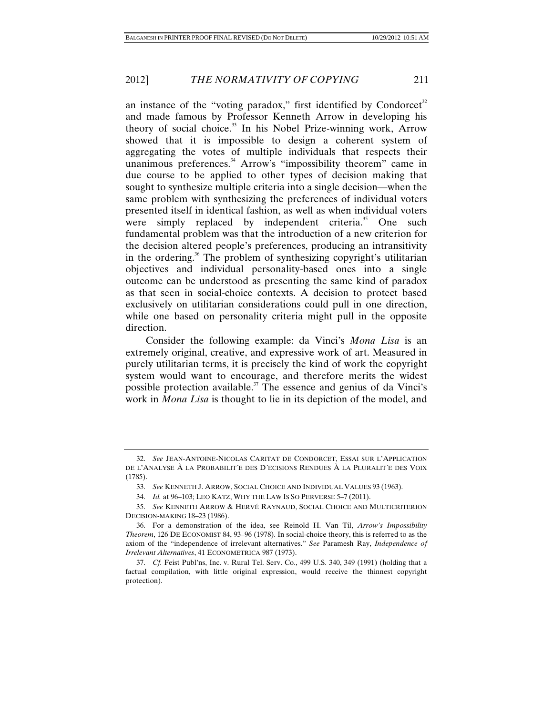an instance of the "voting paradox," first identified by Condorcet<sup>32</sup> and made famous by Professor Kenneth Arrow in developing his theory of social choice.<sup>33</sup> In his Nobel Prize-winning work, Arrow showed that it is impossible to design a coherent system of aggregating the votes of multiple individuals that respects their unanimous preferences.<sup>34</sup> Arrow's "impossibility theorem" came in due course to be applied to other types of decision making that sought to synthesize multiple criteria into a single decision—when the same problem with synthesizing the preferences of individual voters presented itself in identical fashion, as well as when individual voters were simply replaced by independent criteria.<sup>35</sup> One such fundamental problem was that the introduction of a new criterion for the decision altered people's preferences, producing an intransitivity in the ordering.<sup>36</sup> The problem of synthesizing copyright's utilitarian objectives and individual personality-based ones into a single outcome can be understood as presenting the same kind of paradox as that seen in social-choice contexts. A decision to protect based exclusively on utilitarian considerations could pull in one direction, while one based on personality criteria might pull in the opposite direction.

Consider the following example: da Vinci's *Mona Lisa* is an extremely original, creative, and expressive work of art. Measured in purely utilitarian terms, it is precisely the kind of work the copyright system would want to encourage, and therefore merits the widest possible protection available.<sup>37</sup> The essence and genius of da Vinci's work in *Mona Lisa* is thought to lie in its depiction of the model, and

 <sup>32.</sup> *See* JEAN-ANTOINE-NICOLAS CARITAT DE CONDORCET, ESSAI SUR L'APPLICATION DE L'ANALYSE À LA PROBABILIT´E DES D´ECISIONS RENDUES À LA PLURALIT´E DES VOIX (1785).

 <sup>33.</sup> *See* KENNETH J. ARROW, SOCIAL CHOICE AND INDIVIDUAL VALUES 93 (1963).

 <sup>34.</sup> *Id.* at 96–103; LEO KATZ, WHY THE LAW IS SO PERVERSE 5–7 (2011).

 <sup>35.</sup> *See* KENNETH ARROW & HERVÉ RAYNAUD, SOCIAL CHOICE AND MULTICRITERION DECISION-MAKING 18–23 (1986).

 <sup>36.</sup> For a demonstration of the idea, see Reinold H. Van Til, *Arrow's Impossibility Theorem*, 126 DE ECONOMIST 84, 93–96 (1978). In social-choice theory, this is referred to as the axiom of the "independence of irrelevant alternatives." *See* Paramesh Ray, *Independence of Irrelevant Alternatives*, 41 ECONOMETRICA 987 (1973).

 <sup>37.</sup> *Cf.* Feist Publ'ns, Inc. v. Rural Tel. Serv. Co., 499 U.S. 340, 349 (1991) (holding that a factual compilation, with little original expression, would receive the thinnest copyright protection).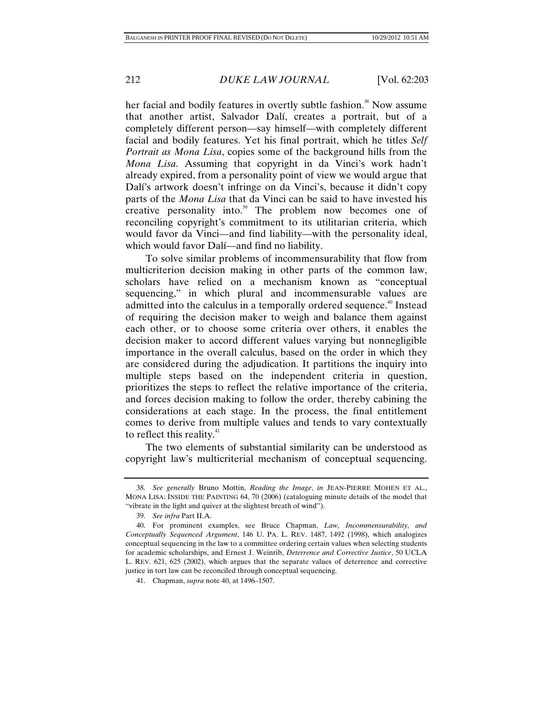her facial and bodily features in overtly subtle fashion.<sup>38</sup> Now assume that another artist, Salvador Dalí, creates a portrait, but of a completely different person—say himself—with completely different facial and bodily features. Yet his final portrait, which he titles *Self Portrait as Mona Lisa*, copies some of the background hills from the *Mona Lisa*. Assuming that copyright in da Vinci's work hadn't already expired, from a personality point of view we would argue that Dalí's artwork doesn't infringe on da Vinci's, because it didn't copy parts of the *Mona Lisa* that da Vinci can be said to have invested his creative personality into.<sup>39</sup> The problem now becomes one of reconciling copyright's commitment to its utilitarian criteria, which would favor da Vinci—and find liability—with the personality ideal, which would favor Dalí—and find no liability.

To solve similar problems of incommensurability that flow from multicriterion decision making in other parts of the common law, scholars have relied on a mechanism known as "conceptual sequencing," in which plural and incommensurable values are admitted into the calculus in a temporally ordered sequence.<sup>40</sup> Instead of requiring the decision maker to weigh and balance them against each other, or to choose some criteria over others, it enables the decision maker to accord different values varying but nonnegligible importance in the overall calculus, based on the order in which they are considered during the adjudication. It partitions the inquiry into multiple steps based on the independent criteria in question, prioritizes the steps to reflect the relative importance of the criteria, and forces decision making to follow the order, thereby cabining the considerations at each stage. In the process, the final entitlement comes to derive from multiple values and tends to vary contextually to reflect this reality. $41$ 

The two elements of substantial similarity can be understood as copyright law's multicriterial mechanism of conceptual sequencing.

 <sup>38.</sup> *See generally* Bruno Mottin, *Reading the Image*, *in* JEAN-PIERRE MOHEN ET AL., MONA LISA: INSIDE THE PAINTING 64, 70 (2006) (cataloguing minute details of the model that "vibrate in the light and quiver at the slightest breath of wind").

 <sup>39.</sup> *See infra* Part II.A.

 <sup>40.</sup> For prominent examples, see Bruce Chapman, *Law, Incommensurability, and Conceptually Sequenced Argument*, 146 U. PA. L. REV. 1487, 1492 (1998), which analogizes conceptual sequencing in the law to a committee ordering certain values when selecting students for academic scholarships, and Ernest J. Weinrib, *Deterrence and Corrective Justice*, 50 UCLA L. REV. 621, 625 (2002), which argues that the separate values of deterrence and corrective justice in tort law can be reconciled through conceptual sequencing.

 <sup>41.</sup> Chapman, *supra* note 40, at 1496–1507.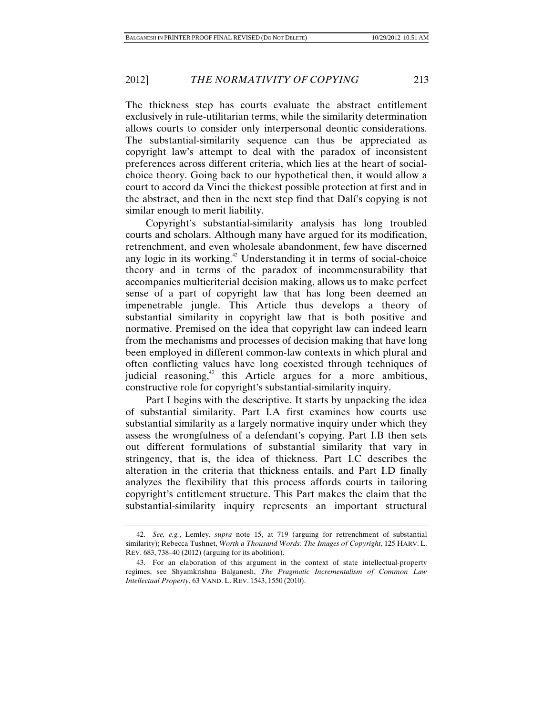The thickness step has courts evaluate the abstract entitlement exclusively in rule-utilitarian terms, while the similarity determination allows courts to consider only interpersonal deontic considerations. The substantial-similarity sequence can thus be appreciated as copyright law's attempt to deal with the paradox of inconsistent preferences across different criteria, which lies at the heart of socialchoice theory. Going back to our hypothetical then, it would allow a court to accord da Vinci the thickest possible protection at first and in the abstract, and then in the next step find that Dalí's copying is not similar enough to merit liability.

Copyright's substantial-similarity analysis has long troubled courts and scholars. Although many have argued for its modification, retrenchment, and even wholesale abandonment, few have discerned any logic in its working. $42$  Understanding it in terms of social-choice theory and in terms of the paradox of incommensurability that accompanies multicriterial decision making, allows us to make perfect sense of a part of copyright law that has long been deemed an impenetrable jungle. This Article thus develops a theory of substantial similarity in copyright law that is both positive and normative. Premised on the idea that copyright law can indeed learn from the mechanisms and processes of decision making that have long been employed in different common-law contexts in which plural and often conflicting values have long coexisted through techniques of judicial reasoning,<sup>43</sup> this Article argues for a more ambitious, constructive role for copyright's substantial-similarity inquiry.

Part I begins with the descriptive. It starts by unpacking the idea of substantial similarity. Part I.A first examines how courts use substantial similarity as a largely normative inquiry under which they assess the wrongfulness of a defendant's copying. Part I.B then sets out different formulations of substantial similarity that vary in stringency, that is, the idea of thickness. Part I.C describes the alteration in the criteria that thickness entails, and Part I.D finally analyzes the flexibility that this process affords courts in tailoring copyright's entitlement structure. This Part makes the claim that the substantial-similarity inquiry represents an important structural

 <sup>42.</sup> *See, e.g.*, Lemley, *supra* note 15, at 719 (arguing for retrenchment of substantial similarity); Rebecca Tushnet, *Worth a Thousand Words: The Images of Copyright*, 125 HARV. L. REV. 683, 738–40 (2012) (arguing for its abolition).

 <sup>43.</sup> For an elaboration of this argument in the context of state intellectual-property regimes, see Shyamkrishna Balganesh, *The Pragmatic Incrementalism of Common Law Intellectual Property*, 63 VAND. L. REV. 1543, 1550 (2010).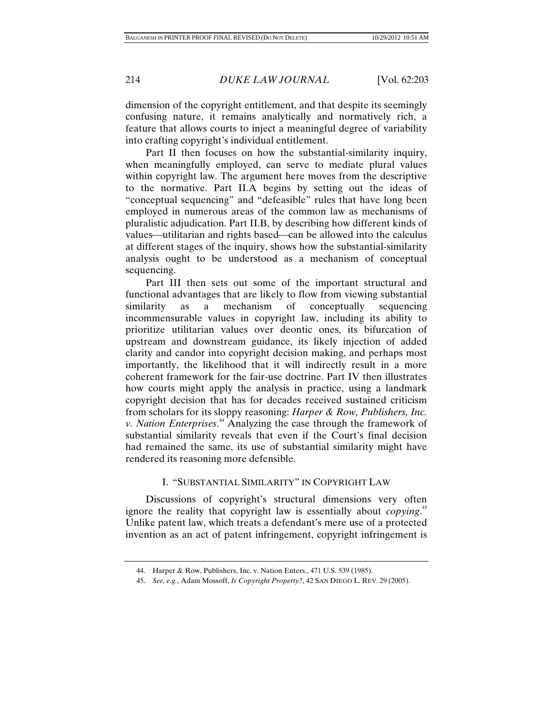dimension of the copyright entitlement, and that despite its seemingly confusing nature, it remains analytically and normatively rich, a feature that allows courts to inject a meaningful degree of variability into crafting copyright's individual entitlement.

Part II then focuses on how the substantial-similarity inquiry, when meaningfully employed, can serve to mediate plural values within copyright law. The argument here moves from the descriptive to the normative. Part II.A begins by setting out the ideas of "conceptual sequencing" and "defeasible" rules that have long been employed in numerous areas of the common law as mechanisms of pluralistic adjudication. Part II.B, by describing how different kinds of values—utilitarian and rights based—can be allowed into the calculus at different stages of the inquiry, shows how the substantial-similarity analysis ought to be understood as a mechanism of conceptual sequencing.

Part III then sets out some of the important structural and functional advantages that are likely to flow from viewing substantial similarity as a mechanism of conceptually sequencing incommensurable values in copyright law, including its ability to prioritize utilitarian values over deontic ones, its bifurcation of upstream and downstream guidance, its likely injection of added clarity and candor into copyright decision making, and perhaps most importantly, the likelihood that it will indirectly result in a more coherent framework for the fair-use doctrine. Part IV then illustrates how courts might apply the analysis in practice, using a landmark copyright decision that has for decades received sustained criticism from scholars for its sloppy reasoning: *Harper & Row, Publishers, Inc. v. Nation Enterprises*. 44 Analyzing the case through the framework of substantial similarity reveals that even if the Court's final decision had remained the same, its use of substantial similarity might have rendered its reasoning more defensible.

## I. "SUBSTANTIAL SIMILARITY" IN COPYRIGHT LAW

Discussions of copyright's structural dimensions very often ignore the reality that copyright law is essentially about *copying*.<sup>45</sup> Unlike patent law, which treats a defendant's mere use of a protected invention as an act of patent infringement, copyright infringement is

 <sup>44.</sup> Harper & Row, Publishers, Inc. v. Nation Enters., 471 U.S. 539 (1985).

 <sup>45.</sup> *See, e.g.*, Adam Mossoff, *Is Copyright Property?*, 42 SAN DIEGO L. REV. 29 (2005).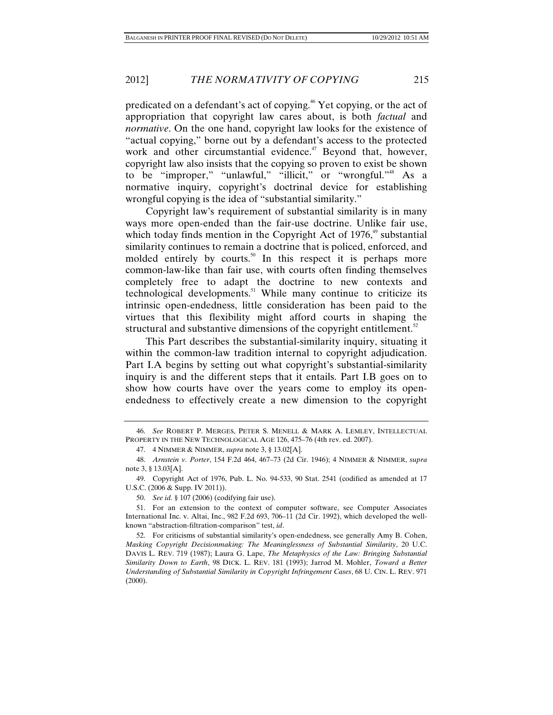predicated on a defendant's act of copying.46 Yet copying, or the act of appropriation that copyright law cares about, is both *factual* and *normative*. On the one hand, copyright law looks for the existence of "actual copying," borne out by a defendant's access to the protected work and other circumstantial evidence.<sup>47</sup> Beyond that, however, copyright law also insists that the copying so proven to exist be shown to be "improper," "unlawful," "illicit," or "wrongful."<sup>48</sup> As a normative inquiry, copyright's doctrinal device for establishing wrongful copying is the idea of "substantial similarity."

Copyright law's requirement of substantial similarity is in many ways more open-ended than the fair-use doctrine. Unlike fair use, which today finds mention in the Copyright Act of  $1976$ , substantial similarity continues to remain a doctrine that is policed, enforced, and molded entirely by courts.<sup>50</sup> In this respect it is perhaps more common-law-like than fair use, with courts often finding themselves completely free to adapt the doctrine to new contexts and technological developments.<sup>51</sup> While many continue to criticize its intrinsic open-endedness, little consideration has been paid to the virtues that this flexibility might afford courts in shaping the structural and substantive dimensions of the copyright entitlement. $52$ 

This Part describes the substantial-similarity inquiry, situating it within the common-law tradition internal to copyright adjudication. Part I.A begins by setting out what copyright's substantial-similarity inquiry is and the different steps that it entails. Part I.B goes on to show how courts have over the years come to employ its openendedness to effectively create a new dimension to the copyright

 <sup>46.</sup> *See* ROBERT P. MERGES, PETER S. MENELL & MARK A. LEMLEY, INTELLECTUAL PROPERTY IN THE NEW TECHNOLOGICAL AGE 126, 475–76 (4th rev. ed. 2007).

 <sup>47. 4</sup> NIMMER & NIMMER, *supra* note 3, § 13.02[A].

 <sup>48.</sup> *Arnstein v. Porter*, 154 F.2d 464, 467–73 (2d Cir. 1946); 4 NIMMER & NIMMER, *supra*  note 3, § 13.03[A].

 <sup>49.</sup> Copyright Act of 1976, Pub. L. No. 94-533, 90 Stat. 2541 (codified as amended at 17 U.S.C. (2006 & Supp. IV 2011)).

 <sup>50.</sup> *See id.* § 107 (2006) (codifying fair use).

 <sup>51.</sup> For an extension to the context of computer software, see Computer Associates International Inc. v. Altai, Inc., 982 F.2d 693, 706–11 (2d Cir. 1992), which developed the wellknown "abstraction-filtration-comparison" test, *id*.

 <sup>52.</sup> For criticisms of substantial similarity's open-endedness, see generally Amy B. Cohen, *Masking Copyright Decisionmaking: The Meaninglessness of Substantial Similarity*, 20 U.C. DAVIS L. REV. 719 (1987); Laura G. Lape, *The Metaphysics of the Law: Bringing Substantial Similarity Down to Earth*, 98 DICK. L. REV. 181 (1993); Jarrod M. Mohler, *Toward a Better Understanding of Substantial Similarity in Copyright Infringement Cases*, 68 U. CIN. L. REV. 971 (2000).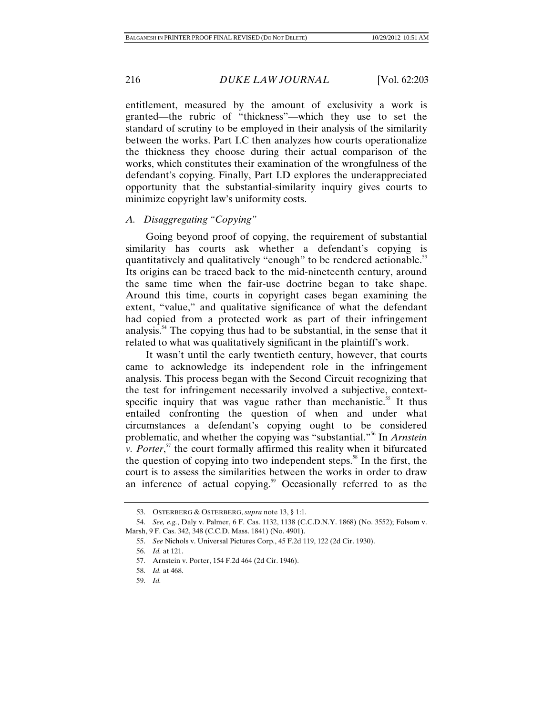entitlement, measured by the amount of exclusivity a work is granted—the rubric of "thickness"—which they use to set the standard of scrutiny to be employed in their analysis of the similarity between the works. Part I.C then analyzes how courts operationalize the thickness they choose during their actual comparison of the works, which constitutes their examination of the wrongfulness of the defendant's copying. Finally, Part I.D explores the underappreciated opportunity that the substantial-similarity inquiry gives courts to minimize copyright law's uniformity costs.

### *A. Disaggregating "Copying"*

Going beyond proof of copying, the requirement of substantial similarity has courts ask whether a defendant's copying is quantitatively and qualitatively "enough" to be rendered actionable.<sup>53</sup> Its origins can be traced back to the mid-nineteenth century, around the same time when the fair-use doctrine began to take shape. Around this time, courts in copyright cases began examining the extent, "value," and qualitative significance of what the defendant had copied from a protected work as part of their infringement analysis.<sup>54</sup> The copying thus had to be substantial, in the sense that it related to what was qualitatively significant in the plaintiff's work.

It wasn't until the early twentieth century, however, that courts came to acknowledge its independent role in the infringement analysis. This process began with the Second Circuit recognizing that the test for infringement necessarily involved a subjective, contextspecific inquiry that was vague rather than mechanistic.<sup>55</sup> It thus entailed confronting the question of when and under what circumstances a defendant's copying ought to be considered problematic, and whether the copying was "substantial."56 In *Arnstein v. Porter*,<sup>57</sup> the court formally affirmed this reality when it bifurcated the question of copying into two independent steps.<sup>58</sup> In the first, the court is to assess the similarities between the works in order to draw an inference of actual copying.<sup>59</sup> Occasionally referred to as the

 <sup>53.</sup> OSTERBERG & OSTERBERG, *supra* note 13, § 1:1.

 <sup>54.</sup> *See, e.g.*, Daly v. Palmer, 6 F. Cas. 1132, 1138 (C.C.D.N.Y. 1868) (No. 3552); Folsom v. Marsh, 9 F. Cas. 342, 348 (C.C.D. Mass. 1841) (No. 4901).

 <sup>55.</sup> *See* Nichols v. Universal Pictures Corp., 45 F.2d 119, 122 (2d Cir. 1930).

 <sup>56.</sup> *Id.* at 121.

 <sup>57.</sup> Arnstein v. Porter, 154 F.2d 464 (2d Cir. 1946).

 <sup>58.</sup> *Id.* at 468.

 <sup>59.</sup> *Id.*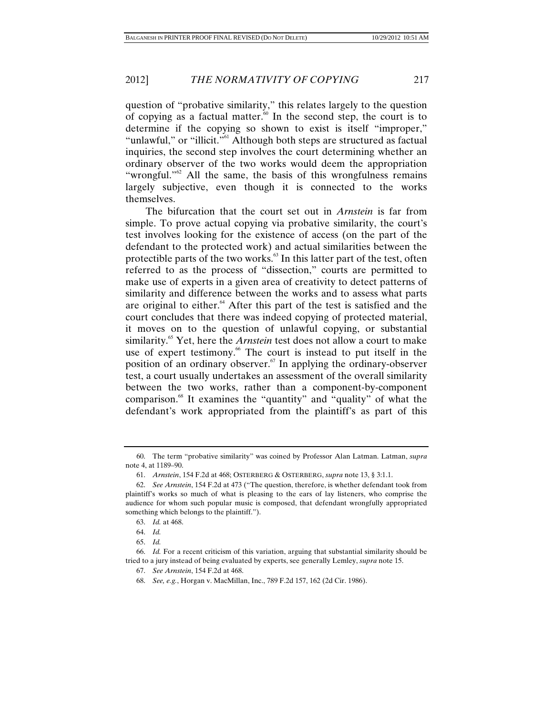question of "probative similarity," this relates largely to the question of copying as a factual matter. $60$  In the second step, the court is to determine if the copying so shown to exist is itself "improper," "unlawful," or "illicit."<sup>61</sup> Although both steps are structured as factual inquiries, the second step involves the court determining whether an ordinary observer of the two works would deem the appropriation "wrongful."<sup>62</sup> All the same, the basis of this wrongfulness remains largely subjective, even though it is connected to the works themselves.

The bifurcation that the court set out in *Arnstein* is far from simple. To prove actual copying via probative similarity, the court's test involves looking for the existence of access (on the part of the defendant to the protected work) and actual similarities between the protectible parts of the two works.<sup>63</sup> In this latter part of the test, often referred to as the process of "dissection," courts are permitted to make use of experts in a given area of creativity to detect patterns of similarity and difference between the works and to assess what parts are original to either.<sup>64</sup> After this part of the test is satisfied and the court concludes that there was indeed copying of protected material, it moves on to the question of unlawful copying, or substantial similarity.<sup>65</sup> Yet, here the *Arnstein* test does not allow a court to make use of expert testimony.<sup>66</sup> The court is instead to put itself in the position of an ordinary observer. $67$  In applying the ordinary-observer test, a court usually undertakes an assessment of the overall similarity between the two works, rather than a component-by-component comparison.68 It examines the "quantity" and "quality" of what the defendant's work appropriated from the plaintiff's as part of this

 <sup>60.</sup> The term "probative similarity" was coined by Professor Alan Latman. Latman, *supra*  note 4, at 1189–90.

 <sup>61.</sup> *Arnstein*, 154 F.2d at 468; OSTERBERG & OSTERBERG, *supra* note 13, § 3:1.1.

 <sup>62.</sup> *See Arnstein*, 154 F.2d at 473 ("The question, therefore, is whether defendant took from plaintiff's works so much of what is pleasing to the ears of lay listeners, who comprise the audience for whom such popular music is composed, that defendant wrongfully appropriated something which belongs to the plaintiff.").

 <sup>63.</sup> *Id.* at 468.

 <sup>64.</sup> *Id.*

 <sup>65.</sup> *Id.*

 <sup>66.</sup> *Id.* For a recent criticism of this variation, arguing that substantial similarity should be tried to a jury instead of being evaluated by experts, see generally Lemley, *supra* note 15.

 <sup>67.</sup> *See Arnstein*, 154 F.2d at 468.

 <sup>68.</sup> *See, e.g.*, Horgan v. MacMillan, Inc., 789 F.2d 157, 162 (2d Cir. 1986).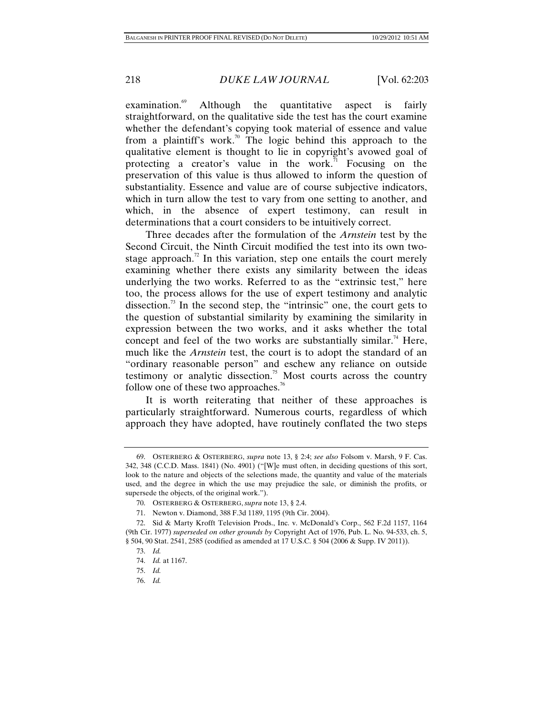examination.<sup>69</sup> Although the quantitative aspect is fairly straightforward, on the qualitative side the test has the court examine whether the defendant's copying took material of essence and value from a plaintiff's work.<sup>70</sup> The logic behind this approach to the qualitative element is thought to lie in copyright's avowed goal of protecting a creator's value in the work.<sup>71</sup> Focusing on the preservation of this value is thus allowed to inform the question of substantiality. Essence and value are of course subjective indicators, which in turn allow the test to vary from one setting to another, and which, in the absence of expert testimony, can result in determinations that a court considers to be intuitively correct.

Three decades after the formulation of the *Arnstein* test by the Second Circuit, the Ninth Circuit modified the test into its own twostage approach.<sup>72</sup> In this variation, step one entails the court merely examining whether there exists any similarity between the ideas underlying the two works. Referred to as the "extrinsic test," here too, the process allows for the use of expert testimony and analytic dissection.<sup>73</sup> In the second step, the "intrinsic" one, the court gets to the question of substantial similarity by examining the similarity in expression between the two works, and it asks whether the total concept and feel of the two works are substantially similar.<sup>74</sup> Here, much like the *Arnstein* test, the court is to adopt the standard of an "ordinary reasonable person" and eschew any reliance on outside testimony or analytic dissection.<sup>75</sup> Most courts across the country follow one of these two approaches.<sup>76</sup>

It is worth reiterating that neither of these approaches is particularly straightforward. Numerous courts, regardless of which approach they have adopted, have routinely conflated the two steps

 <sup>69.</sup> OSTERBERG & OSTERBERG, *supra* note 13, § 2:4; *see also* Folsom v. Marsh, 9 F. Cas. 342, 348 (C.C.D. Mass. 1841) (No. 4901) ("[W]e must often, in deciding questions of this sort, look to the nature and objects of the selections made, the quantity and value of the materials used, and the degree in which the use may prejudice the sale, or diminish the profits, or supersede the objects, of the original work.").

 <sup>70.</sup> OSTERBERG & OSTERBERG, *supra* note 13, § 2.4.

 <sup>71.</sup> Newton v. Diamond, 388 F.3d 1189, 1195 (9th Cir. 2004).

 <sup>72.</sup> Sid & Marty Krofft Television Prods., Inc. v. McDonald's Corp., 562 F.2d 1157, 1164 (9th Cir. 1977) *superseded on other grounds by* Copyright Act of 1976, Pub. L. No. 94-533, ch. 5, § 504, 90 Stat. 2541, 2585 (codified as amended at 17 U.S.C. § 504 (2006 & Supp. IV 2011)).

 <sup>73.</sup> *Id.*

 <sup>74.</sup> *Id.* at 1167.

 <sup>75.</sup> *Id.*

 <sup>76.</sup> *Id.*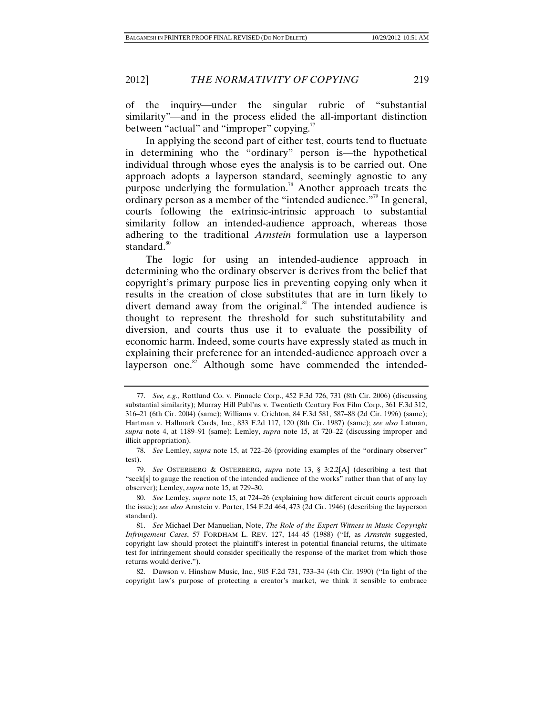2012] *THE NORMATIVITY OF COPYING* 219

of the inquiry—under the singular rubric of "substantial" similarity"—and in the process elided the all-important distinction between "actual" and "improper" copying.<sup>77</sup>

In applying the second part of either test, courts tend to fluctuate in determining who the "ordinary" person is—the hypothetical individual through whose eyes the analysis is to be carried out. One approach adopts a layperson standard, seemingly agnostic to any purpose underlying the formulation.<sup>78</sup> Another approach treats the ordinary person as a member of the "intended audience."<sup>79</sup> In general, courts following the extrinsic-intrinsic approach to substantial similarity follow an intended-audience approach, whereas those adhering to the traditional *Arnstein* formulation use a layperson standard. $80$ 

The logic for using an intended-audience approach in determining who the ordinary observer is derives from the belief that copyright's primary purpose lies in preventing copying only when it results in the creation of close substitutes that are in turn likely to divert demand away from the original.<sup>81</sup> The intended audience is thought to represent the threshold for such substitutability and diversion, and courts thus use it to evaluate the possibility of economic harm. Indeed, some courts have expressly stated as much in explaining their preference for an intended-audience approach over a layperson one. $82$  Although some have commended the intended-

 <sup>77.</sup> *See, e.g.*, Rottlund Co. v. Pinnacle Corp., 452 F.3d 726, 731 (8th Cir. 2006) (discussing substantial similarity); Murray Hill Publ'ns v. Twentieth Century Fox Film Corp., 361 F.3d 312, 316–21 (6th Cir. 2004) (same); Williams v. Crichton, 84 F.3d 581, 587–88 (2d Cir. 1996) (same); Hartman v. Hallmark Cards, Inc., 833 F.2d 117, 120 (8th Cir. 1987) (same); *see also* Latman, *supra* note 4, at 1189–91 (same); Lemley, *supra* note 15, at 720–22 (discussing improper and illicit appropriation).

 <sup>78.</sup> *See* Lemley, *supra* note 15, at 722–26 (providing examples of the "ordinary observer" test).

 <sup>79.</sup> *See* OSTERBERG & OSTERBERG, *supra* note 13, § 3:2.2[A] (describing a test that "seek[s] to gauge the reaction of the intended audience of the works" rather than that of any lay observer); Lemley, *supra* note 15, at 729–30.

 <sup>80.</sup> *See* Lemley, *supra* note 15, at 724–26 (explaining how different circuit courts approach the issue); *see also* Arnstein v. Porter, 154 F.2d 464, 473 (2d Cir. 1946) (describing the layperson standard).

 <sup>81.</sup> *See* Michael Der Manuelian, Note, *The Role of the Expert Witness in Music Copyright Infringement Cases*, 57 FORDHAM L. REV. 127, 144–45 (1988) ("If, as *Arnstein* suggested, copyright law should protect the plaintiff's interest in potential financial returns, the ultimate test for infringement should consider specifically the response of the market from which those returns would derive.").

 <sup>82.</sup> Dawson v. Hinshaw Music, Inc., 905 F.2d 731, 733–34 (4th Cir. 1990) ("In light of the copyright law's purpose of protecting a creator's market, we think it sensible to embrace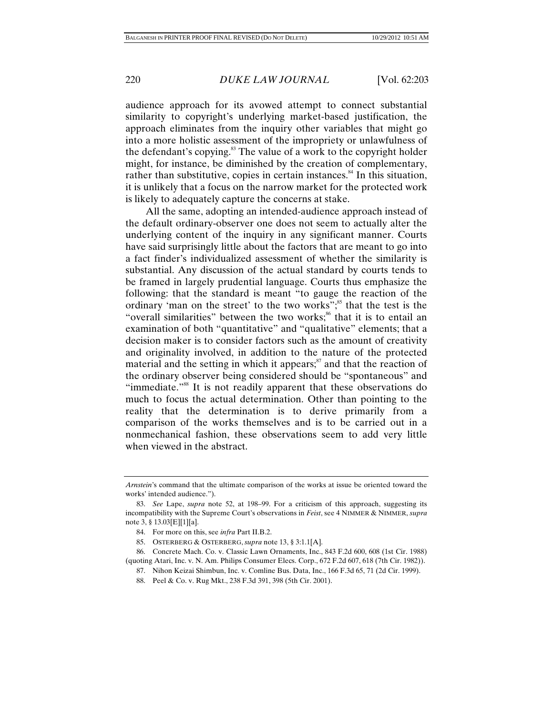audience approach for its avowed attempt to connect substantial similarity to copyright's underlying market-based justification, the approach eliminates from the inquiry other variables that might go into a more holistic assessment of the impropriety or unlawfulness of the defendant's copying.<sup>83</sup> The value of a work to the copyright holder might, for instance, be diminished by the creation of complementary, rather than substitutive, copies in certain instances.<sup>84</sup> In this situation, it is unlikely that a focus on the narrow market for the protected work is likely to adequately capture the concerns at stake.

All the same, adopting an intended-audience approach instead of the default ordinary-observer one does not seem to actually alter the underlying content of the inquiry in any significant manner. Courts have said surprisingly little about the factors that are meant to go into a fact finder's individualized assessment of whether the similarity is substantial. Any discussion of the actual standard by courts tends to be framed in largely prudential language. Courts thus emphasize the following: that the standard is meant "to gauge the reaction of the ordinary 'man on the street' to the two works";<sup>85</sup> that the test is the "overall similarities" between the two works;<sup>86</sup> that it is to entail an examination of both "quantitative" and "qualitative" elements; that a decision maker is to consider factors such as the amount of creativity and originality involved, in addition to the nature of the protected material and the setting in which it appears; $\frac{87}{3}$  and that the reaction of the ordinary observer being considered should be "spontaneous" and "immediate."88 It is not readily apparent that these observations do much to focus the actual determination. Other than pointing to the reality that the determination is to derive primarily from a comparison of the works themselves and is to be carried out in a nonmechanical fashion, these observations seem to add very little when viewed in the abstract.

*Arnstein*'s command that the ultimate comparison of the works at issue be oriented toward the works' intended audience.").

 <sup>83.</sup> *See* Lape, *supra* note 52, at 198–99. For a criticism of this approach, suggesting its incompatibility with the Supreme Court's observations in *Feist*, see 4 NIMMER & NIMMER, *supra* note 3, § 13.03[E][1][a].

 <sup>84.</sup> For more on this, see *infra* Part II.B.2.

 <sup>85.</sup> OSTERBERG & OSTERBERG, *supra* note 13, § 3:1.1[A].

 <sup>86.</sup> Concrete Mach. Co. v. Classic Lawn Ornaments, Inc., 843 F.2d 600, 608 (1st Cir. 1988) (quoting Atari, Inc. v. N. Am. Philips Consumer Elecs. Corp., 672 F.2d 607, 618 (7th Cir. 1982)).

 <sup>87.</sup> Nihon Keizai Shimbun, Inc. v. Comline Bus. Data, Inc., 166 F.3d 65, 71 (2d Cir. 1999).

 <sup>88.</sup> Peel & Co. v. Rug Mkt., 238 F.3d 391, 398 (5th Cir. 2001).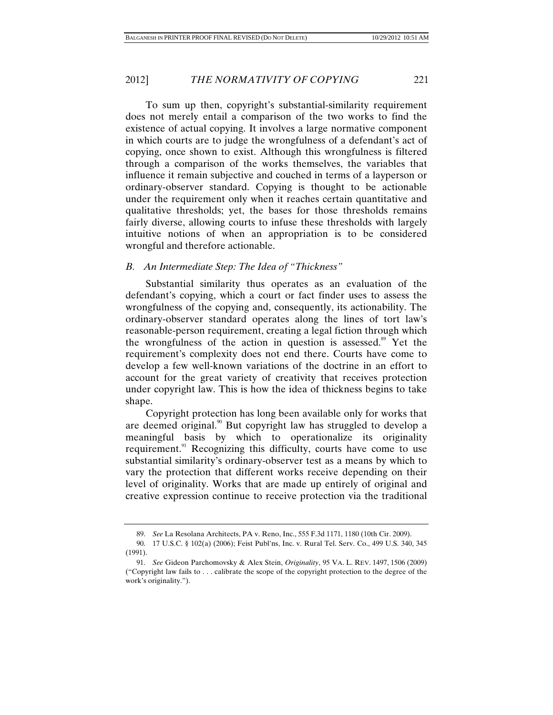To sum up then, copyright's substantial-similarity requirement does not merely entail a comparison of the two works to find the existence of actual copying. It involves a large normative component in which courts are to judge the wrongfulness of a defendant's act of copying, once shown to exist. Although this wrongfulness is filtered through a comparison of the works themselves, the variables that influence it remain subjective and couched in terms of a layperson or ordinary-observer standard. Copying is thought to be actionable under the requirement only when it reaches certain quantitative and qualitative thresholds; yet, the bases for those thresholds remains fairly diverse, allowing courts to infuse these thresholds with largely intuitive notions of when an appropriation is to be considered wrongful and therefore actionable.

#### *B. An Intermediate Step: The Idea of "Thickness"*

Substantial similarity thus operates as an evaluation of the defendant's copying, which a court or fact finder uses to assess the wrongfulness of the copying and, consequently, its actionability. The ordinary-observer standard operates along the lines of tort law's reasonable-person requirement, creating a legal fiction through which the wrongfulness of the action in question is assessed.<sup>89</sup> Yet the requirement's complexity does not end there. Courts have come to develop a few well-known variations of the doctrine in an effort to account for the great variety of creativity that receives protection under copyright law. This is how the idea of thickness begins to take shape.

Copyright protection has long been available only for works that are deemed original.<sup>90</sup> But copyright law has struggled to develop a meaningful basis by which to operationalize its originality requirement.<sup>91</sup> Recognizing this difficulty, courts have come to use substantial similarity's ordinary-observer test as a means by which to vary the protection that different works receive depending on their level of originality. Works that are made up entirely of original and creative expression continue to receive protection via the traditional

 <sup>89.</sup> *See* La Resolana Architects, PA v. Reno, Inc., 555 F.3d 1171, 1180 (10th Cir. 2009).

 <sup>90. 17</sup> U.S.C. § 102(a) (2006); Feist Publ'ns, Inc. v. Rural Tel. Serv. Co., 499 U.S. 340, 345 (1991).

 <sup>91.</sup> *See* Gideon Parchomovsky & Alex Stein, *Originality*, 95 VA. L. REV. 1497, 1506 (2009) ("Copyright law fails to . . . calibrate the scope of the copyright protection to the degree of the work's originality.").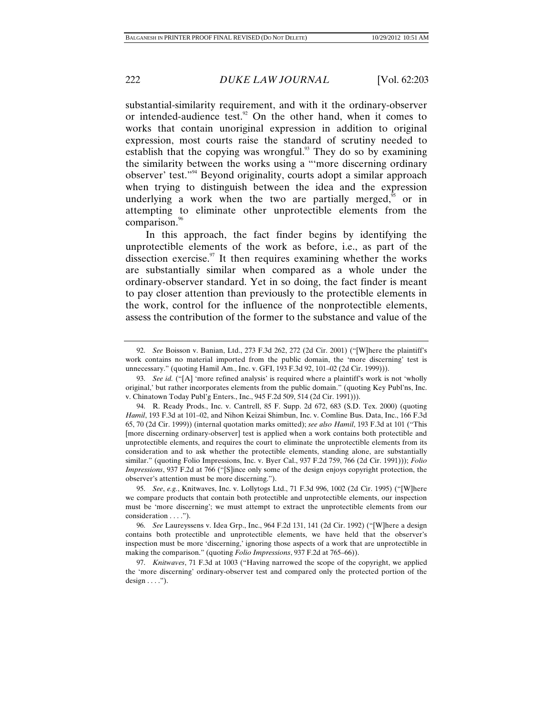substantial-similarity requirement, and with it the ordinary-observer or intended-audience test. $92$  On the other hand, when it comes to works that contain unoriginal expression in addition to original expression, most courts raise the standard of scrutiny needed to establish that the copying was wrongful.<sup>93</sup> They do so by examining the similarity between the works using a "'more discerning ordinary observer' test."94 Beyond originality, courts adopt a similar approach when trying to distinguish between the idea and the expression underlying a work when the two are partially merged, $\frac{95}{5}$  or in attempting to eliminate other unprotectible elements from the comparison.<sup>96</sup>

In this approach, the fact finder begins by identifying the unprotectible elements of the work as before, i.e., as part of the dissection exercise. $\frac{97}{11}$  It then requires examining whether the works are substantially similar when compared as a whole under the ordinary-observer standard. Yet in so doing, the fact finder is meant to pay closer attention than previously to the protectible elements in the work, control for the influence of the nonprotectible elements, assess the contribution of the former to the substance and value of the

 <sup>92.</sup> *See* Boisson v. Banian, Ltd., 273 F.3d 262, 272 (2d Cir. 2001) ("[W]here the plaintiff's work contains no material imported from the public domain, the 'more discerning' test is unnecessary." (quoting Hamil Am., Inc. v. GFI, 193 F.3d 92, 101–02 (2d Cir. 1999))).

 <sup>93.</sup> *See id.* ("[A] 'more refined analysis' is required where a plaintiff's work is not 'wholly original,' but rather incorporates elements from the public domain." (quoting Key Publ'ns, Inc. v. Chinatown Today Publ'g Enters., Inc., 945 F.2d 509, 514 (2d Cir. 1991))).

 <sup>94.</sup> R. Ready Prods., Inc. v. Cantrell, 85 F. Supp. 2d 672, 683 (S.D. Tex. 2000) (quoting *Hamil*, 193 F.3d at 101–02, and Nihon Keizai Shimbun, Inc. v. Comline Bus. Data, Inc., 166 F.3d 65, 70 (2d Cir. 1999)) (internal quotation marks omitted); *see also Hamil*, 193 F.3d at 101 ("This [more discerning ordinary-observer] test is applied when a work contains both protectible and unprotectible elements, and requires the court to eliminate the unprotectible elements from its consideration and to ask whether the protectible elements, standing alone, are substantially similar." (quoting Folio Impressions, Inc. v. Byer Cal., 937 F.2d 759, 766 (2d Cir. 1991))); *Folio Impressions*, 937 F.2d at 766 ("[S]ince only some of the design enjoys copyright protection, the observer's attention must be more discerning.").

 <sup>95.</sup> *See*, *e.g.*, Knitwaves, Inc. v. Lollytogs Ltd., 71 F.3d 996, 1002 (2d Cir. 1995) ("[W]here we compare products that contain both protectible and unprotectible elements, our inspection must be 'more discerning'; we must attempt to extract the unprotectible elements from our consideration . . . .").

 <sup>96.</sup> *See* Laureyssens v. Idea Grp., Inc., 964 F.2d 131, 141 (2d Cir. 1992) ("[W]here a design contains both protectible and unprotectible elements, we have held that the observer's inspection must be more 'discerning,' ignoring those aspects of a work that are unprotectible in making the comparison." (quoting *Folio Impressions*, 937 F.2d at 765–66)).

 <sup>97.</sup> *Knitwaves*, 71 F.3d at 1003 ("Having narrowed the scope of the copyright, we applied the 'more discerning' ordinary-observer test and compared only the protected portion of the  $design \dots$ ").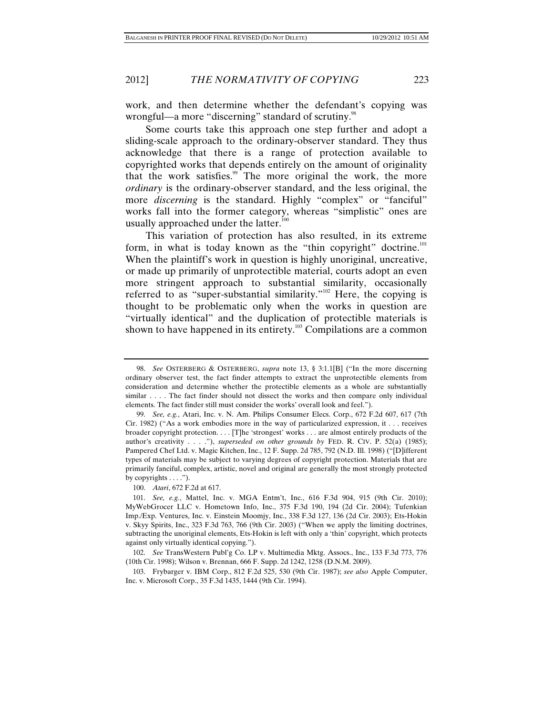work, and then determine whether the defendant's copying was wrongful—a more "discerning" standard of scrutiny.<sup>98</sup>

Some courts take this approach one step further and adopt a sliding-scale approach to the ordinary-observer standard. They thus acknowledge that there is a range of protection available to copyrighted works that depends entirely on the amount of originality that the work satisfies.<sup>99</sup> The more original the work, the more *ordinary* is the ordinary-observer standard, and the less original, the more *discerning* is the standard. Highly "complex" or "fanciful" works fall into the former category, whereas "simplistic" ones are usually approached under the latter.<sup>100</sup>

This variation of protection has also resulted, in its extreme form, in what is today known as the "thin copyright" doctrine.<sup>101</sup> When the plaintiff's work in question is highly unoriginal, uncreative, or made up primarily of unprotectible material, courts adopt an even more stringent approach to substantial similarity, occasionally referred to as "super-substantial similarity."<sup>102</sup> Here, the copying is thought to be problematic only when the works in question are "virtually identical" and the duplication of protectible materials is shown to have happened in its entirety.<sup>103</sup> Compilations are a common

100. *Atari*, 672 F.2d at 617.

 102. *See* TransWestern Publ'g Co. LP v. Multimedia Mktg. Assocs., Inc., 133 F.3d 773, 776 (10th Cir. 1998); Wilson v. Brennan, 666 F. Supp. 2d 1242, 1258 (D.N.M. 2009).

 103. Frybarger v. IBM Corp., 812 F.2d 525, 530 (9th Cir. 1987); *see also* Apple Computer, Inc. v. Microsoft Corp., 35 F.3d 1435, 1444 (9th Cir. 1994).

 <sup>98.</sup> *See* OSTERBERG & OSTERBERG, *supra* note 13, § 3:1.1[B] ("In the more discerning ordinary observer test, the fact finder attempts to extract the unprotectible elements from consideration and determine whether the protectible elements as a whole are substantially similar . . . . The fact finder should not dissect the works and then compare only individual elements. The fact finder still must consider the works' overall look and feel.").

 <sup>99.</sup> *See, e.g.*, Atari, Inc. v. N. Am. Philips Consumer Elecs. Corp., 672 F.2d 607, 617 (7th Cir. 1982) ("As a work embodies more in the way of particularized expression, it . . . receives broader copyright protection. . . . [T]he 'strongest' works . . . are almost entirely products of the author's creativity . . . ."), *superseded on other grounds by* FED. R. CIV. P. 52(a) (1985); Pampered Chef Ltd. v. Magic Kitchen, Inc., 12 F. Supp. 2d 785, 792 (N.D. Ill. 1998) ("[D]ifferent types of materials may be subject to varying degrees of copyright protection. Materials that are primarily fanciful, complex, artistic, novel and original are generally the most strongly protected by copyrights  $\dots$ .").

 <sup>101.</sup> *See, e.g.*, Mattel, Inc. v. MGA Entm't, Inc., 616 F.3d 904, 915 (9th Cir. 2010); MyWebGrocer LLC v. Hometown Info, Inc., 375 F.3d 190, 194 (2d Cir. 2004); Tufenkian Imp./Exp. Ventures, Inc. v. Einstein Moomjy, Inc., 338 F.3d 127, 136 (2d Cir. 2003); Ets-Hokin v. Skyy Spirits, Inc., 323 F.3d 763, 766 (9th Cir. 2003) ("When we apply the limiting doctrines, subtracting the unoriginal elements, Ets-Hokin is left with only a 'thin' copyright, which protects against only virtually identical copying.").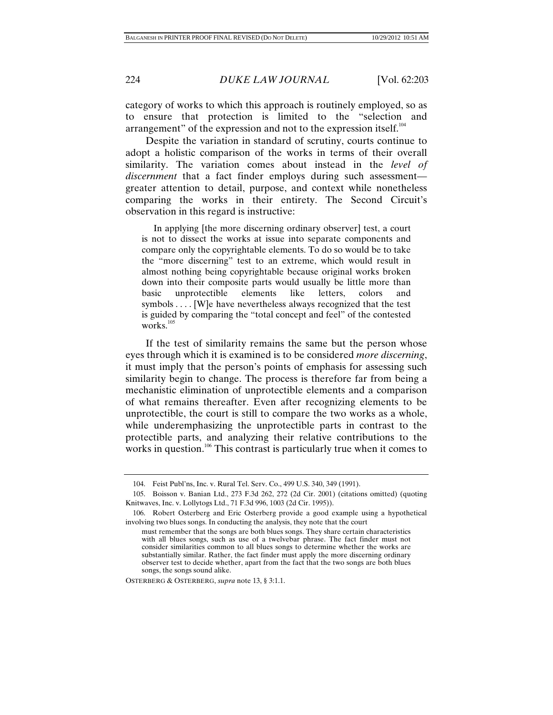category of works to which this approach is routinely employed, so as to ensure that protection is limited to the "selection and arrangement" of the expression and not to the expression itself.<sup>104</sup>

Despite the variation in standard of scrutiny, courts continue to adopt a holistic comparison of the works in terms of their overall similarity. The variation comes about instead in the *level of discernment* that a fact finder employs during such assessment greater attention to detail, purpose, and context while nonetheless comparing the works in their entirety. The Second Circuit's observation in this regard is instructive:

 In applying [the more discerning ordinary observer] test, a court is not to dissect the works at issue into separate components and compare only the copyrightable elements. To do so would be to take the "more discerning" test to an extreme, which would result in almost nothing being copyrightable because original works broken down into their composite parts would usually be little more than basic unprotectible elements like letters, colors and symbols . . . . [W]e have nevertheless always recognized that the test is guided by comparing the "total concept and feel" of the contested works.<sup>105</sup>

If the test of similarity remains the same but the person whose eyes through which it is examined is to be considered *more discerning*, it must imply that the person's points of emphasis for assessing such similarity begin to change. The process is therefore far from being a mechanistic elimination of unprotectible elements and a comparison of what remains thereafter. Even after recognizing elements to be unprotectible, the court is still to compare the two works as a whole, while underemphasizing the unprotectible parts in contrast to the protectible parts, and analyzing their relative contributions to the works in question.<sup>106</sup> This contrast is particularly true when it comes to

OSTERBERG & OSTERBERG, *supra* note 13, § 3:1.1.

 <sup>104.</sup> Feist Publ'ns, Inc. v. Rural Tel. Serv. Co., 499 U.S. 340, 349 (1991).

 <sup>105.</sup> Boisson v. Banian Ltd., 273 F.3d 262, 272 (2d Cir. 2001) (citations omitted) (quoting Knitwaves, Inc. v. Lollytogs Ltd., 71 F.3d 996, 1003 (2d Cir. 1995)).

 <sup>106.</sup> Robert Osterberg and Eric Osterberg provide a good example using a hypothetical involving two blues songs. In conducting the analysis, they note that the court

must remember that the songs are both blues songs. They share certain characteristics with all blues songs, such as use of a twelvebar phrase. The fact finder must not consider similarities common to all blues songs to determine whether the works are substantially similar. Rather, the fact finder must apply the more discerning ordinary observer test to decide whether, apart from the fact that the two songs are both blues songs, the songs sound alike.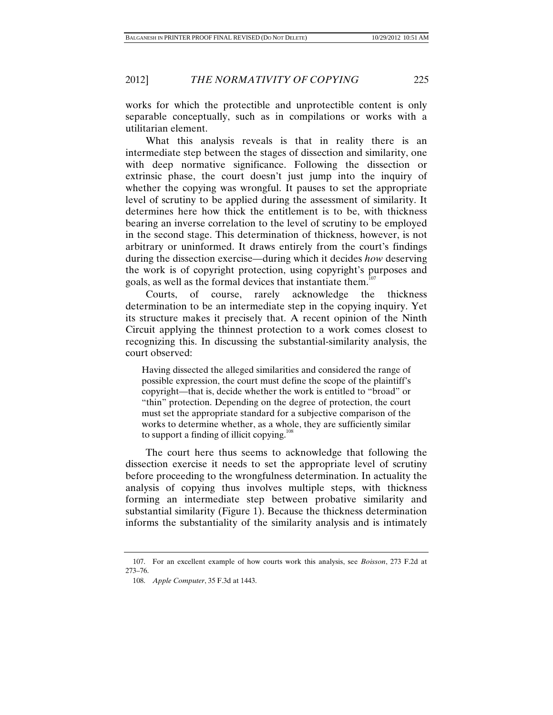works for which the protectible and unprotectible content is only separable conceptually, such as in compilations or works with a utilitarian element.

What this analysis reveals is that in reality there is an intermediate step between the stages of dissection and similarity, one with deep normative significance. Following the dissection or extrinsic phase, the court doesn't just jump into the inquiry of whether the copying was wrongful. It pauses to set the appropriate level of scrutiny to be applied during the assessment of similarity. It determines here how thick the entitlement is to be, with thickness bearing an inverse correlation to the level of scrutiny to be employed in the second stage. This determination of thickness, however, is not arbitrary or uninformed. It draws entirely from the court's findings during the dissection exercise—during which it decides *how* deserving the work is of copyright protection, using copyright's purposes and goals, as well as the formal devices that instantiate them.<sup>107</sup>

Courts, of course, rarely acknowledge the thickness determination to be an intermediate step in the copying inquiry. Yet its structure makes it precisely that. A recent opinion of the Ninth Circuit applying the thinnest protection to a work comes closest to recognizing this. In discussing the substantial-similarity analysis, the court observed:

Having dissected the alleged similarities and considered the range of possible expression, the court must define the scope of the plaintiff's copyright—that is, decide whether the work is entitled to "broad" or "thin" protection. Depending on the degree of protection, the court must set the appropriate standard for a subjective comparison of the works to determine whether, as a whole, they are sufficiently similar to support a finding of illicit copying.<sup>10</sup>

The court here thus seems to acknowledge that following the dissection exercise it needs to set the appropriate level of scrutiny before proceeding to the wrongfulness determination. In actuality the analysis of copying thus involves multiple steps, with thickness forming an intermediate step between probative similarity and substantial similarity (Figure 1). Because the thickness determination informs the substantiality of the similarity analysis and is intimately

 <sup>107.</sup> For an excellent example of how courts work this analysis, see *Boisson*, 273 F.2d at 273–76.

 <sup>108.</sup> *Apple Computer*, 35 F.3d at 1443.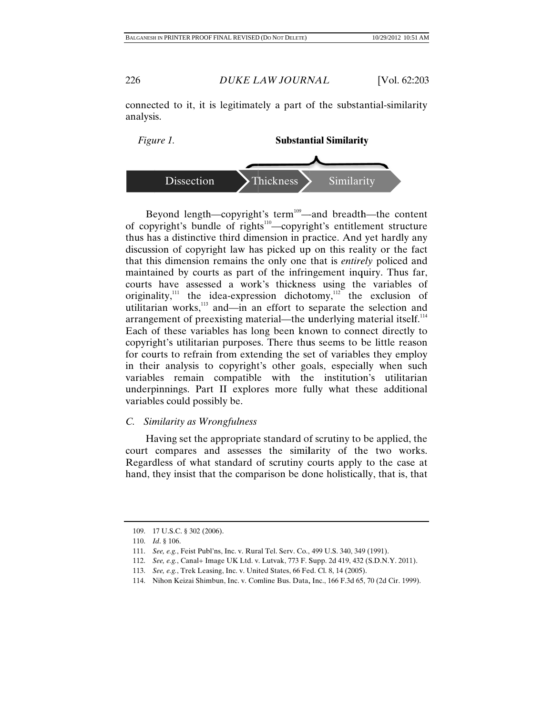connected to it, it is legitimately a part of the substantial-similarity analysis.



Beyond length—copyright's term<sup>109</sup>—and breadth—the content of copyright's bundle of rights<sup>110</sup>—copyright's entitlement structure thus has a distinctive third dimension in practice. And yet hardly any discussion of copyright law has picked up on this reality or the fact that this dimension remains the only one that is *entirely* policed and maintained by courts as part of the infringement inquiry. Thus far, courts have assessed a work's thickness using the variables of originality,<sup>111</sup> the idea-expression dichotomy,<sup>112</sup> the exclusion of utilitarian works,<sup>113</sup> and—in an effort to separate the selection and arrangement of preexisting material—the underlying material itself.<sup>114</sup> Each of these variables has long been known to connect directly to copyright's utilitarian purposes. There thus seems to be little reason for courts to refrain from extending the set of variables they employ in their analysis to copyright's other goals, especially when such variables remain compatible with the institution's utilitarian underpinnings. Part II explores more fully what these additional variables could possibly be.

### *C. Sim milarity as W Wrongfulness*

Having set the appropriate standard of scrutiny to be applied, the court compares and assesses the similarity of the two works. Regardless of what standard of scrutiny courts apply to the case at hand, they insist that the comparison be done holistically, that is, that

 <sup>109. 1</sup> 17 U.S.C. § 302 (2 2006).

 <sup>110.</sup> *I Id*. § 106.

<sup>111.</sup> *See, e.g.*, Feist Publ'ns, Inc. v. Rural Tel. Serv. Co., 499 U.S. 340, 349 (1991).

<sup>112.</sup> *See, e.g.*, Canal+ Image UK Ltd. v. Lutvak, 773 F. Supp. 2d 419, 432 (S.D.N.Y. 2011).

<sup>113.</sup> *See, e.g.*, Trek Leasing, Inc. v. United States, 66 Fed. Cl. 8, 14 (2005).

<sup>114.</sup> Nihon Keizai Shimbun, Inc. v. Comline Bus. Data, Inc., 166 F.3d 65, 70 (2d Cir. 1999).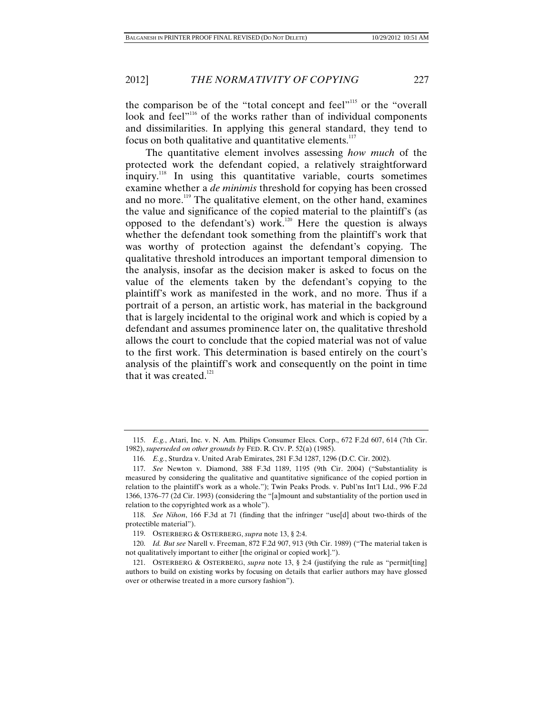the comparison be of the "total concept and feel"<sup>115</sup> or the "overall" look and feel<sup>"116</sup> of the works rather than of individual components and dissimilarities. In applying this general standard, they tend to focus on both qualitative and quantitative elements. $117$ 

The quantitative element involves assessing *how much* of the protected work the defendant copied, a relatively straightforward inquiry.118 In using this quantitative variable, courts sometimes examine whether a *de minimis* threshold for copying has been crossed and no more.<sup>119</sup> The qualitative element, on the other hand, examines the value and significance of the copied material to the plaintiff's (as opposed to the defendant's) work.<sup>120</sup> Here the question is always whether the defendant took something from the plaintiff's work that was worthy of protection against the defendant's copying. The qualitative threshold introduces an important temporal dimension to the analysis, insofar as the decision maker is asked to focus on the value of the elements taken by the defendant's copying to the plaintiff's work as manifested in the work, and no more. Thus if a portrait of a person, an artistic work, has material in the background that is largely incidental to the original work and which is copied by a defendant and assumes prominence later on, the qualitative threshold allows the court to conclude that the copied material was not of value to the first work. This determination is based entirely on the court's analysis of the plaintiff's work and consequently on the point in time that it was created. $121$ 

 <sup>115.</sup> *E.g.*, Atari, Inc. v. N. Am. Philips Consumer Elecs. Corp., 672 F.2d 607, 614 (7th Cir. 1982), *superseded on other grounds by* FED. R. CIV. P. 52(a) (1985).

 <sup>116.</sup> *E.g.*, Sturdza v. United Arab Emirates, 281 F.3d 1287, 1296 (D.C. Cir. 2002).

 <sup>117.</sup> *See* Newton v. Diamond, 388 F.3d 1189, 1195 (9th Cir. 2004) ("Substantiality is measured by considering the qualitative and quantitative significance of the copied portion in relation to the plaintiff's work as a whole."); Twin Peaks Prods. v. Publ'ns Int'l Ltd., 996 F.2d 1366, 1376–77 (2d Cir. 1993) (considering the "[a]mount and substantiality of the portion used in relation to the copyrighted work as a whole").

 <sup>118.</sup> *See Nihon*, 166 F.3d at 71 (finding that the infringer "use[d] about two-thirds of the protectible material").

 <sup>119.</sup> OSTERBERG & OSTERBERG, *supra* note 13, § 2:4.

 <sup>120.</sup> *Id. But see* Narell v. Freeman, 872 F.2d 907, 913 (9th Cir. 1989) ("The material taken is not qualitatively important to either [the original or copied work].").

 <sup>121.</sup> OSTERBERG & OSTERBERG, *supra* note 13, § 2:4 (justifying the rule as "permit[ting] authors to build on existing works by focusing on details that earlier authors may have glossed over or otherwise treated in a more cursory fashion").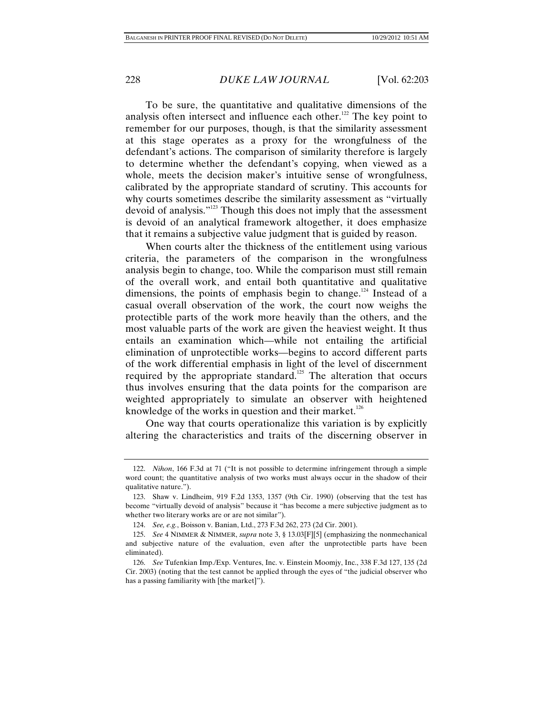To be sure, the quantitative and qualitative dimensions of the analysis often intersect and influence each other.<sup>122</sup> The key point to remember for our purposes, though, is that the similarity assessment at this stage operates as a proxy for the wrongfulness of the defendant's actions. The comparison of similarity therefore is largely to determine whether the defendant's copying, when viewed as a whole, meets the decision maker's intuitive sense of wrongfulness, calibrated by the appropriate standard of scrutiny. This accounts for why courts sometimes describe the similarity assessment as "virtually devoid of analysis."123 Though this does not imply that the assessment is devoid of an analytical framework altogether, it does emphasize that it remains a subjective value judgment that is guided by reason.

When courts alter the thickness of the entitlement using various criteria, the parameters of the comparison in the wrongfulness analysis begin to change, too. While the comparison must still remain of the overall work, and entail both quantitative and qualitative dimensions, the points of emphasis begin to change.<sup>124</sup> Instead of a casual overall observation of the work, the court now weighs the protectible parts of the work more heavily than the others, and the most valuable parts of the work are given the heaviest weight. It thus entails an examination which—while not entailing the artificial elimination of unprotectible works—begins to accord different parts of the work differential emphasis in light of the level of discernment required by the appropriate standard.<sup>125</sup> The alteration that occurs thus involves ensuring that the data points for the comparison are weighted appropriately to simulate an observer with heightened knowledge of the works in question and their market.<sup>126</sup>

One way that courts operationalize this variation is by explicitly altering the characteristics and traits of the discerning observer in

 <sup>122.</sup> *Nihon*, 166 F.3d at 71 ("It is not possible to determine infringement through a simple word count; the quantitative analysis of two works must always occur in the shadow of their qualitative nature.").

 <sup>123.</sup> Shaw v. Lindheim, 919 F.2d 1353, 1357 (9th Cir. 1990) (observing that the test has become "virtually devoid of analysis" because it "has become a mere subjective judgment as to whether two literary works are or are not similar").

 <sup>124.</sup> *See, e.g.*, Boisson v. Banian, Ltd., 273 F.3d 262, 273 (2d Cir. 2001).

 <sup>125.</sup> *See* 4 NIMMER & NIMMER, *supra* note 3, § 13.03[F][5] (emphasizing the nonmechanical and subjective nature of the evaluation, even after the unprotectible parts have been eliminated).

 <sup>126.</sup> *See* Tufenkian Imp./Exp. Ventures, Inc. v. Einstein Moomjy, Inc., 338 F.3d 127, 135 (2d Cir. 2003) (noting that the test cannot be applied through the eyes of "the judicial observer who has a passing familiarity with [the market]").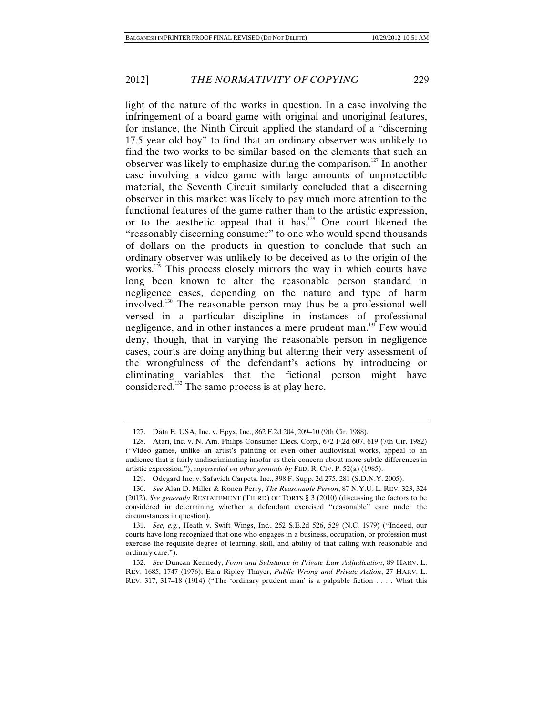light of the nature of the works in question. In a case involving the infringement of a board game with original and unoriginal features, for instance, the Ninth Circuit applied the standard of a "discerning 17.5 year old boy" to find that an ordinary observer was unlikely to find the two works to be similar based on the elements that such an observer was likely to emphasize during the comparison.<sup>127</sup> In another case involving a video game with large amounts of unprotectible material, the Seventh Circuit similarly concluded that a discerning observer in this market was likely to pay much more attention to the functional features of the game rather than to the artistic expression, or to the aesthetic appeal that it has.128 One court likened the "reasonably discerning consumer" to one who would spend thousands of dollars on the products in question to conclude that such an ordinary observer was unlikely to be deceived as to the origin of the works.<sup>129</sup> This process closely mirrors the way in which courts have long been known to alter the reasonable person standard in negligence cases, depending on the nature and type of harm involved.<sup>130</sup> The reasonable person may thus be a professional well versed in a particular discipline in instances of professional negligence, and in other instances a mere prudent man.<sup>131</sup> Few would deny, though, that in varying the reasonable person in negligence cases, courts are doing anything but altering their very assessment of the wrongfulness of the defendant's actions by introducing or eliminating variables that the fictional person might have considered.132 The same process is at play here.

 <sup>127.</sup> Data E. USA, Inc. v. Epyx, Inc., 862 F.2d 204, 209–10 (9th Cir. 1988).

 <sup>128.</sup> Atari, Inc. v. N. Am. Philips Consumer Elecs. Corp., 672 F.2d 607, 619 (7th Cir. 1982) ("Video games, unlike an artist's painting or even other audiovisual works, appeal to an audience that is fairly undiscriminating insofar as their concern about more subtle differences in artistic expression."), *superseded on other grounds by* FED. R. CIV. P. 52(a) (1985).

 <sup>129.</sup> Odegard Inc. v. Safavieh Carpets, Inc., 398 F. Supp. 2d 275, 281 (S.D.N.Y. 2005).

 <sup>130.</sup> *See* Alan D. Miller & Ronen Perry, *The Reasonable Person*, 87 N.Y.U. L. REV. 323, 324 (2012). *See generally* RESTATEMENT (THIRD) OF TORTS § 3 (2010) (discussing the factors to be considered in determining whether a defendant exercised "reasonable" care under the circumstances in question).

 <sup>131.</sup> *See, e.g.*, Heath v. Swift Wings, Inc*.*, 252 S.E.2d 526, 529 (N.C. 1979) ("Indeed, our courts have long recognized that one who engages in a business, occupation, or profession must exercise the requisite degree of learning, skill, and ability of that calling with reasonable and ordinary care.").

 <sup>132.</sup> *See* Duncan Kennedy, *Form and Substance in Private Law Adjudication*, 89 HARV. L. REV. 1685, 1747 (1976); Ezra Ripley Thayer, *Public Wrong and Private Action*, 27 HARV. L. REV. 317, 317–18 (1914) ("The 'ordinary prudent man' is a palpable fiction . . . . What this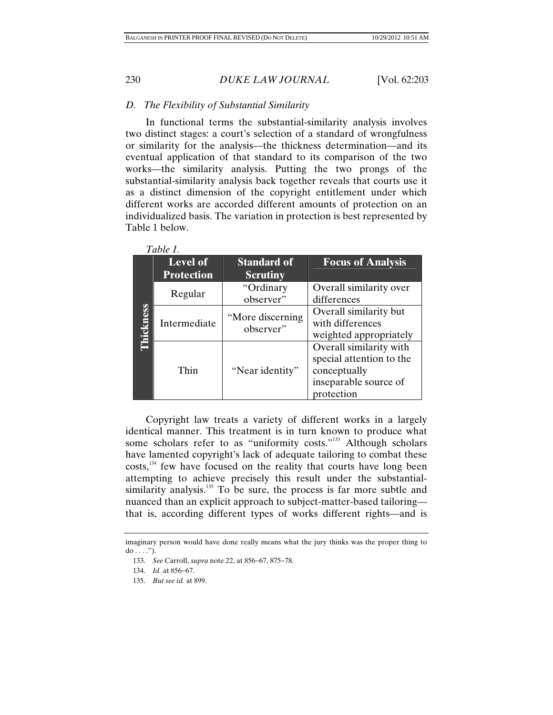## *D. The Flexibility of Substantial Similarity*

In functional terms the substantial-similarity analysis involves two distinct stages: a court's selection of a standard of wrongfulness or similarity for the analysis—the thickness determination—and its eventual application of that standard to its comparison of the two works—the similarity analysis. Putting the two prongs of the substantial-similarity analysis back together reveals that courts use it as a distinct dimension of the copyright entitlement under which different works are accorded different amounts of protection on an individualized basis. The variation in protection is best represented by Table 1 below.

|                  | <b>Level of</b>   | <b>Standard of</b> | <b>Focus of Analysis</b>                                                                     |
|------------------|-------------------|--------------------|----------------------------------------------------------------------------------------------|
|                  | <b>Protection</b> | <b>Scrutiny</b>    |                                                                                              |
|                  | Regular           | "Ordinary          | Overall similarity over                                                                      |
|                  |                   | observer"          | differences                                                                                  |
| <b>Thickness</b> | Intermediate      | "More discerning   | Overall similarity but                                                                       |
|                  |                   | observer"          | with differences                                                                             |
|                  |                   |                    | weighted appropriately                                                                       |
|                  | Thin              | "Near identity"    | Overall similarity with<br>special attention to the<br>conceptually<br>inseparable source of |
|                  |                   |                    | protection                                                                                   |

| anu<br>۳ |  |
|----------|--|
|----------|--|

Copyright law treats a variety of different works in a largely identical manner. This treatment is in turn known to produce what some scholars refer to as "uniformity costs."<sup>133</sup> Although scholars have lamented copyright's lack of adequate tailoring to combat these costs,<sup>134</sup> few have focused on the reality that courts have long been attempting to achieve precisely this result under the substantialsimilarity analysis.<sup>135</sup> To be sure, the process is far more subtle and nuanced than an explicit approach to subject-matter-based tailoring that is, according different types of works different rights—and is

imaginary person would have done really means what the jury thinks was the proper thing to  $do \ldots$ ").

<sup>133.</sup> *See* Carroll, *supra* note 22, at 856–67, 875–78.

<sup>134.</sup> *Id.* at 856-67.

 <sup>135.</sup> *But see id.* at 899.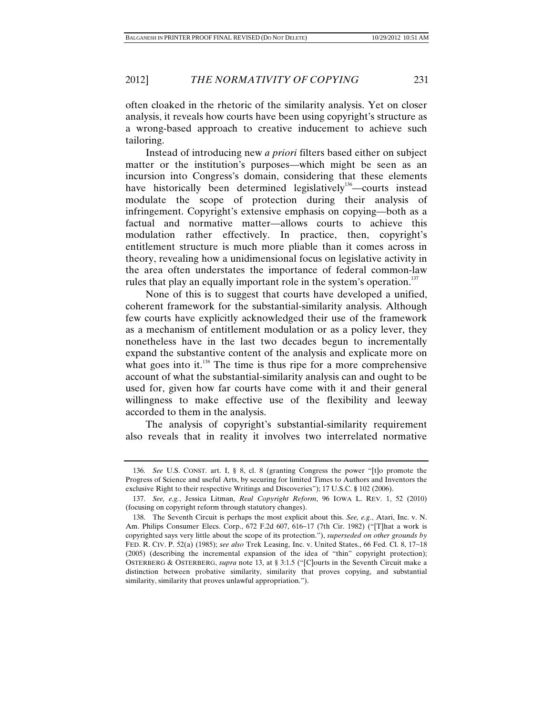often cloaked in the rhetoric of the similarity analysis. Yet on closer analysis, it reveals how courts have been using copyright's structure as a wrong-based approach to creative inducement to achieve such tailoring.

Instead of introducing new *a priori* filters based either on subject matter or the institution's purposes—which might be seen as an incursion into Congress's domain, considering that these elements have historically been determined legislatively<sup>136</sup>—courts instead modulate the scope of protection during their analysis of infringement. Copyright's extensive emphasis on copying—both as a factual and normative matter—allows courts to achieve this modulation rather effectively. In practice, then, copyright's entitlement structure is much more pliable than it comes across in theory, revealing how a unidimensional focus on legislative activity in the area often understates the importance of federal common-law rules that play an equally important role in the system's operation.<sup>137</sup>

None of this is to suggest that courts have developed a unified, coherent framework for the substantial-similarity analysis. Although few courts have explicitly acknowledged their use of the framework as a mechanism of entitlement modulation or as a policy lever, they nonetheless have in the last two decades begun to incrementally expand the substantive content of the analysis and explicate more on what goes into it.<sup>138</sup> The time is thus ripe for a more comprehensive account of what the substantial-similarity analysis can and ought to be used for, given how far courts have come with it and their general willingness to make effective use of the flexibility and leeway accorded to them in the analysis.

The analysis of copyright's substantial-similarity requirement also reveals that in reality it involves two interrelated normative

 <sup>136.</sup> *See* U.S. CONST. art. I, § 8, cl. 8 (granting Congress the power "[t]o promote the Progress of Science and useful Arts, by securing for limited Times to Authors and Inventors the exclusive Right to their respective Writings and Discoveries"); 17 U.S.C. **§** 102 (2006).

 <sup>137.</sup> *See, e.g.*, Jessica Litman, *Real Copyright Reform*, 96 IOWA L. REV. 1, 52 (2010) (focusing on copyright reform through statutory changes).

 <sup>138.</sup> The Seventh Circuit is perhaps the most explicit about this. *See, e.g.*, Atari, Inc. v. N. Am. Philips Consumer Elecs. Corp., 672 F.2d 607, 616-17 (7th Cir. 1982) ("[T]hat a work is copyrighted says very little about the scope of its protection."), *superseded on other grounds by*  FED. R. CIV. P. 52(a) (1985); *see also* Trek Leasing, Inc. v. United States., 66 Fed. Cl. 8, 17–18 (2005) (describing the incremental expansion of the idea of "thin" copyright protection); OSTERBERG & OSTERBERG, *supra* note 13, at § 3:1.5 ("[C]ourts in the Seventh Circuit make a distinction between probative similarity, similarity that proves copying, and substantial similarity, similarity that proves unlawful appropriation.").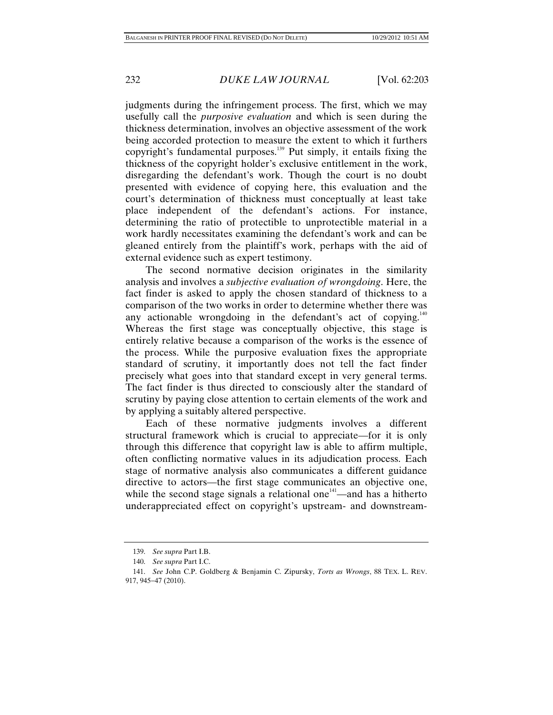judgments during the infringement process. The first, which we may usefully call the *purposive evaluation* and which is seen during the thickness determination, involves an objective assessment of the work being accorded protection to measure the extent to which it furthers copyright's fundamental purposes.139 Put simply, it entails fixing the thickness of the copyright holder's exclusive entitlement in the work, disregarding the defendant's work. Though the court is no doubt presented with evidence of copying here, this evaluation and the court's determination of thickness must conceptually at least take place independent of the defendant's actions. For instance, determining the ratio of protectible to unprotectible material in a work hardly necessitates examining the defendant's work and can be gleaned entirely from the plaintiff's work, perhaps with the aid of external evidence such as expert testimony.

The second normative decision originates in the similarity analysis and involves a *subjective evaluation of wrongdoing*. Here, the fact finder is asked to apply the chosen standard of thickness to a comparison of the two works in order to determine whether there was any actionable wrongdoing in the defendant's act of copying. $140$ Whereas the first stage was conceptually objective, this stage is entirely relative because a comparison of the works is the essence of the process. While the purposive evaluation fixes the appropriate standard of scrutiny, it importantly does not tell the fact finder precisely what goes into that standard except in very general terms. The fact finder is thus directed to consciously alter the standard of scrutiny by paying close attention to certain elements of the work and by applying a suitably altered perspective.

Each of these normative judgments involves a different structural framework which is crucial to appreciate—for it is only through this difference that copyright law is able to affirm multiple, often conflicting normative values in its adjudication process. Each stage of normative analysis also communicates a different guidance directive to actors—the first stage communicates an objective one, while the second stage signals a relational one $141$ —and has a hitherto underappreciated effect on copyright's upstream- and downstream-

 <sup>139.</sup> *See supra* Part I.B.

 <sup>140.</sup> *See supra* Part I.C.

 <sup>141.</sup> *See* John C.P. Goldberg & Benjamin C. Zipursky, *Torts as Wrongs*, 88 TEX. L. REV. 917, 945-47 (2010).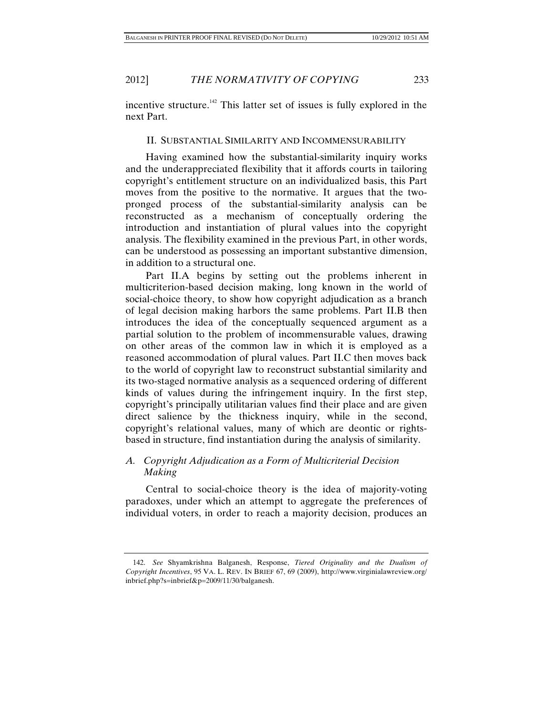incentive structure.<sup>142</sup> This latter set of issues is fully explored in the next Part.

### II. SUBSTANTIAL SIMILARITY AND INCOMMENSURABILITY

Having examined how the substantial-similarity inquiry works and the underappreciated flexibility that it affords courts in tailoring copyright's entitlement structure on an individualized basis, this Part moves from the positive to the normative. It argues that the twopronged process of the substantial-similarity analysis can be reconstructed as a mechanism of conceptually ordering the introduction and instantiation of plural values into the copyright analysis. The flexibility examined in the previous Part, in other words, can be understood as possessing an important substantive dimension, in addition to a structural one.

Part II.A begins by setting out the problems inherent in multicriterion-based decision making, long known in the world of social-choice theory, to show how copyright adjudication as a branch of legal decision making harbors the same problems. Part II.B then introduces the idea of the conceptually sequenced argument as a partial solution to the problem of incommensurable values, drawing on other areas of the common law in which it is employed as a reasoned accommodation of plural values. Part II.C then moves back to the world of copyright law to reconstruct substantial similarity and its two-staged normative analysis as a sequenced ordering of different kinds of values during the infringement inquiry. In the first step, copyright's principally utilitarian values find their place and are given direct salience by the thickness inquiry, while in the second, copyright's relational values, many of which are deontic or rightsbased in structure, find instantiation during the analysis of similarity.

## *A. Copyright Adjudication as a Form of Multicriterial Decision Making*

Central to social-choice theory is the idea of majority-voting paradoxes, under which an attempt to aggregate the preferences of individual voters, in order to reach a majority decision, produces an

 <sup>142.</sup> *See* Shyamkrishna Balganesh, Response, *Tiered Originality and the Dualism of Copyright Incentives*, 95 VA. L. REV. IN BRIEF 67, 69 (2009), http://www.virginialawreview.org/ inbrief.php?s=inbrief&p=2009/11/30/balganesh.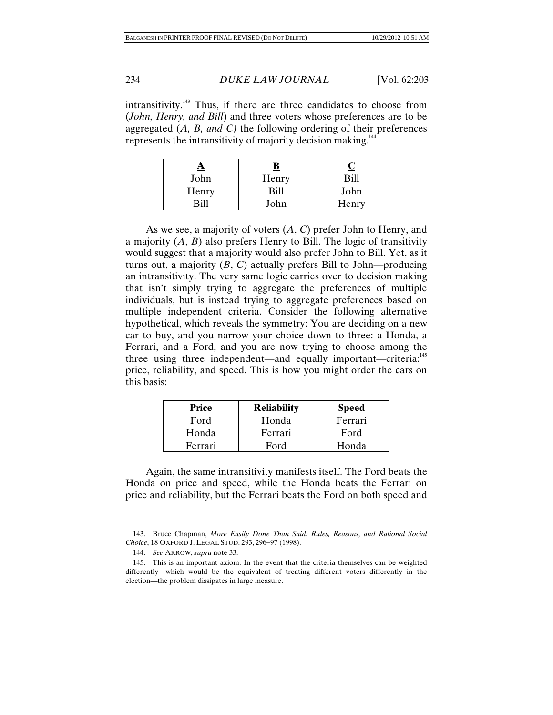intransitivity.<sup>143</sup> Thus, if there are three candidates to choose from (*John, Henry, and Bill*) and three voters whose preferences are to be aggregated (*A, B, and C)* the following ordering of their preferences represents the intransitivity of majority decision making.<sup>144</sup>

| <u>д</u>    |       |       |
|-------------|-------|-------|
| John        | Henry | Rill  |
| Henry       | Bill  | John  |
| <b>Rill</b> | John  | Henry |

As we see, a majority of voters (*A*, *C*) prefer John to Henry, and a majority (*A*, *B*) also prefers Henry to Bill. The logic of transitivity would suggest that a majority would also prefer John to Bill. Yet, as it turns out, a majority  $(B, C)$  actually prefers Bill to John—producing an intransitivity. The very same logic carries over to decision making that isn't simply trying to aggregate the preferences of multiple individuals, but is instead trying to aggregate preferences based on multiple independent criteria. Consider the following alternative hypothetical, which reveals the symmetry: You are deciding on a new car to buy, and you narrow your choice down to three: a Honda, a Ferrari, and a Ford, and you are now trying to choose among the three using three independent—and equally important—criteria:<sup>145</sup> price, reliability, and speed. This is how you might order the cars on this basis:

| <b>Price</b> | <b>Reliability</b> | <b>Speed</b> |
|--------------|--------------------|--------------|
| Ford         | Honda              | Ferrari      |
| Honda        | Ferrari            | Ford         |
| Ferrari      | Ford               | Honda        |

Again, the same intransitivity manifests itself. The Ford beats the Honda on price and speed, while the Honda beats the Ferrari on price and reliability, but the Ferrari beats the Ford on both speed and

 <sup>143.</sup> Bruce Chapman, *More Easily Done Than Said: Rules, Reasons, and Rational Social Choice*, 18 OXFORD J. LEGAL STUD. 293, 296-97 (1998).

 <sup>144.</sup> *See* ARROW, *supra* note 33.

 <sup>145.</sup> This is an important axiom. In the event that the criteria themselves can be weighted differently—which would be the equivalent of treating different voters differently in the election—the problem dissipates in large measure.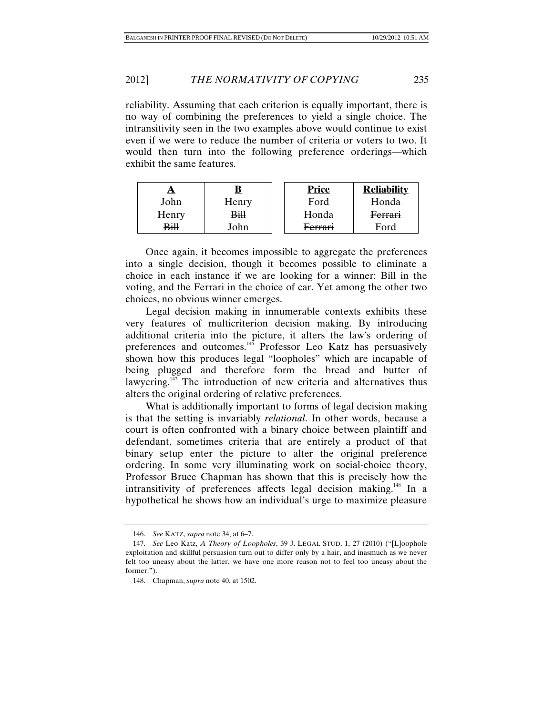### 2012] *THE NORMATIVITY OF COPYING* 235

reliability. Assuming that each criterion is equally important, there is no way of combining the preferences to yield a single choice. The intransitivity seen in the two examples above would continue to exist even if we were to reduce the number of criteria or voters to two. It would then turn into the following preference orderings—which exhibit the same features.

| A           |                 | <b>Price</b>       | <b>Reliability</b> |
|-------------|-----------------|--------------------|--------------------|
| John        | Henry           | Ford               | Honda              |
| Henry       | <del>Bill</del> | Honda              | <b>Ferrari</b>     |
| <b>Bill</b> | John            | <del>Ferrari</del> | Ford               |

 Once again, it becomes impossible to aggregate the preferences into a single decision, though it becomes possible to eliminate a choice in each instance if we are looking for a winner: Bill in the voting, and the Ferrari in the choice of car. Yet among the other two choices, no obvious winner emerges.

Legal decision making in innumerable contexts exhibits these very features of multicriterion decision making. By introducing additional criteria into the picture, it alters the law's ordering of preferences and outcomes.<sup>146</sup> Professor Leo Katz has persuasively shown how this produces legal "loopholes" which are incapable of being plugged and therefore form the bread and butter of lawyering. $147$  The introduction of new criteria and alternatives thus alters the original ordering of relative preferences.

What is additionally important to forms of legal decision making is that the setting is invariably *relational*. In other words, because a court is often confronted with a binary choice between plaintiff and defendant, sometimes criteria that are entirely a product of that binary setup enter the picture to alter the original preference ordering. In some very illuminating work on social-choice theory, Professor Bruce Chapman has shown that this is precisely how the intransitivity of preferences affects legal decision making.<sup>148</sup> In a hypothetical he shows how an individual's urge to maximize pleasure

 <sup>146.</sup> *See* KATZ, *supra* note 34, at 6–7.

 <sup>147.</sup> *See* Leo Katz, *A Theory of Loopholes*, 39 J. LEGAL STUD. 1, 27 (2010) ("[L]oophole exploitation and skillful persuasion turn out to differ only by a hair, and inasmuch as we never felt too uneasy about the latter, we have one more reason not to feel too uneasy about the former.").

 <sup>148.</sup> Chapman, *supra* note 40, at 1502.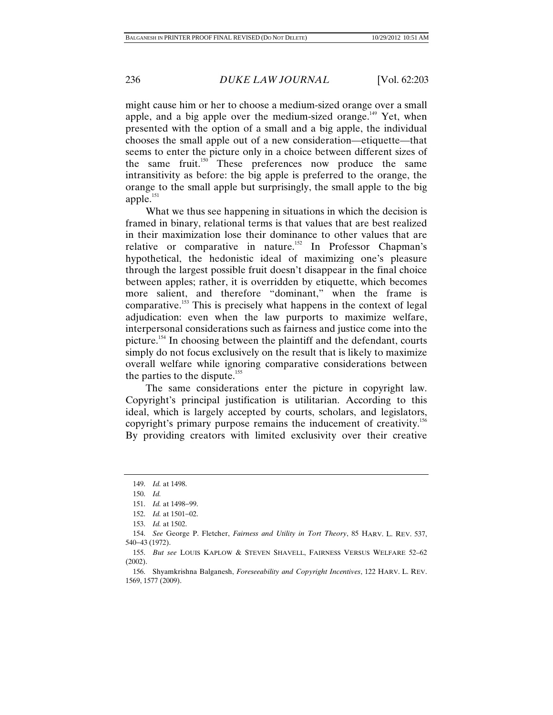might cause him or her to choose a medium-sized orange over a small apple, and a big apple over the medium-sized orange.<sup>149</sup> Yet, when presented with the option of a small and a big apple, the individual chooses the small apple out of a new consideration—etiquette—that seems to enter the picture only in a choice between different sizes of the same fruit.<sup>150</sup> These preferences now produce the same intransitivity as before: the big apple is preferred to the orange, the orange to the small apple but surprisingly, the small apple to the big apple.<sup>151</sup>

What we thus see happening in situations in which the decision is framed in binary, relational terms is that values that are best realized in their maximization lose their dominance to other values that are relative or comparative in nature.<sup>152</sup> In Professor Chapman's hypothetical, the hedonistic ideal of maximizing one's pleasure through the largest possible fruit doesn't disappear in the final choice between apples; rather, it is overridden by etiquette, which becomes more salient, and therefore "dominant," when the frame is comparative.153 This is precisely what happens in the context of legal adjudication: even when the law purports to maximize welfare, interpersonal considerations such as fairness and justice come into the picture.154 In choosing between the plaintiff and the defendant, courts simply do not focus exclusively on the result that is likely to maximize overall welfare while ignoring comparative considerations between the parties to the dispute.<sup>155</sup>

The same considerations enter the picture in copyright law. Copyright's principal justification is utilitarian. According to this ideal, which is largely accepted by courts, scholars, and legislators, copyright's primary purpose remains the inducement of creativity.<sup>156</sup> By providing creators with limited exclusivity over their creative

 <sup>149.</sup> *Id.* at 1498.

 <sup>150.</sup> *Id.*

<sup>151.</sup> *Id.* at 1498-99.

<sup>152.</sup> *Id.* at 1501-02.

 <sup>153.</sup> *Id.* at 1502.

 <sup>154.</sup> *See* George P. Fletcher, *Fairness and Utility in Tort Theory*, 85 HARV. L. REV. 537, 54043 (1972).

 <sup>155.</sup> *But see* LOUIS KAPLOW & STEVEN SHAVELL, FAIRNESS VERSUS WELFARE 52–62 (2002).

 <sup>156.</sup> Shyamkrishna Balganesh, *Foreseeability and Copyright Incentives*, 122 HARV. L. REV. 1569, 1577 (2009).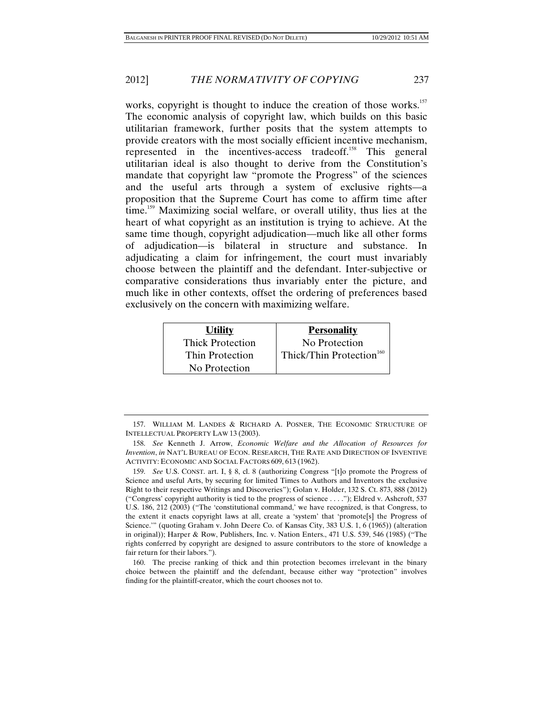works, copyright is thought to induce the creation of those works.<sup>157</sup> The economic analysis of copyright law, which builds on this basic utilitarian framework, further posits that the system attempts to provide creators with the most socially efficient incentive mechanism, represented in the incentives-access tradeoff.158 This general utilitarian ideal is also thought to derive from the Constitution's mandate that copyright law "promote the Progress" of the sciences and the useful arts through a system of exclusive rights—a proposition that the Supreme Court has come to affirm time after time.<sup>159</sup> Maximizing social welfare, or overall utility, thus lies at the heart of what copyright as an institution is trying to achieve. At the same time though, copyright adjudication—much like all other forms of adjudication—is bilateral in structure and substance. In adjudicating a claim for infringement, the court must invariably choose between the plaintiff and the defendant. Inter-subjective or comparative considerations thus invariably enter the picture, and much like in other contexts, offset the ordering of preferences based exclusively on the concern with maximizing welfare.

| <b>Utility</b>          | <b>Personality</b>                   |
|-------------------------|--------------------------------------|
| <b>Thick Protection</b> | No Protection                        |
| Thin Protection         | Thick/Thin Protection <sup>160</sup> |
| No Protection           |                                      |

 <sup>157.</sup> WILLIAM M. LANDES & RICHARD A. POSNER, THE ECONOMIC STRUCTURE OF INTELLECTUAL PROPERTY LAW 13 (2003).

 <sup>158.</sup> *See* Kenneth J. Arrow, *Economic Welfare and the Allocation of Resources for Invention*, *in* NAT'L BUREAU OF ECON. RESEARCH, THE RATE AND DIRECTION OF INVENTIVE ACTIVITY: ECONOMIC AND SOCIAL FACTORS 609, 613 (1962).

 <sup>159.</sup> *See* U.S. CONST. art. I, § 8, cl. 8 (authorizing Congress "[t]o promote the Progress of Science and useful Arts, by securing for limited Times to Authors and Inventors the exclusive Right to their respective Writings and Discoveries"); Golan v. Holder, 132 S. Ct. 873, 888 (2012) ("Congress' copyright authority is tied to the progress of science . . . ."); Eldred v. Ashcroft, 537 U.S. 186, 212 (2003) ("The 'constitutional command,' we have recognized, is that Congress, to the extent it enacts copyright laws at all, create a 'system' that 'promote[s] the Progress of Science.'" (quoting Graham v. John Deere Co. of Kansas City, 383 U.S. 1, 6 (1965)) (alteration in original)); Harper & Row, Publishers, Inc. v. Nation Enters., 471 U.S. 539, 546 (1985) ("The rights conferred by copyright are designed to assure contributors to the store of knowledge a fair return for their labors.").

 <sup>160.</sup> The precise ranking of thick and thin protection becomes irrelevant in the binary choice between the plaintiff and the defendant, because either way "protection" involves finding for the plaintiff-creator, which the court chooses not to.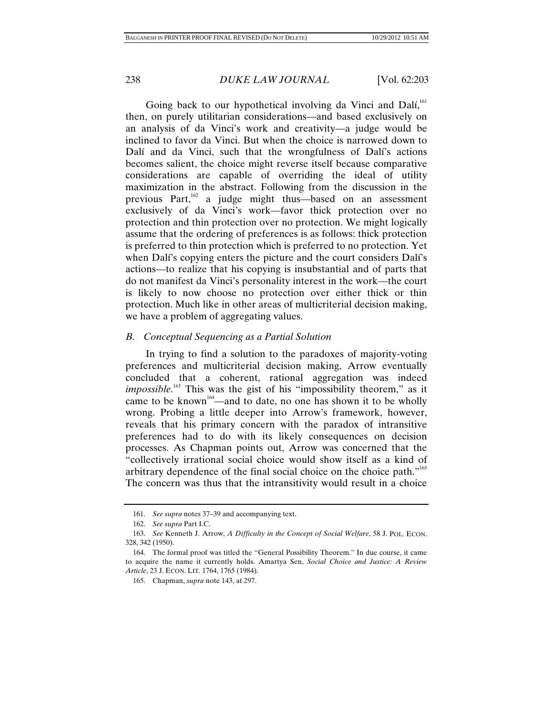Going back to our hypothetical involving da Vinci and Dalí, $^{161}$ then, on purely utilitarian considerations—and based exclusively on an analysis of da Vinci's work and creativity—a judge would be inclined to favor da Vinci. But when the choice is narrowed down to Dalí and da Vinci, such that the wrongfulness of Dalí's actions becomes salient, the choice might reverse itself because comparative considerations are capable of overriding the ideal of utility maximization in the abstract. Following from the discussion in the previous Part,<sup>162</sup> a judge might thus—based on an assessment exclusively of da Vinci's work—favor thick protection over no protection and thin protection over no protection. We might logically assume that the ordering of preferences is as follows: thick protection is preferred to thin protection which is preferred to no protection. Yet when Dalí's copying enters the picture and the court considers Dalí's actions—to realize that his copying is insubstantial and of parts that do not manifest da Vinci's personality interest in the work—the court is likely to now choose no protection over either thick or thin protection. Much like in other areas of multicriterial decision making, we have a problem of aggregating values.

### *B. Conceptual Sequencing as a Partial Solution*

In trying to find a solution to the paradoxes of majority-voting preferences and multicriterial decision making, Arrow eventually concluded that a coherent, rational aggregation was indeed *impossible*. 163 This was the gist of his "impossibility theorem," as it came to be known<sup>164</sup>—and to date, no one has shown it to be wholly wrong. Probing a little deeper into Arrow's framework, however, reveals that his primary concern with the paradox of intransitive preferences had to do with its likely consequences on decision processes. As Chapman points out, Arrow was concerned that the "collectively irrational social choice would show itself as a kind of arbitrary dependence of the final social choice on the choice path."165 The concern was thus that the intransitivity would result in a choice

 <sup>161.</sup> *See supra* notes 37–39 and accompanying text.

 <sup>162.</sup> *See supra* Part I.C.

 <sup>163.</sup> *See* Kenneth J. Arrow, *A Difficulty in the Concept of Social Welfare*, 58 J. POL. ECON. 328, 342 (1950).

 <sup>164.</sup> The formal proof was titled the "General Possibility Theorem." In due course, it came to acquire the name it currently holds. Amartya Sen, *Social Choice and Justice: A Review Article*, 23 J. ECON. LIT. 1764, 1765 (1984).

 <sup>165.</sup> Chapman, *supra* note 143, at 297.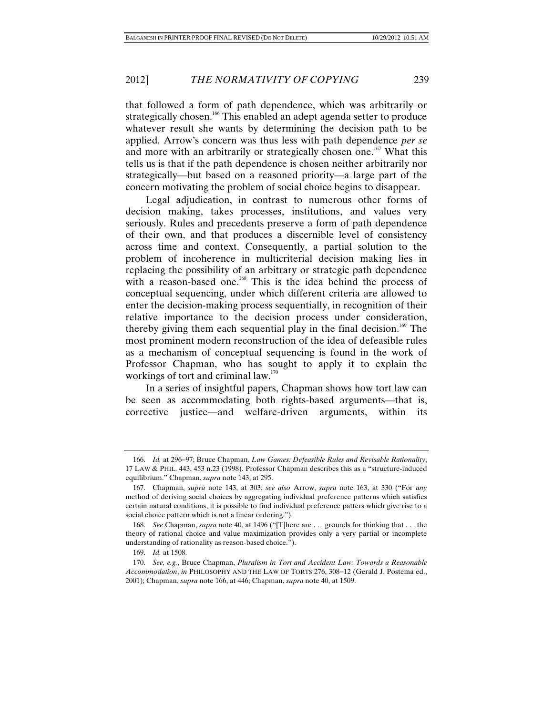that followed a form of path dependence, which was arbitrarily or strategically chosen.<sup>166</sup> This enabled an adept agenda setter to produce whatever result she wants by determining the decision path to be applied. Arrow's concern was thus less with path dependence *per se* and more with an arbitrarily or strategically chosen one.<sup>167</sup> What this tells us is that if the path dependence is chosen neither arbitrarily nor strategically—but based on a reasoned priority—a large part of the concern motivating the problem of social choice begins to disappear.

Legal adjudication, in contrast to numerous other forms of decision making, takes processes, institutions, and values very seriously. Rules and precedents preserve a form of path dependence of their own, and that produces a discernible level of consistency across time and context. Consequently, a partial solution to the problem of incoherence in multicriterial decision making lies in replacing the possibility of an arbitrary or strategic path dependence with a reason-based one.<sup>168</sup> This is the idea behind the process of conceptual sequencing, under which different criteria are allowed to enter the decision-making process sequentially, in recognition of their relative importance to the decision process under consideration, thereby giving them each sequential play in the final decision.<sup>169</sup> The most prominent modern reconstruction of the idea of defeasible rules as a mechanism of conceptual sequencing is found in the work of Professor Chapman, who has sought to apply it to explain the workings of tort and criminal law. $170$ 

In a series of insightful papers, Chapman shows how tort law can be seen as accommodating both rights-based arguments—that is, corrective justice—and welfare-driven arguments, within its

<sup>166.</sup> *Id.* at 296–97; Bruce Chapman, *Law Games: Defeasible Rules and Revisable Rationality*, 17 LAW & PHIL. 443, 453 n.23 (1998). Professor Chapman describes this as a "structure-induced equilibrium." Chapman, *supra* note 143, at 295.

 <sup>167.</sup> Chapman, *supra* note 143, at 303; *see also* Arrow, *supra* note 163, at 330 ("For *any* method of deriving social choices by aggregating individual preference patterns which satisfies certain natural conditions, it is possible to find individual preference patters which give rise to a social choice pattern which is not a linear ordering.").

 <sup>168.</sup> *See* Chapman, *supra* note 40, at 1496 ("[T]here are . . . grounds for thinking that . . . the theory of rational choice and value maximization provides only a very partial or incomplete understanding of rationality as reason-based choice.").

 <sup>169.</sup> *Id.* at 1508.

 <sup>170.</sup> *See, e.g.*, Bruce Chapman, *Pluralism in Tort and Accident Law: Towards a Reasonable Accommodation*, *in* PHILOSOPHY AND THE LAW OF TORTS 276, 308-12 (Gerald J. Postema ed., 2001); Chapman, *supra* note 166, at 446; Chapman, *supra* note 40, at 1509.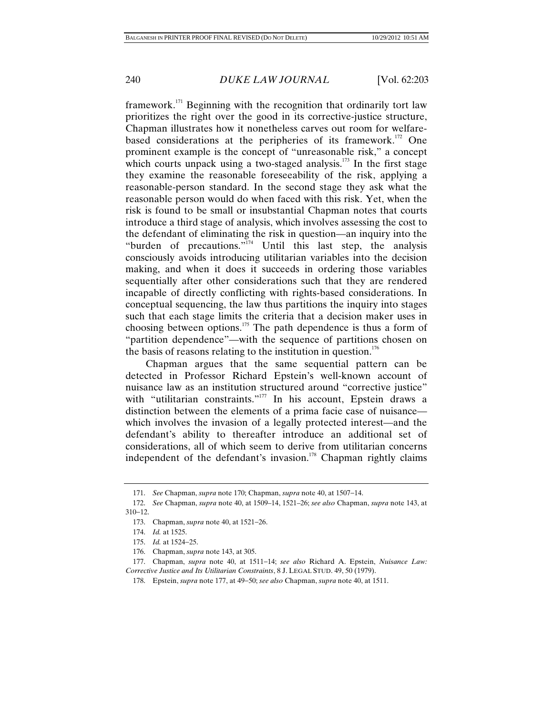framework.<sup>171</sup> Beginning with the recognition that ordinarily tort law prioritizes the right over the good in its corrective-justice structure, Chapman illustrates how it nonetheless carves out room for welfarebased considerations at the peripheries of its framework.<sup>172</sup> One prominent example is the concept of "unreasonable risk," a concept which courts unpack using a two-staged analysis. $173$  In the first stage they examine the reasonable foreseeability of the risk, applying a reasonable-person standard. In the second stage they ask what the reasonable person would do when faced with this risk. Yet, when the risk is found to be small or insubstantial Chapman notes that courts introduce a third stage of analysis, which involves assessing the cost to the defendant of eliminating the risk in question—an inquiry into the "burden of precautions."<sup>174</sup> Until this last step, the analysis consciously avoids introducing utilitarian variables into the decision making, and when it does it succeeds in ordering those variables sequentially after other considerations such that they are rendered incapable of directly conflicting with rights-based considerations. In conceptual sequencing, the law thus partitions the inquiry into stages such that each stage limits the criteria that a decision maker uses in choosing between options.175 The path dependence is thus a form of "partition dependence"—with the sequence of partitions chosen on the basis of reasons relating to the institution in question.<sup>176</sup>

Chapman argues that the same sequential pattern can be detected in Professor Richard Epstein's well-known account of nuisance law as an institution structured around "corrective justice" with "utilitarian constraints."<sup>177</sup> In his account, Epstein draws a distinction between the elements of a prima facie case of nuisance which involves the invasion of a legally protected interest—and the defendant's ability to thereafter introduce an additional set of considerations, all of which seem to derive from utilitarian concerns independent of the defendant's invasion.<sup>178</sup> Chapman rightly claims

<sup>171.</sup> *See* Chapman, *supra* note 170; Chapman, *supra* note 40, at 1507–14.

 <sup>172.</sup> *See* Chapman, *supra* note 40, at 1509–14, 1521–26; *see also* Chapman, *supra* note 143, at  $310 - 12$ .

<sup>173.</sup> Chapman, *supra* note 40, at 1521–26.

 <sup>174.</sup> *Id.* at 1525.

<sup>175.</sup> *Id.* at 1524-25.

 <sup>176.</sup> Chapman, *supra* note 143, at 305.

<sup>177.</sup> Chapman, *supra* note 40, at 1511-14; *see also* Richard A. Epstein, *Nuisance Law: Corrective Justice and Its Utilitarian Constraints*, 8 J. LEGAL STUD. 49, 50 (1979).

<sup>178.</sup> Epstein, *supra* note 177, at 49–50; *see also* Chapman, *supra* note 40, at 1511.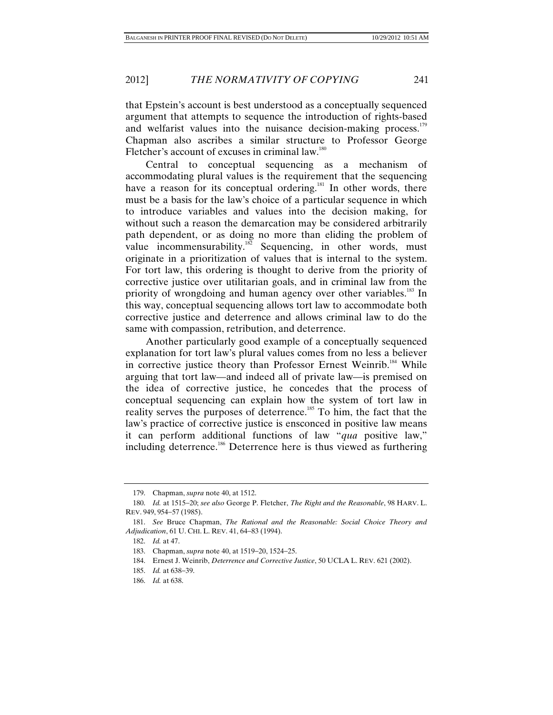that Epstein's account is best understood as a conceptually sequenced argument that attempts to sequence the introduction of rights-based and welfarist values into the nuisance decision-making process.<sup>179</sup> Chapman also ascribes a similar structure to Professor George Fletcher's account of excuses in criminal law.<sup>180</sup>

Central to conceptual sequencing as a mechanism of accommodating plural values is the requirement that the sequencing have a reason for its conceptual ordering.<sup>181</sup> In other words, there must be a basis for the law's choice of a particular sequence in which to introduce variables and values into the decision making, for without such a reason the demarcation may be considered arbitrarily path dependent, or as doing no more than eliding the problem of value incommensurability. $182$  Sequencing, in other words, must originate in a prioritization of values that is internal to the system. For tort law, this ordering is thought to derive from the priority of corrective justice over utilitarian goals, and in criminal law from the priority of wrongdoing and human agency over other variables.<sup>183</sup> In this way, conceptual sequencing allows tort law to accommodate both corrective justice and deterrence and allows criminal law to do the same with compassion, retribution, and deterrence.

Another particularly good example of a conceptually sequenced explanation for tort law's plural values comes from no less a believer in corrective justice theory than Professor Ernest Weinrib.<sup>184</sup> While arguing that tort law—and indeed all of private law—is premised on the idea of corrective justice, he concedes that the process of conceptual sequencing can explain how the system of tort law in reality serves the purposes of deterrence.<sup>185</sup> To him, the fact that the law's practice of corrective justice is ensconced in positive law means it can perform additional functions of law "*qua* positive law," including deterrence.186 Deterrence here is thus viewed as furthering

 <sup>179.</sup> Chapman, *supra* note 40, at 1512.

<sup>180.</sup> *Id.* at 1515–20; see also George P. Fletcher, *The Right and the Reasonable*, 98 HARV. L. REV. 949, 954-57 (1985).

 <sup>181.</sup> *See* Bruce Chapman, *The Rational and the Reasonable: Social Choice Theory and Adjudication*, 61 U. CHI. L. REV. 41, 64-83 (1994).

 <sup>182.</sup> *Id.* at 47.

<sup>183.</sup> Chapman, *supra* note 40, at 1519–20, 1524–25.

 <sup>184.</sup> Ernest J. Weinrib, *Deterrence and Corrective Justice*, 50 UCLA L. REV. 621 (2002).

<sup>185.</sup> *Id.* at 638-39.

 <sup>186.</sup> *Id.* at 638.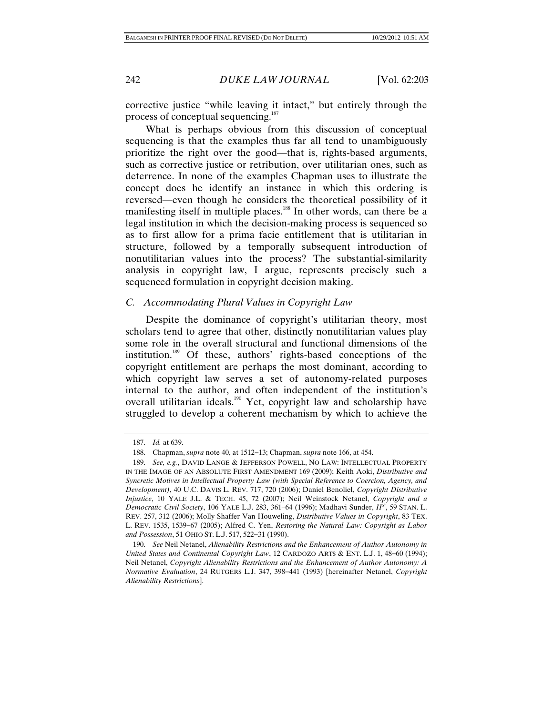corrective justice "while leaving it intact," but entirely through the process of conceptual sequencing.<sup>187</sup>

What is perhaps obvious from this discussion of conceptual sequencing is that the examples thus far all tend to unambiguously prioritize the right over the good—that is, rights-based arguments, such as corrective justice or retribution, over utilitarian ones, such as deterrence. In none of the examples Chapman uses to illustrate the concept does he identify an instance in which this ordering is reversed—even though he considers the theoretical possibility of it manifesting itself in multiple places.<sup>188</sup> In other words, can there be a legal institution in which the decision-making process is sequenced so as to first allow for a prima facie entitlement that is utilitarian in structure, followed by a temporally subsequent introduction of nonutilitarian values into the process? The substantial-similarity analysis in copyright law, I argue, represents precisely such a sequenced formulation in copyright decision making.

# *C. Accommodating Plural Values in Copyright Law*

Despite the dominance of copyright's utilitarian theory, most scholars tend to agree that other, distinctly nonutilitarian values play some role in the overall structural and functional dimensions of the institution.189 Of these, authors' rights-based conceptions of the copyright entitlement are perhaps the most dominant, according to which copyright law serves a set of autonomy-related purposes internal to the author, and often independent of the institution's overall utilitarian ideals.<sup>190</sup> Yet, copyright law and scholarship have struggled to develop a coherent mechanism by which to achieve the

 <sup>187.</sup> *Id.* at 639.

<sup>188.</sup> Chapman, *supra* note 40, at 1512-13; Chapman, *supra* note 166, at 454.

 <sup>189.</sup> *See, e.g.*, DAVID LANGE & JEFFERSON POWELL, NO LAW: INTELLECTUAL PROPERTY IN THE IMAGE OF AN ABSOLUTE FIRST AMENDMENT 169 (2009); Keith Aoki, *Distributive and Syncretic Motives in Intellectual Property Law (with Special Reference to Coercion, Agency, and Development)*, 40 U.C. DAVIS L. REV. 717, 720 (2006); Daniel Benoliel, *Copyright Distributive Injustice*, 10 YALE J.L. & TECH. 45, 72 (2007); Neil Weinstock Netanel, *Copyright and a Democratic Civil Society*, 106 YALE L.J. 283, 361–64 (1996); Madhavi Sunder, *IP<sup>3</sup>* , 59 STAN. L. REV. 257, 312 (2006); Molly Shaffer Van Houweling, *Distributive Values in Copyright*, 83 TEX. L. REV. 1535, 1539-67 (2005); Alfred C. Yen, *Restoring the Natural Law: Copyright as Labor* and Possession, 51 OHIO ST. L.J. 517, 522-31 (1990).

 <sup>190.</sup> *See* Neil Netanel, *Alienability Restrictions and the Enhancement of Author Autonomy in United States and Continental Copyright Law*, 12 CARDOZO ARTS & ENT. L.J. 1, 48-60 (1994); Neil Netanel, *Copyright Alienability Restrictions and the Enhancement of Author Autonomy: A Normative Evaluation*, 24 RUTGERS L.J. 347, 398-441 (1993) [hereinafter Netanel, *Copyright Alienability Restrictions*].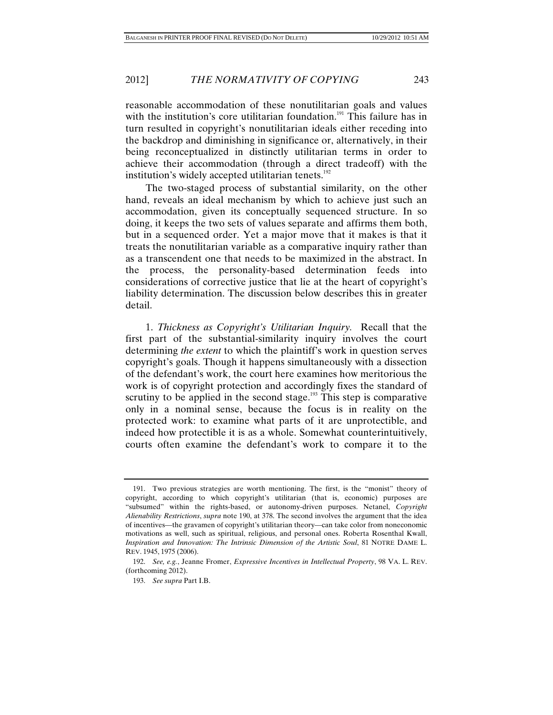reasonable accommodation of these nonutilitarian goals and values with the institution's core utilitarian foundation.<sup>191</sup> This failure has in turn resulted in copyright's nonutilitarian ideals either receding into the backdrop and diminishing in significance or, alternatively, in their being reconceptualized in distinctly utilitarian terms in order to achieve their accommodation (through a direct tradeoff) with the institution's widely accepted utilitarian tenets.<sup>192</sup>

The two-staged process of substantial similarity, on the other hand, reveals an ideal mechanism by which to achieve just such an accommodation, given its conceptually sequenced structure. In so doing, it keeps the two sets of values separate and affirms them both, but in a sequenced order. Yet a major move that it makes is that it treats the nonutilitarian variable as a comparative inquiry rather than as a transcendent one that needs to be maximized in the abstract. In the process, the personality-based determination feeds into considerations of corrective justice that lie at the heart of copyright's liability determination. The discussion below describes this in greater detail.

1. *Thickness as Copyright's Utilitarian Inquiry.* Recall that the first part of the substantial-similarity inquiry involves the court determining *the extent* to which the plaintiff's work in question serves copyright's goals. Though it happens simultaneously with a dissection of the defendant's work, the court here examines how meritorious the work is of copyright protection and accordingly fixes the standard of scrutiny to be applied in the second stage.<sup>193</sup> This step is comparative only in a nominal sense, because the focus is in reality on the protected work: to examine what parts of it are unprotectible, and indeed how protectible it is as a whole. Somewhat counterintuitively, courts often examine the defendant's work to compare it to the

 <sup>191.</sup> Two previous strategies are worth mentioning. The first, is the "monist" theory of copyright, according to which copyright's utilitarian (that is, economic) purposes are "subsumed" within the rights-based, or autonomy-driven purposes. Netanel, *Copyright Alienability Restrictions*, *supra* note 190, at 378. The second involves the argument that the idea of incentives—the gravamen of copyright's utilitarian theory—can take color from noneconomic motivations as well, such as spiritual, religious, and personal ones. Roberta Rosenthal Kwall, *Inspiration and Innovation: The Intrinsic Dimension of the Artistic Soul*, 81 NOTRE DAME L. REV. 1945, 1975 (2006).

 <sup>192.</sup> *See, e.g.*, Jeanne Fromer, *Expressive Incentives in Intellectual Property*, 98 VA. L. REV. (forthcoming 2012).

 <sup>193.</sup> *See supra* Part I.B.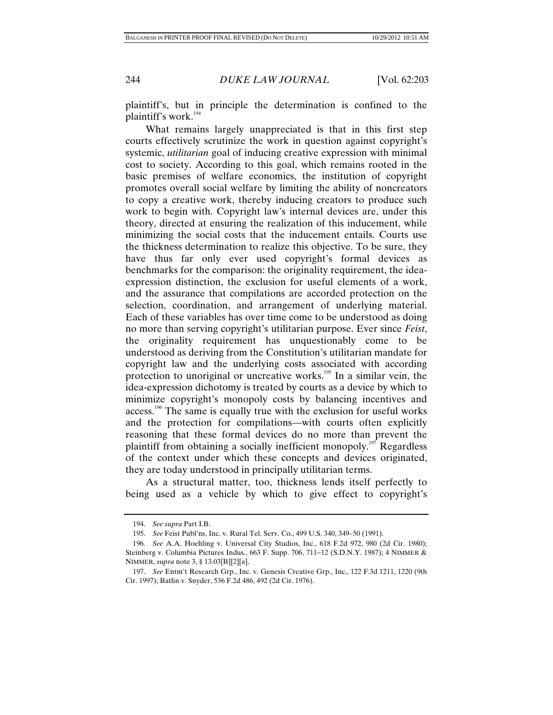plaintiff's, but in principle the determination is confined to the plaintiff's work.<sup>194</sup>

What remains largely unappreciated is that in this first step courts effectively scrutinize the work in question against copyright's systemic, *utilitarian* goal of inducing creative expression with minimal cost to society. According to this goal, which remains rooted in the basic premises of welfare economics, the institution of copyright promotes overall social welfare by limiting the ability of noncreators to copy a creative work, thereby inducing creators to produce such work to begin with. Copyright law's internal devices are, under this theory, directed at ensuring the realization of this inducement, while minimizing the social costs that the inducement entails. Courts use the thickness determination to realize this objective. To be sure, they have thus far only ever used copyright's formal devices as benchmarks for the comparison: the originality requirement, the ideaexpression distinction, the exclusion for useful elements of a work, and the assurance that compilations are accorded protection on the selection, coordination, and arrangement of underlying material. Each of these variables has over time come to be understood as doing no more than serving copyright's utilitarian purpose. Ever since *Feist*, the originality requirement has unquestionably come to be understood as deriving from the Constitution's utilitarian mandate for copyright law and the underlying costs associated with according protection to unoriginal or uncreative works.<sup>195</sup> In a similar vein, the idea-expression dichotomy is treated by courts as a device by which to minimize copyright's monopoly costs by balancing incentives and access.<sup>196</sup> The same is equally true with the exclusion for useful works and the protection for compilations—with courts often explicitly reasoning that these formal devices do no more than prevent the plaintiff from obtaining a socially inefficient monopoly.<sup>197</sup> Regardless of the context under which these concepts and devices originated, they are today understood in principally utilitarian terms.

As a structural matter, too, thickness lends itself perfectly to being used as a vehicle by which to give effect to copyright's

 <sup>194.</sup> *See supra* Part I.B.

 <sup>195.</sup> *See* Feist Publ'ns, Inc. v. Rural Tel. Serv. Co., 499 U.S. 340, 349–50 (1991).

 <sup>196.</sup> *See* A.A. Hoehling v. Universal City Studios, Inc., 618 F.2d 972, 980 (2d Cir. 1980); Steinberg v. Columbia Pictures Indus., 663 F. Supp. 706, 711-12 (S.D.N.Y. 1987); 4 NIMMER & NIMMER, *supra* note 3, § 13.03[B][2][a].

 <sup>197.</sup> *See* Entm't Research Grp., Inc. v. Genesis Creative Grp., Inc., 122 F.3d 1211, 1220 (9th Cir. 1997); Batlin v. Snyder, 536 F.2d 486, 492 (2d Cir. 1976).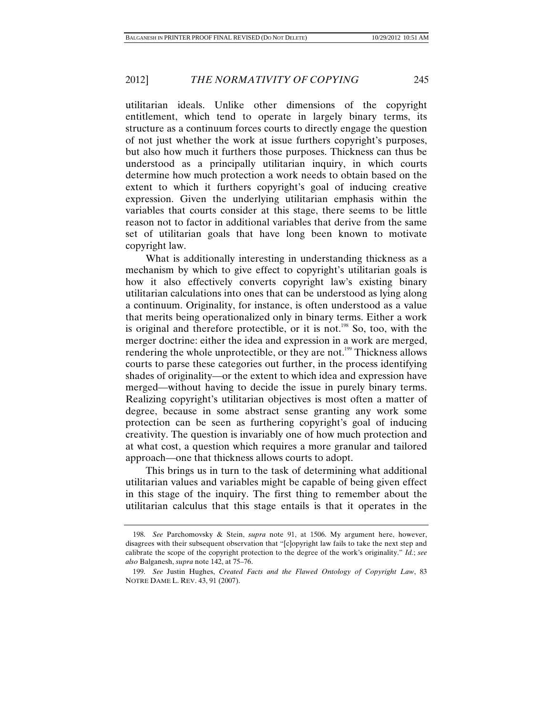utilitarian ideals. Unlike other dimensions of the copyright entitlement, which tend to operate in largely binary terms, its structure as a continuum forces courts to directly engage the question of not just whether the work at issue furthers copyright's purposes, but also how much it furthers those purposes. Thickness can thus be understood as a principally utilitarian inquiry, in which courts determine how much protection a work needs to obtain based on the extent to which it furthers copyright's goal of inducing creative expression. Given the underlying utilitarian emphasis within the variables that courts consider at this stage, there seems to be little reason not to factor in additional variables that derive from the same set of utilitarian goals that have long been known to motivate copyright law.

What is additionally interesting in understanding thickness as a mechanism by which to give effect to copyright's utilitarian goals is how it also effectively converts copyright law's existing binary utilitarian calculations into ones that can be understood as lying along a continuum. Originality, for instance, is often understood as a value that merits being operationalized only in binary terms. Either a work is original and therefore protectible, or it is not.<sup>198</sup> So, too, with the merger doctrine: either the idea and expression in a work are merged, rendering the whole unprotectible, or they are not.<sup>199</sup> Thickness allows courts to parse these categories out further, in the process identifying shades of originality—or the extent to which idea and expression have merged—without having to decide the issue in purely binary terms. Realizing copyright's utilitarian objectives is most often a matter of degree, because in some abstract sense granting any work some protection can be seen as furthering copyright's goal of inducing creativity. The question is invariably one of how much protection and at what cost, a question which requires a more granular and tailored approach—one that thickness allows courts to adopt.

This brings us in turn to the task of determining what additional utilitarian values and variables might be capable of being given effect in this stage of the inquiry. The first thing to remember about the utilitarian calculus that this stage entails is that it operates in the

 <sup>198.</sup> *See* Parchomovsky & Stein, *supra* note 91, at 1506. My argument here, however, disagrees with their subsequent observation that "[c]opyright law fails to take the next step and calibrate the scope of the copyright protection to the degree of the work's originality." *Id.*; *see also* Balganesh, *supra* note 142, at 75–76.

 <sup>199.</sup> *See* Justin Hughes, *Created Facts and the Flawed Ontology of Copyright Law*, 83 NOTRE DAME L. REV. 43, 91 (2007).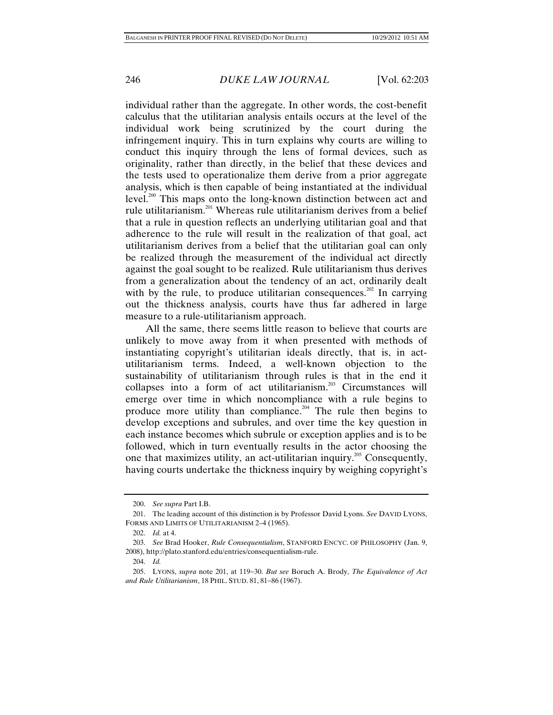individual rather than the aggregate. In other words, the cost-benefit calculus that the utilitarian analysis entails occurs at the level of the individual work being scrutinized by the court during the infringement inquiry. This in turn explains why courts are willing to conduct this inquiry through the lens of formal devices, such as originality, rather than directly, in the belief that these devices and the tests used to operationalize them derive from a prior aggregate analysis, which is then capable of being instantiated at the individual level.<sup>200</sup> This maps onto the long-known distinction between act and rule utilitarianism.201 Whereas rule utilitarianism derives from a belief that a rule in question reflects an underlying utilitarian goal and that adherence to the rule will result in the realization of that goal, act utilitarianism derives from a belief that the utilitarian goal can only be realized through the measurement of the individual act directly against the goal sought to be realized. Rule utilitarianism thus derives from a generalization about the tendency of an act, ordinarily dealt with by the rule, to produce utilitarian consequences.<sup>202</sup> In carrying out the thickness analysis, courts have thus far adhered in large measure to a rule-utilitarianism approach.

All the same, there seems little reason to believe that courts are unlikely to move away from it when presented with methods of instantiating copyright's utilitarian ideals directly, that is, in actutilitarianism terms. Indeed, a well-known objection to the sustainability of utilitarianism through rules is that in the end it collapses into a form of act utilitarianism.203 Circumstances will emerge over time in which noncompliance with a rule begins to produce more utility than compliance.<sup>204</sup> The rule then begins to develop exceptions and subrules, and over time the key question in each instance becomes which subrule or exception applies and is to be followed, which in turn eventually results in the actor choosing the one that maximizes utility, an act-utilitarian inquiry.205 Consequently, having courts undertake the thickness inquiry by weighing copyright's

 <sup>200.</sup> *See supra* Part I.B.

 <sup>201.</sup> The leading account of this distinction is by Professor David Lyons. *See* DAVID LYONS, FORMS AND LIMITS OF UTILITARIANISM 2–4 (1965).

 <sup>202.</sup> *Id.* at 4.

 <sup>203.</sup> *See* Brad Hooker, *Rule Consequentialism*, STANFORD ENCYC. OF PHILOSOPHY (Jan. 9, 2008), http://plato.stanford.edu/entries/consequentialism-rule.

 <sup>204.</sup> *Id.*

<sup>205.</sup> LYONS, *supra* note 201, at 119-30. *But see* Boruch A. Brody, *The Equivalence of Act* and Rule Utilitarianism, 18 PHIL. STUD. 81, 81-86 (1967).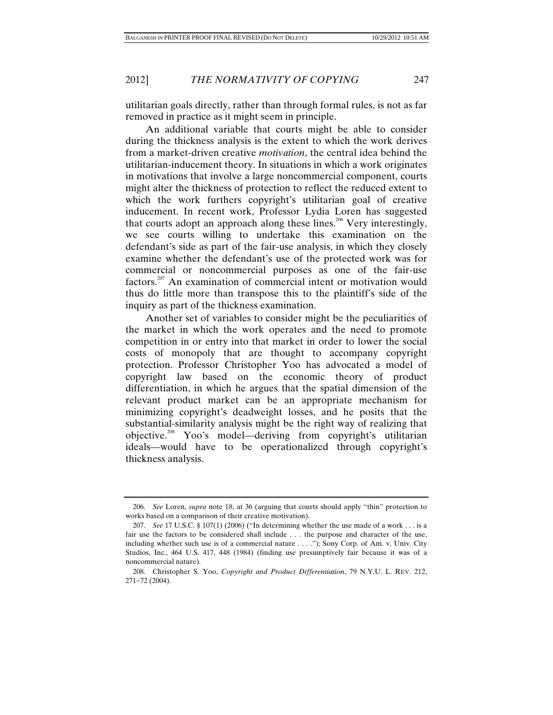utilitarian goals directly, rather than through formal rules, is not as far removed in practice as it might seem in principle.

An additional variable that courts might be able to consider during the thickness analysis is the extent to which the work derives from a market-driven creative *motivation*, the central idea behind the utilitarian-inducement theory. In situations in which a work originates in motivations that involve a large noncommercial component, courts might alter the thickness of protection to reflect the reduced extent to which the work furthers copyright's utilitarian goal of creative inducement. In recent work, Professor Lydia Loren has suggested that courts adopt an approach along these lines.<sup>206</sup> Very interestingly, we see courts willing to undertake this examination on the defendant's side as part of the fair-use analysis, in which they closely examine whether the defendant's use of the protected work was for commercial or noncommercial purposes as one of the fair-use factors.207 An examination of commercial intent or motivation would thus do little more than transpose this to the plaintiff's side of the inquiry as part of the thickness examination.

Another set of variables to consider might be the peculiarities of the market in which the work operates and the need to promote competition in or entry into that market in order to lower the social costs of monopoly that are thought to accompany copyright protection. Professor Christopher Yoo has advocated a model of copyright law based on the economic theory of product differentiation, in which he argues that the spatial dimension of the relevant product market can be an appropriate mechanism for minimizing copyright's deadweight losses, and he posits that the substantial-similarity analysis might be the right way of realizing that objective.208 Yoo's model—deriving from copyright's utilitarian ideals—would have to be operationalized through copyright's thickness analysis.

 <sup>206.</sup> *See* Loren, *supra* note 18, at 36 (arguing that courts should apply "thin" protection to works based on a comparison of their creative motivation).

 <sup>207.</sup> *See* 17 U.S.C. § 107(1) (2006) ("In determining whether the use made of a work . . . is a fair use the factors to be considered shall include . . . the purpose and character of the use, including whether such use is of a commercial nature . . . ."); Sony Corp. of Am. v. Univ. City Studios, Inc., 464 U.S. 417, 448 (1984) (finding use presumptively fair because it was of a noncommercial nature).

 <sup>208.</sup> Christopher S. Yoo, *Copyright and Product Differentiation*, 79 N.Y.U. L. REV. 212, 271-72 (2004).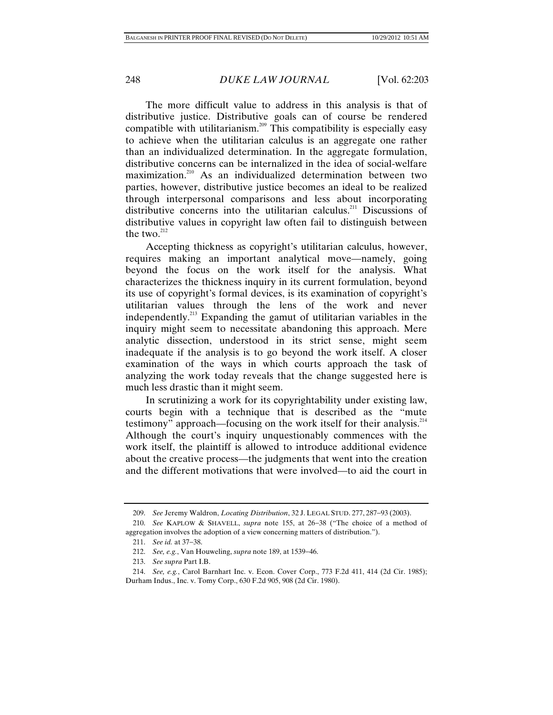The more difficult value to address in this analysis is that of distributive justice. Distributive goals can of course be rendered compatible with utilitarianism.<sup>209</sup> This compatibility is especially easy to achieve when the utilitarian calculus is an aggregate one rather than an individualized determination. In the aggregate formulation, distributive concerns can be internalized in the idea of social-welfare maximization.210 As an individualized determination between two parties, however, distributive justice becomes an ideal to be realized through interpersonal comparisons and less about incorporating distributive concerns into the utilitarian calculus.<sup>211</sup> Discussions of distributive values in copyright law often fail to distinguish between the two. $^{212}$ 

Accepting thickness as copyright's utilitarian calculus, however, requires making an important analytical move—namely, going beyond the focus on the work itself for the analysis. What characterizes the thickness inquiry in its current formulation, beyond its use of copyright's formal devices, is its examination of copyright's utilitarian values through the lens of the work and never independently.213 Expanding the gamut of utilitarian variables in the inquiry might seem to necessitate abandoning this approach. Mere analytic dissection, understood in its strict sense, might seem inadequate if the analysis is to go beyond the work itself. A closer examination of the ways in which courts approach the task of analyzing the work today reveals that the change suggested here is much less drastic than it might seem.

In scrutinizing a work for its copyrightability under existing law, courts begin with a technique that is described as the "mute testimony" approach—focusing on the work itself for their analysis.<sup>214</sup> Although the court's inquiry unquestionably commences with the work itself, the plaintiff is allowed to introduce additional evidence about the creative process—the judgments that went into the creation and the different motivations that were involved—to aid the court in

213. *See supra* Part I.B.

<sup>209.</sup> *See Jeremy Waldron, Locating Distribution, 32 J. LEGAL STUD. 277, 287-93 (2003).* 

<sup>210.</sup> *See* KAPLOW & SHAVELL, *supra* note 155, at 26-38 ("The choice of a method of aggregation involves the adoption of a view concerning matters of distribution.").

<sup>211.</sup> *See id.* at 37-38.

<sup>212.</sup> *See, e.g.*, Van Houweling, *supra* note 189, at 1539-46.

 <sup>214.</sup> *See, e.g.*, Carol Barnhart Inc. v. Econ. Cover Corp., 773 F.2d 411, 414 (2d Cir. 1985); Durham Indus., Inc. v. Tomy Corp., 630 F.2d 905, 908 (2d Cir. 1980).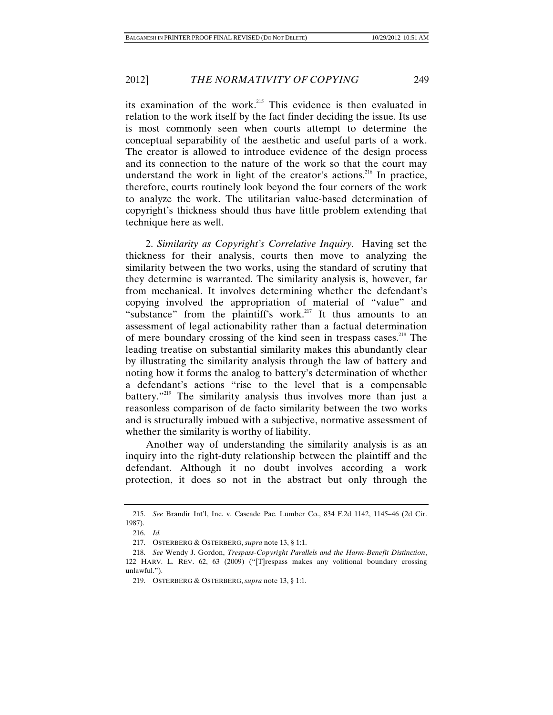its examination of the work.<sup>215</sup> This evidence is then evaluated in relation to the work itself by the fact finder deciding the issue. Its use is most commonly seen when courts attempt to determine the conceptual separability of the aesthetic and useful parts of a work. The creator is allowed to introduce evidence of the design process and its connection to the nature of the work so that the court may understand the work in light of the creator's actions.<sup>216</sup> In practice, therefore, courts routinely look beyond the four corners of the work to analyze the work. The utilitarian value-based determination of copyright's thickness should thus have little problem extending that technique here as well.

2. *Similarity as Copyright's Correlative Inquiry.* Having set the thickness for their analysis, courts then move to analyzing the similarity between the two works, using the standard of scrutiny that they determine is warranted. The similarity analysis is, however, far from mechanical. It involves determining whether the defendant's copying involved the appropriation of material of "value" and "substance" from the plaintiff's work.<sup>217</sup> It thus amounts to an assessment of legal actionability rather than a factual determination of mere boundary crossing of the kind seen in trespass cases.<sup>218</sup> The leading treatise on substantial similarity makes this abundantly clear by illustrating the similarity analysis through the law of battery and noting how it forms the analog to battery's determination of whether a defendant's actions "rise to the level that is a compensable battery."<sup>219</sup> The similarity analysis thus involves more than just a reasonless comparison of de facto similarity between the two works and is structurally imbued with a subjective, normative assessment of whether the similarity is worthy of liability.

Another way of understanding the similarity analysis is as an inquiry into the right-duty relationship between the plaintiff and the defendant. Although it no doubt involves according a work protection, it does so not in the abstract but only through the

 <sup>215.</sup> *See* Brandir Int'l, Inc. v. Cascade Pac. Lumber Co., 834 F.2d 1142, 1145–46 (2d Cir. 1987).

 <sup>216.</sup> *Id.*

 <sup>217.</sup> OSTERBERG & OSTERBERG, *supra* note 13, § 1:1.

 <sup>218.</sup> *See* Wendy J. Gordon, *Trespass-Copyright Parallels and the Harm-Benefit Distinction*, 122 HARV. L. REV. 62, 63 (2009) ("[T]respass makes any volitional boundary crossing unlawful.").

 <sup>219.</sup> OSTERBERG & OSTERBERG, *supra* note 13, § 1:1.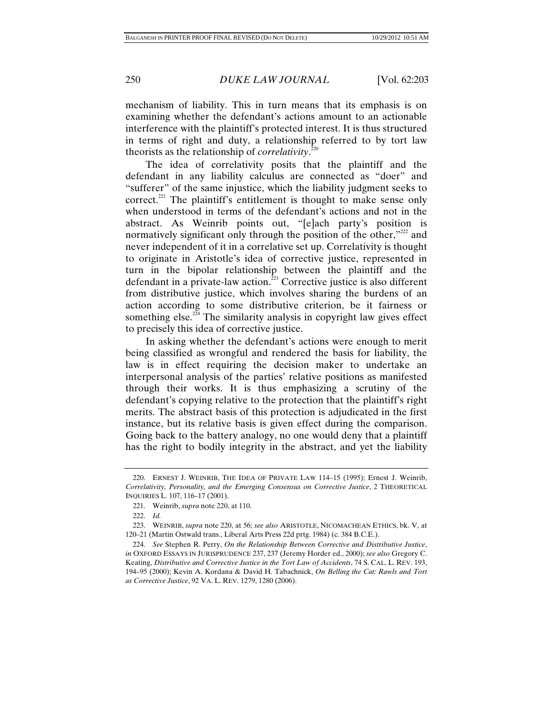mechanism of liability. This in turn means that its emphasis is on examining whether the defendant's actions amount to an actionable interference with the plaintiff's protected interest. It is thus structured in terms of right and duty, a relationship referred to by tort law theorists as the relationship of *correlativity*. 220

The idea of correlativity posits that the plaintiff and the defendant in any liability calculus are connected as "doer" and "sufferer" of the same injustice, which the liability judgment seeks to correct.<sup>221</sup> The plaintiff's entitlement is thought to make sense only when understood in terms of the defendant's actions and not in the abstract. As Weinrib points out, "[e]ach party's position is normatively significant only through the position of the other, $v^{222}$  and never independent of it in a correlative set up. Correlativity is thought to originate in Aristotle's idea of corrective justice, represented in turn in the bipolar relationship between the plaintiff and the defendant in a private-law action.<sup> $223$ </sup> Corrective justice is also different from distributive justice, which involves sharing the burdens of an action according to some distributive criterion, be it fairness or something else.<sup> $2\overline{24}$ </sup> The similarity analysis in copyright law gives effect to precisely this idea of corrective justice.

In asking whether the defendant's actions were enough to merit being classified as wrongful and rendered the basis for liability, the law is in effect requiring the decision maker to undertake an interpersonal analysis of the parties' relative positions as manifested through their works. It is thus emphasizing a scrutiny of the defendant's copying relative to the protection that the plaintiff's right merits. The abstract basis of this protection is adjudicated in the first instance, but its relative basis is given effect during the comparison. Going back to the battery analogy, no one would deny that a plaintiff has the right to bodily integrity in the abstract, and yet the liability

 <sup>220.</sup> ERNEST J. WEINRIB, THE IDEA OF PRIVATE LAW 114–15 (1995); Ernest J. Weinrib, *Correlativity, Personality, and the Emerging Consensus on Corrective Justice*, 2 THEORETICAL INQUIRIES L. 107, 116–17 (2001).

 <sup>221.</sup> Weinrib, *supra* note 220, at 110.

 <sup>222.</sup> *Id.*

 <sup>223.</sup> WEINRIB, *supra* note 220, at 56; *see also* ARISTOTLE, NICOMACHEAN ETHICS, bk. V, at 120–21 (Martin Ostwald trans., Liberal Arts Press 22d prtg. 1984) (c. 384 B.C.E.).

 <sup>224.</sup> *See* Stephen R. Perry, *On the Relationship Between Corrective and Distributive Justice*, *in* OXFORD ESSAYS IN JURISPRUDENCE 237, 237 (Jeremy Horder ed., 2000); *see also* Gregory C. Keating, *Distributive and Corrective Justice in the Tort Law of Accidents*, 74 S. CAL. L. REV. 193, 194–95 (2000); Kevin A. Kordana & David H. Tabachnick, *On Belling the Cat: Rawls and Tort as Corrective Justice*, 92 VA. L. REV. 1279, 1280 (2006).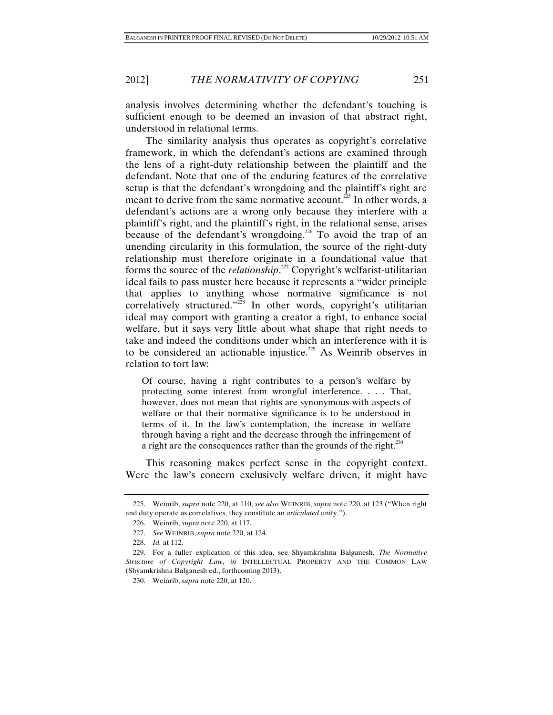analysis involves determining whether the defendant's touching is sufficient enough to be deemed an invasion of that abstract right, understood in relational terms.

The similarity analysis thus operates as copyright's correlative framework, in which the defendant's actions are examined through the lens of a right-duty relationship between the plaintiff and the defendant. Note that one of the enduring features of the correlative setup is that the defendant's wrongdoing and the plaintiff's right are meant to derive from the same normative account.<sup>225</sup> In other words, a defendant's actions are a wrong only because they interfere with a plaintiff's right, and the plaintiff's right, in the relational sense, arises because of the defendant's wrongdoing.<sup>226</sup> To avoid the trap of an unending circularity in this formulation, the source of the right-duty relationship must therefore originate in a foundational value that forms the source of the *relationship*. 227 Copyright's welfarist-utilitarian ideal fails to pass muster here because it represents a "wider principle that applies to anything whose normative significance is not correlatively structured."<sup>228</sup> In other words, copyright's utilitarian ideal may comport with granting a creator a right, to enhance social welfare, but it says very little about what shape that right needs to take and indeed the conditions under which an interference with it is to be considered an actionable injustice.<sup>229</sup> As Weinrib observes in relation to tort law:

Of course, having a right contributes to a person's welfare by protecting some interest from wrongful interference. . . . That, however, does not mean that rights are synonymous with aspects of welfare or that their normative significance is to be understood in terms of it. In the law's contemplation, the increase in welfare through having a right and the decrease through the infringement of a right are the consequences rather than the grounds of the right.<sup>230</sup>

This reasoning makes perfect sense in the copyright context. Were the law's concern exclusively welfare driven, it might have

 <sup>225.</sup> Weinrib, *supra* note 220, at 110; *see also* WEINRIB, *supra* note 220, at 123 ("When right and duty operate as correlatives, they constitute an *articulated* unity.").

 <sup>226.</sup> Weinrib, *supra* note 220, at 117.

 <sup>227.</sup> *See* WEINRIB, *supra* note 220, at 124.

 <sup>228.</sup> *Id.* at 112.

 <sup>229.</sup> For a fuller explication of this idea, see Shyamkrishna Balganesh, *The Normative Structure of Copyright Law*, *in* INTELLECTUAL PROPERTY AND THE COMMON LAW (Shyamkrishna Balganesh ed., forthcoming 2013).

 <sup>230.</sup> Weinrib, *supra* note 220, at 120.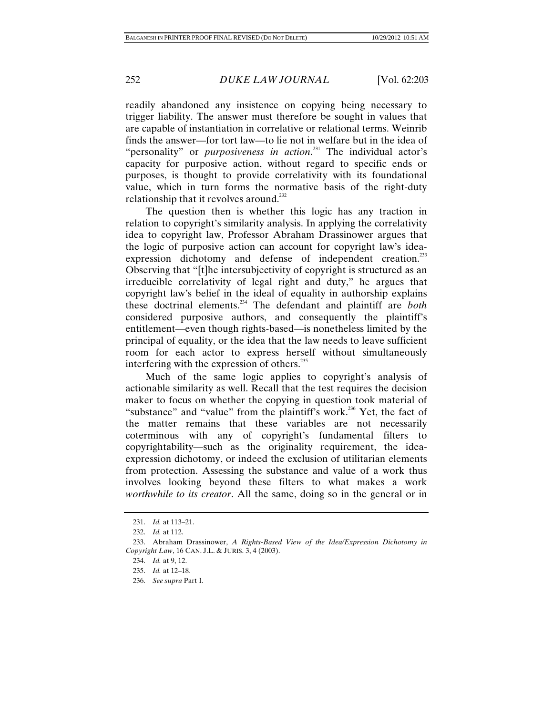readily abandoned any insistence on copying being necessary to trigger liability. The answer must therefore be sought in values that are capable of instantiation in correlative or relational terms. Weinrib finds the answer—for tort law—to lie not in welfare but in the idea of "personality" or *purposiveness in action*.<sup>231</sup> The individual actor's capacity for purposive action, without regard to specific ends or purposes, is thought to provide correlativity with its foundational value, which in turn forms the normative basis of the right-duty relationship that it revolves around.<sup>232</sup>

The question then is whether this logic has any traction in relation to copyright's similarity analysis. In applying the correlativity idea to copyright law, Professor Abraham Drassinower argues that the logic of purposive action can account for copyright law's ideaexpression dichotomy and defense of independent creation.<sup>233</sup> Observing that "[t]he intersubjectivity of copyright is structured as an irreducible correlativity of legal right and duty," he argues that copyright law's belief in the ideal of equality in authorship explains these doctrinal elements.234 The defendant and plaintiff are *both* considered purposive authors, and consequently the plaintiff's entitlement—even though rights-based—is nonetheless limited by the principal of equality, or the idea that the law needs to leave sufficient room for each actor to express herself without simultaneously interfering with the expression of others.<sup>235</sup>

Much of the same logic applies to copyright's analysis of actionable similarity as well. Recall that the test requires the decision maker to focus on whether the copying in question took material of "substance" and "value" from the plaintiff's work.<sup>236</sup> Yet, the fact of the matter remains that these variables are not necessarily coterminous with any of copyright's fundamental filters to copyrightability—such as the originality requirement, the ideaexpression dichotomy, or indeed the exclusion of utilitarian elements from protection. Assessing the substance and value of a work thus involves looking beyond these filters to what makes a work *worthwhile to its creator*. All the same, doing so in the general or in

 <sup>231.</sup> *Id.* at 113–21.

 <sup>232.</sup> *Id.* at 112.

 <sup>233.</sup> Abraham Drassinower, *A Rights-Based View of the Idea/Expression Dichotomy in Copyright Law*, 16 CAN. J.L. & JURIS. 3, 4 (2003).

 <sup>234.</sup> *Id.* at 9, 12.

 <sup>235.</sup> *Id.* at 12–18.

 <sup>236.</sup> *See supra* Part I.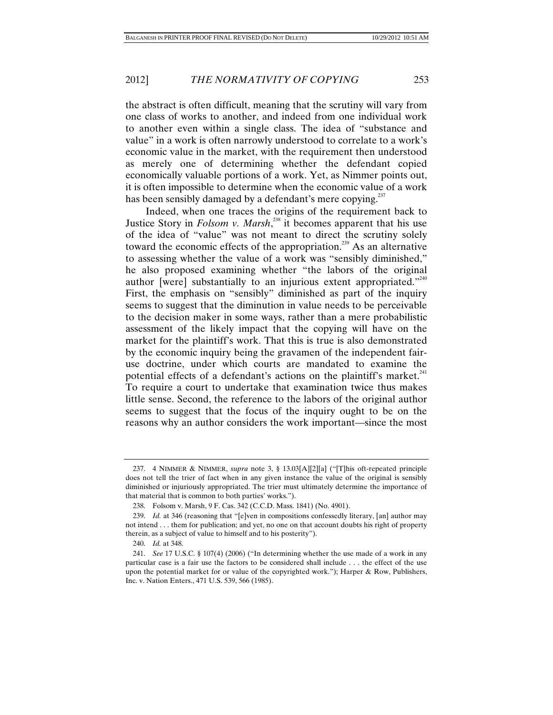the abstract is often difficult, meaning that the scrutiny will vary from one class of works to another, and indeed from one individual work to another even within a single class. The idea of "substance and value" in a work is often narrowly understood to correlate to a work's economic value in the market, with the requirement then understood as merely one of determining whether the defendant copied economically valuable portions of a work. Yet, as Nimmer points out, it is often impossible to determine when the economic value of a work has been sensibly damaged by a defendant's mere copying.<sup>237</sup>

Indeed, when one traces the origins of the requirement back to Justice Story in *Folsom v. Marsh*, 238 it becomes apparent that his use of the idea of "value" was not meant to direct the scrutiny solely toward the economic effects of the appropriation.<sup>239</sup> As an alternative to assessing whether the value of a work was "sensibly diminished," he also proposed examining whether "the labors of the original author [were] substantially to an injurious extent appropriated." $240$ First, the emphasis on "sensibly" diminished as part of the inquiry seems to suggest that the diminution in value needs to be perceivable to the decision maker in some ways, rather than a mere probabilistic assessment of the likely impact that the copying will have on the market for the plaintiff's work. That this is true is also demonstrated by the economic inquiry being the gravamen of the independent fairuse doctrine, under which courts are mandated to examine the potential effects of a defendant's actions on the plaintiff's market.<sup>241</sup> To require a court to undertake that examination twice thus makes little sense. Second, the reference to the labors of the original author seems to suggest that the focus of the inquiry ought to be on the reasons why an author considers the work important—since the most

 <sup>237. 4</sup> NIMMER & NIMMER, *supra* note 3, § 13.03[A][2][a] ("[T]his oft-repeated principle does not tell the trier of fact when in any given instance the value of the original is sensibly diminished or injuriously appropriated. The trier must ultimately determine the importance of that material that is common to both parties' works.").

 <sup>238.</sup> Folsom v. Marsh, 9 F. Cas. 342 (C.C.D. Mass. 1841) (No. 4901).

 <sup>239.</sup> *Id.* at 346 (reasoning that "[e]ven in compositions confessedly literary, [an] author may not intend . . . them for publication; and yet, no one on that account doubts his right of property therein, as a subject of value to himself and to his posterity").

 <sup>240.</sup> *Id.* at 348.

 <sup>241.</sup> *See* 17 U.S.C. § 107(4) (2006) ("In determining whether the use made of a work in any particular case is a fair use the factors to be considered shall include . . . the effect of the use upon the potential market for or value of the copyrighted work."); Harper & Row, Publishers, Inc. v. Nation Enters., 471 U.S. 539, 566 (1985).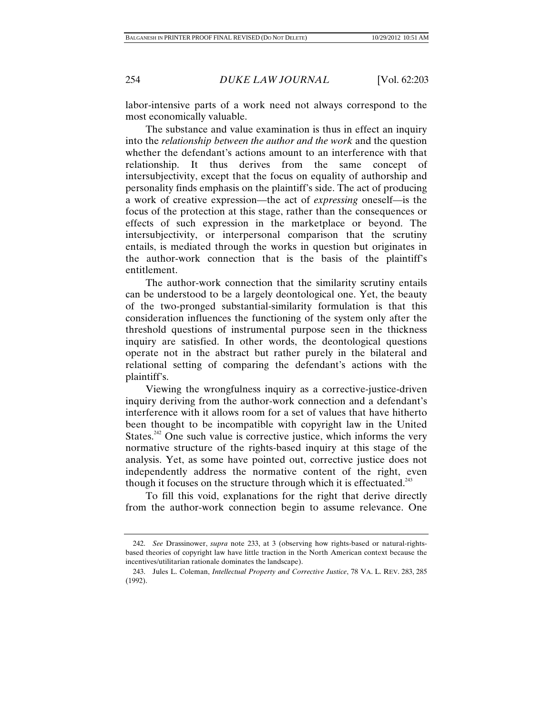labor-intensive parts of a work need not always correspond to the most economically valuable.

The substance and value examination is thus in effect an inquiry into the *relationship between the author and the work* and the question whether the defendant's actions amount to an interference with that relationship. It thus derives from the same concept of intersubjectivity, except that the focus on equality of authorship and personality finds emphasis on the plaintiff's side. The act of producing a work of creative expression—the act of *expressing* oneself—is the focus of the protection at this stage, rather than the consequences or effects of such expression in the marketplace or beyond. The intersubjectivity, or interpersonal comparison that the scrutiny entails, is mediated through the works in question but originates in the author-work connection that is the basis of the plaintiff's entitlement.

The author-work connection that the similarity scrutiny entails can be understood to be a largely deontological one. Yet, the beauty of the two-pronged substantial-similarity formulation is that this consideration influences the functioning of the system only after the threshold questions of instrumental purpose seen in the thickness inquiry are satisfied. In other words, the deontological questions operate not in the abstract but rather purely in the bilateral and relational setting of comparing the defendant's actions with the plaintiff's.

Viewing the wrongfulness inquiry as a corrective-justice-driven inquiry deriving from the author-work connection and a defendant's interference with it allows room for a set of values that have hitherto been thought to be incompatible with copyright law in the United States.<sup>242</sup> One such value is corrective justice, which informs the very normative structure of the rights-based inquiry at this stage of the analysis. Yet, as some have pointed out, corrective justice does not independently address the normative content of the right, even though it focuses on the structure through which it is effectuated.<sup>243</sup>

To fill this void, explanations for the right that derive directly from the author-work connection begin to assume relevance. One

 <sup>242.</sup> *See* Drassinower, *supra* note 233, at 3 (observing how rights-based or natural-rightsbased theories of copyright law have little traction in the North American context because the incentives/utilitarian rationale dominates the landscape).

 <sup>243.</sup> Jules L. Coleman, *Intellectual Property and Corrective Justice*, 78 VA. L. REV. 283, 285 (1992).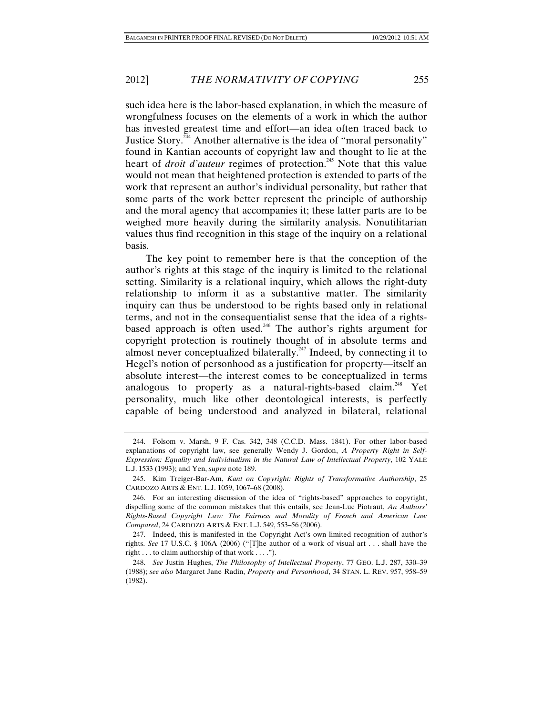such idea here is the labor-based explanation, in which the measure of wrongfulness focuses on the elements of a work in which the author has invested greatest time and effort—an idea often traced back to Justice Story.<sup>244</sup> Another alternative is the idea of "moral personality" found in Kantian accounts of copyright law and thought to lie at the heart of *droit d'auteur* regimes of protection.<sup>245</sup> Note that this value would not mean that heightened protection is extended to parts of the work that represent an author's individual personality, but rather that some parts of the work better represent the principle of authorship and the moral agency that accompanies it; these latter parts are to be weighed more heavily during the similarity analysis. Nonutilitarian values thus find recognition in this stage of the inquiry on a relational basis.

The key point to remember here is that the conception of the author's rights at this stage of the inquiry is limited to the relational setting. Similarity is a relational inquiry, which allows the right-duty relationship to inform it as a substantive matter. The similarity inquiry can thus be understood to be rights based only in relational terms, and not in the consequentialist sense that the idea of a rightsbased approach is often used.<sup>246</sup> The author's rights argument for copyright protection is routinely thought of in absolute terms and almost never conceptualized bilaterally.<sup> $247$ </sup> Indeed, by connecting it to Hegel's notion of personhood as a justification for property—itself an absolute interest—the interest comes to be conceptualized in terms analogous to property as a natural-rights-based claim.<sup>248</sup> Yet personality, much like other deontological interests, is perfectly capable of being understood and analyzed in bilateral, relational

 <sup>244.</sup> Folsom v. Marsh, 9 F. Cas. 342, 348 (C.C.D. Mass. 1841). For other labor-based explanations of copyright law, see generally Wendy J. Gordon, *A Property Right in Self-Expression: Equality and Individualism in the Natural Law of Intellectual Property*, 102 YALE L.J. 1533 (1993); and Yen, *supra* note 189.

 <sup>245.</sup> Kim Treiger-Bar-Am, *Kant on Copyright: Rights of Transformative Authorship*, 25 CARDOZO ARTS & ENT. L.J. 1059, 1067–68 (2008).

 <sup>246.</sup> For an interesting discussion of the idea of "rights-based" approaches to copyright, dispelling some of the common mistakes that this entails, see Jean-Luc Piotraut, *An Authors' Rights-Based Copyright Law: The Fairness and Morality of French and American Law Compared*, 24 CARDOZO ARTS & ENT. L.J. 549, 553–56 (2006).

 <sup>247.</sup> Indeed, this is manifested in the Copyright Act's own limited recognition of author's rights. *See* 17 U.S.C. § 106A (2006) ("[T]he author of a work of visual art . . . shall have the right . . . to claim authorship of that work . . . .").

 <sup>248.</sup> *See* Justin Hughes, *The Philosophy of Intellectual Property*, 77 GEO. L.J. 287, 330–39 (1988); *see also* Margaret Jane Radin, *Property and Personhood*, 34 STAN. L. REV. 957, 958–59 (1982).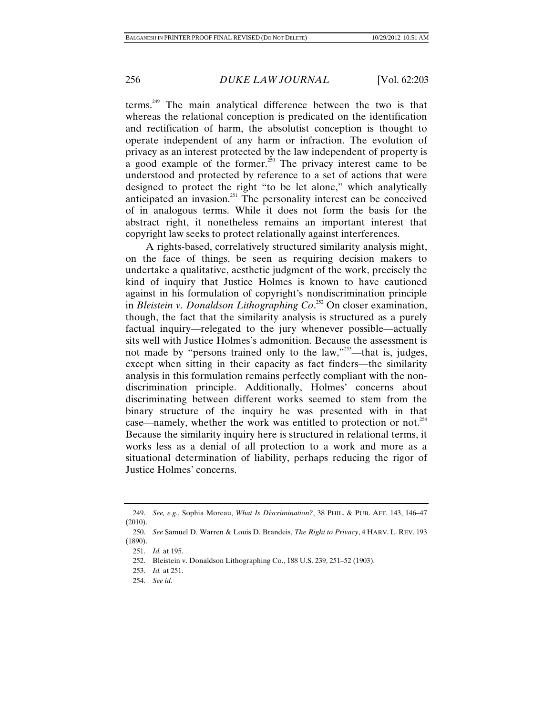terms.<sup>249</sup> The main analytical difference between the two is that whereas the relational conception is predicated on the identification and rectification of harm, the absolutist conception is thought to operate independent of any harm or infraction. The evolution of privacy as an interest protected by the law independent of property is a good example of the former.<sup>250</sup> The privacy interest came to be understood and protected by reference to a set of actions that were designed to protect the right "to be let alone," which analytically anticipated an invasion.<sup>251</sup> The personality interest can be conceived of in analogous terms. While it does not form the basis for the abstract right, it nonetheless remains an important interest that copyright law seeks to protect relationally against interferences.

A rights-based, correlatively structured similarity analysis might, on the face of things, be seen as requiring decision makers to undertake a qualitative, aesthetic judgment of the work, precisely the kind of inquiry that Justice Holmes is known to have cautioned against in his formulation of copyright's nondiscrimination principle in *Bleistein v. Donaldson Lithographing Co*. 252 On closer examination, though, the fact that the similarity analysis is structured as a purely factual inquiry—relegated to the jury whenever possible—actually sits well with Justice Holmes's admonition. Because the assessment is not made by "persons trained only to the law,"253—that is, judges, except when sitting in their capacity as fact finders—the similarity analysis in this formulation remains perfectly compliant with the nondiscrimination principle. Additionally, Holmes' concerns about discriminating between different works seemed to stem from the binary structure of the inquiry he was presented with in that case—namely, whether the work was entitled to protection or not.<sup>254</sup> Because the similarity inquiry here is structured in relational terms, it works less as a denial of all protection to a work and more as a situational determination of liability, perhaps reducing the rigor of Justice Holmes' concerns.

 <sup>249.</sup> *See, e.g.*, Sophia Moreau, *What Is Discrimination?*, 38 PHIL. & PUB. AFF. 143, 146–47 (2010).

 <sup>250.</sup> *See* Samuel D. Warren & Louis D. Brandeis, *The Right to Privacy*, 4 HARV. L. REV. 193 (1890).

 <sup>251.</sup> *Id.* at 195.

 <sup>252.</sup> Bleistein v. Donaldson Lithographing Co., 188 U.S. 239, 251–52 (1903).

 <sup>253.</sup> *Id.* at 251.

 <sup>254.</sup> *See id.*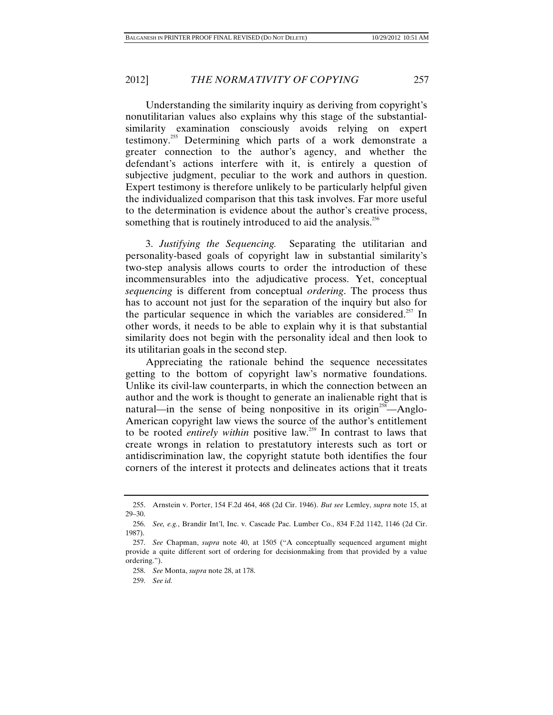Understanding the similarity inquiry as deriving from copyright's nonutilitarian values also explains why this stage of the substantialsimilarity examination consciously avoids relying on expert testimony.<sup>255</sup> Determining which parts of a work demonstrate a greater connection to the author's agency, and whether the defendant's actions interfere with it, is entirely a question of subjective judgment, peculiar to the work and authors in question. Expert testimony is therefore unlikely to be particularly helpful given the individualized comparison that this task involves. Far more useful to the determination is evidence about the author's creative process, something that is routinely introduced to aid the analysis. $256$ 

3. *Justifying the Sequencing.* Separating the utilitarian and personality-based goals of copyright law in substantial similarity's two-step analysis allows courts to order the introduction of these incommensurables into the adjudicative process. Yet, conceptual *sequencing* is different from conceptual *ordering*. The process thus has to account not just for the separation of the inquiry but also for the particular sequence in which the variables are considered.<sup>257</sup> In other words, it needs to be able to explain why it is that substantial similarity does not begin with the personality ideal and then look to its utilitarian goals in the second step.

Appreciating the rationale behind the sequence necessitates getting to the bottom of copyright law's normative foundations. Unlike its civil-law counterparts, in which the connection between an author and the work is thought to generate an inalienable right that is natural—in the sense of being nonpositive in its origin<sup>258</sup>—Anglo-American copyright law views the source of the author's entitlement to be rooted *entirely within* positive law.259 In contrast to laws that create wrongs in relation to prestatutory interests such as tort or antidiscrimination law, the copyright statute both identifies the four corners of the interest it protects and delineates actions that it treats

 <sup>255.</sup> Arnstein v. Porter, 154 F.2d 464, 468 (2d Cir. 1946). *But see* Lemley, *supra* note 15, at 29–30.

 <sup>256.</sup> *See, e.g.*, Brandir Int'l, Inc. v. Cascade Pac. Lumber Co., 834 F.2d 1142, 1146 (2d Cir. 1987).

 <sup>257.</sup> *See* Chapman, *supra* note 40, at 1505 ("A conceptually sequenced argument might provide a quite different sort of ordering for decisionmaking from that provided by a value ordering.").

 <sup>258.</sup> *See* Monta, *supra* note 28, at 178.

 <sup>259.</sup> *See id.*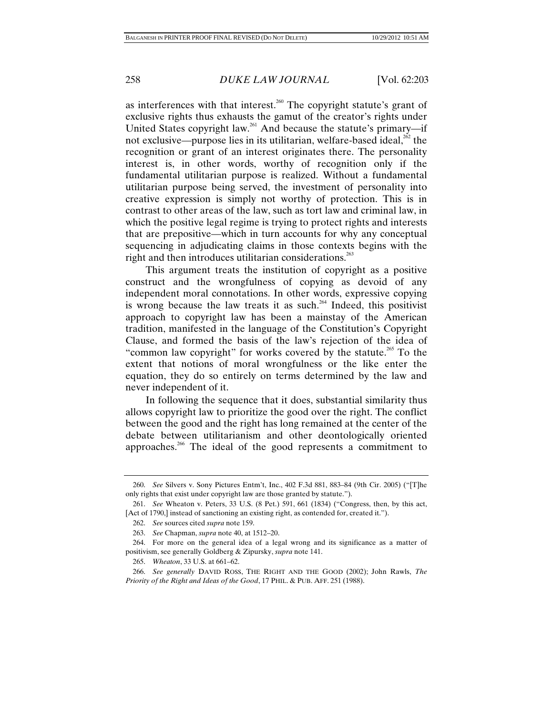as interferences with that interest.<sup>260</sup> The copyright statute's grant of exclusive rights thus exhausts the gamut of the creator's rights under United States copyright law.<sup>261</sup> And because the statute's primary—if not exclusive—purpose lies in its utilitarian, welfare-based ideal, $^{262}$  the recognition or grant of an interest originates there. The personality interest is, in other words, worthy of recognition only if the fundamental utilitarian purpose is realized. Without a fundamental utilitarian purpose being served, the investment of personality into creative expression is simply not worthy of protection. This is in contrast to other areas of the law, such as tort law and criminal law, in which the positive legal regime is trying to protect rights and interests that are prepositive—which in turn accounts for why any conceptual sequencing in adjudicating claims in those contexts begins with the right and then introduces utilitarian considerations.<sup>263</sup>

This argument treats the institution of copyright as a positive construct and the wrongfulness of copying as devoid of any independent moral connotations. In other words, expressive copying is wrong because the law treats it as such.<sup>264</sup> Indeed, this positivist approach to copyright law has been a mainstay of the American tradition, manifested in the language of the Constitution's Copyright Clause, and formed the basis of the law's rejection of the idea of "common law copyright" for works covered by the statute.<sup>265</sup> To the extent that notions of moral wrongfulness or the like enter the equation, they do so entirely on terms determined by the law and never independent of it.

In following the sequence that it does, substantial similarity thus allows copyright law to prioritize the good over the right. The conflict between the good and the right has long remained at the center of the debate between utilitarianism and other deontologically oriented approaches.266 The ideal of the good represents a commitment to

 <sup>260.</sup> *See* Silvers v. Sony Pictures Entm't, Inc., 402 F.3d 881, 883–84 (9th Cir. 2005) ("[T]he only rights that exist under copyright law are those granted by statute.").

 <sup>261.</sup> *See* Wheaton v. Peters, 33 U.S. (8 Pet.) 591, 661 (1834) ("Congress, then, by this act, [Act of 1790,] instead of sanctioning an existing right, as contended for, created it.").

 <sup>262.</sup> *See* sources cited *supra* note 159.

 <sup>263.</sup> *See* Chapman, *supra* note 40, at 1512–20.

 <sup>264.</sup> For more on the general idea of a legal wrong and its significance as a matter of positivism, see generally Goldberg & Zipursky, *supra* note 141.

 <sup>265.</sup> *Wheaton*, 33 U.S. at 661–62.

 <sup>266.</sup> *See generally* DAVID ROSS, THE RIGHT AND THE GOOD (2002); John Rawls, *The Priority of the Right and Ideas of the Good*, 17 PHIL. & PUB. AFF. 251 (1988).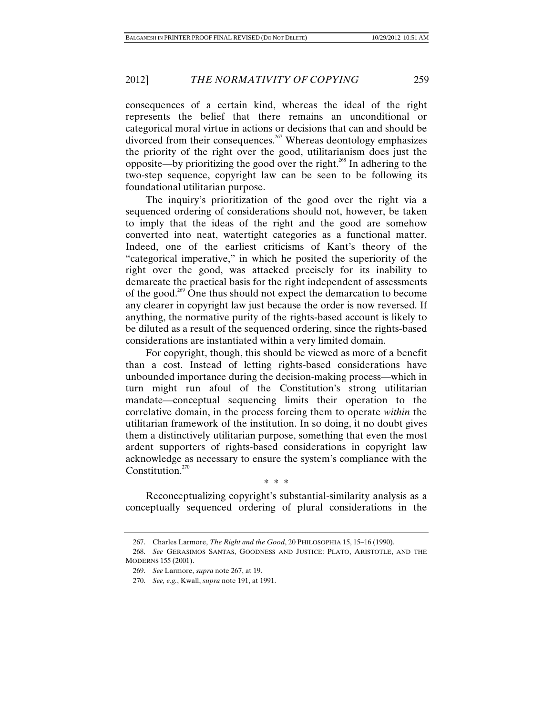consequences of a certain kind, whereas the ideal of the right represents the belief that there remains an unconditional or categorical moral virtue in actions or decisions that can and should be divorced from their consequences.<sup>267</sup> Whereas deontology emphasizes the priority of the right over the good, utilitarianism does just the opposite—by prioritizing the good over the right.<sup>268</sup> In adhering to the two-step sequence, copyright law can be seen to be following its foundational utilitarian purpose.

The inquiry's prioritization of the good over the right via a sequenced ordering of considerations should not, however, be taken to imply that the ideas of the right and the good are somehow converted into neat, watertight categories as a functional matter. Indeed, one of the earliest criticisms of Kant's theory of the "categorical imperative," in which he posited the superiority of the right over the good, was attacked precisely for its inability to demarcate the practical basis for the right independent of assessments of the good.269 One thus should not expect the demarcation to become any clearer in copyright law just because the order is now reversed. If anything, the normative purity of the rights-based account is likely to be diluted as a result of the sequenced ordering, since the rights-based considerations are instantiated within a very limited domain.

For copyright, though, this should be viewed as more of a benefit than a cost. Instead of letting rights-based considerations have unbounded importance during the decision-making process—which in turn might run afoul of the Constitution's strong utilitarian mandate—conceptual sequencing limits their operation to the correlative domain, in the process forcing them to operate *within* the utilitarian framework of the institution. In so doing, it no doubt gives them a distinctively utilitarian purpose, something that even the most ardent supporters of rights-based considerations in copyright law acknowledge as necessary to ensure the system's compliance with the Constitution. $270$ 

\* \* \*

Reconceptualizing copyright's substantial-similarity analysis as a conceptually sequenced ordering of plural considerations in the

 <sup>267.</sup> Charles Larmore, *The Right and the Good*, 20 PHILOSOPHIA 15, 15–16 (1990).

 <sup>268.</sup> *See* GERASIMOS SANTAS, GOODNESS AND JUSTICE: PLATO, ARISTOTLE, AND THE MODERNS 155 (2001).

 <sup>269.</sup> *See* Larmore, *supra* note 267, at 19.

 <sup>270.</sup> *See, e.g.*, Kwall, *supra* note 191, at 1991.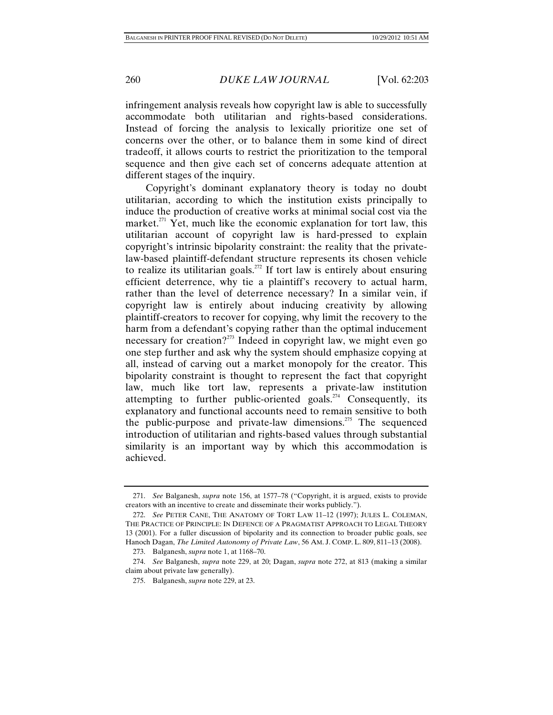infringement analysis reveals how copyright law is able to successfully accommodate both utilitarian and rights-based considerations. Instead of forcing the analysis to lexically prioritize one set of concerns over the other, or to balance them in some kind of direct tradeoff, it allows courts to restrict the prioritization to the temporal sequence and then give each set of concerns adequate attention at different stages of the inquiry.

Copyright's dominant explanatory theory is today no doubt utilitarian, according to which the institution exists principally to induce the production of creative works at minimal social cost via the market. $271$  Yet, much like the economic explanation for tort law, this utilitarian account of copyright law is hard-pressed to explain copyright's intrinsic bipolarity constraint: the reality that the privatelaw-based plaintiff-defendant structure represents its chosen vehicle to realize its utilitarian goals.<sup>272</sup> If tort law is entirely about ensuring efficient deterrence, why tie a plaintiff's recovery to actual harm, rather than the level of deterrence necessary? In a similar vein, if copyright law is entirely about inducing creativity by allowing plaintiff-creators to recover for copying, why limit the recovery to the harm from a defendant's copying rather than the optimal inducement necessary for creation?<sup>273</sup> Indeed in copyright law, we might even go one step further and ask why the system should emphasize copying at all, instead of carving out a market monopoly for the creator. This bipolarity constraint is thought to represent the fact that copyright law, much like tort law, represents a private-law institution attempting to further public-oriented goals.<sup> $274$ </sup> Consequently, its explanatory and functional accounts need to remain sensitive to both the public-purpose and private-law dimensions.<sup>275</sup> The sequenced introduction of utilitarian and rights-based values through substantial similarity is an important way by which this accommodation is achieved.

 <sup>271.</sup> *See* Balganesh, *supra* note 156, at 1577–78 ("Copyright, it is argued, exists to provide creators with an incentive to create and disseminate their works publicly.").

 <sup>272.</sup> *See* PETER CANE, THE ANATOMY OF TORT LAW 11–12 (1997); JULES L. COLEMAN, THE PRACTICE OF PRINCIPLE: IN DEFENCE OF A PRAGMATIST APPROACH TO LEGAL THEORY 13 (2001). For a fuller discussion of bipolarity and its connection to broader public goals, see Hanoch Dagan, *The Limited Autonomy of Private Law*, 56 AM. J. COMP. L. 809, 811–13 (2008).

 <sup>273.</sup> Balganesh, *supra* note 1, at 1168–70.

 <sup>274.</sup> *See* Balganesh, *supra* note 229, at 20; Dagan, *supra* note 272, at 813 (making a similar claim about private law generally).

 <sup>275.</sup> Balganesh, *supra* note 229, at 23.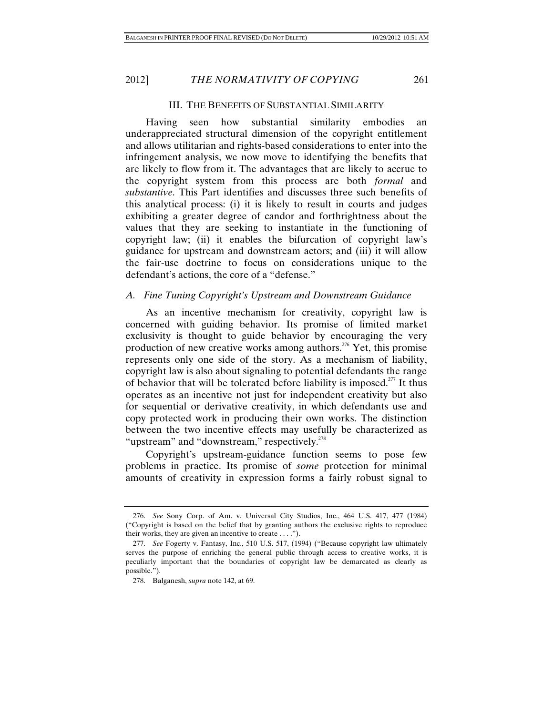#### III. THE BENEFITS OF SUBSTANTIAL SIMILARITY

Having seen how substantial similarity embodies an underappreciated structural dimension of the copyright entitlement and allows utilitarian and rights-based considerations to enter into the infringement analysis, we now move to identifying the benefits that are likely to flow from it. The advantages that are likely to accrue to the copyright system from this process are both *formal* and *substantive*. This Part identifies and discusses three such benefits of this analytical process: (i) it is likely to result in courts and judges exhibiting a greater degree of candor and forthrightness about the values that they are seeking to instantiate in the functioning of copyright law; (ii) it enables the bifurcation of copyright law's guidance for upstream and downstream actors; and (iii) it will allow the fair-use doctrine to focus on considerations unique to the defendant's actions, the core of a "defense."

### *A. Fine Tuning Copyright's Upstream and Downstream Guidance*

As an incentive mechanism for creativity, copyright law is concerned with guiding behavior. Its promise of limited market exclusivity is thought to guide behavior by encouraging the very production of new creative works among authors.<sup>276</sup> Yet, this promise represents only one side of the story. As a mechanism of liability, copyright law is also about signaling to potential defendants the range of behavior that will be tolerated before liability is imposed.<sup>277</sup> It thus operates as an incentive not just for independent creativity but also for sequential or derivative creativity, in which defendants use and copy protected work in producing their own works. The distinction between the two incentive effects may usefully be characterized as "upstream" and "downstream," respectively.<sup>278</sup>

Copyright's upstream-guidance function seems to pose few problems in practice. Its promise of *some* protection for minimal amounts of creativity in expression forms a fairly robust signal to

 <sup>276.</sup> *See* Sony Corp. of Am. v. Universal City Studios, Inc., 464 U.S. 417, 477 (1984) ("Copyright is based on the belief that by granting authors the exclusive rights to reproduce their works, they are given an incentive to create . . . .").

 <sup>277.</sup> *See* Fogerty v. Fantasy, Inc., 510 U.S. 517, (1994) ("Because copyright law ultimately serves the purpose of enriching the general public through access to creative works, it is peculiarly important that the boundaries of copyright law be demarcated as clearly as possible.").

 <sup>278.</sup> Balganesh, *supra* note 142, at 69.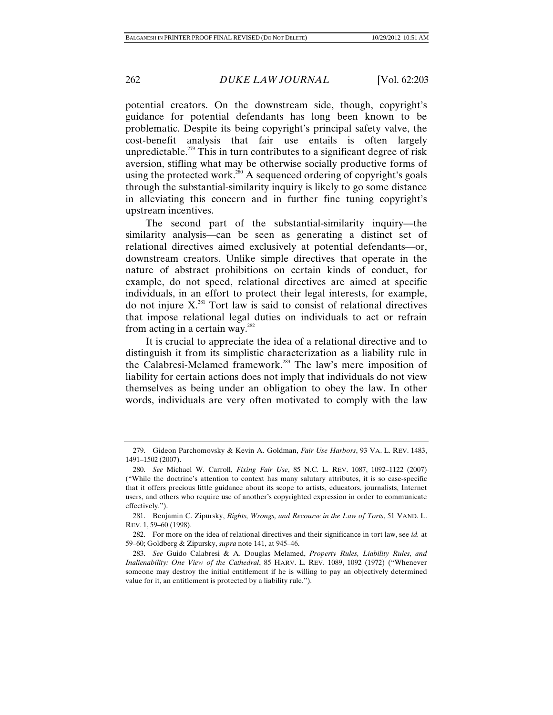potential creators. On the downstream side, though, copyright's guidance for potential defendants has long been known to be problematic. Despite its being copyright's principal safety valve, the cost-benefit analysis that fair use entails is often largely unpredictable.<sup> $279$ </sup> This in turn contributes to a significant degree of risk aversion, stifling what may be otherwise socially productive forms of using the protected work.<sup>280</sup> A sequenced ordering of copyright's goals through the substantial-similarity inquiry is likely to go some distance in alleviating this concern and in further fine tuning copyright's upstream incentives.

The second part of the substantial-similarity inquiry—the similarity analysis—can be seen as generating a distinct set of relational directives aimed exclusively at potential defendants—or, downstream creators. Unlike simple directives that operate in the nature of abstract prohibitions on certain kinds of conduct, for example, do not speed, relational directives are aimed at specific individuals, in an effort to protect their legal interests, for example, do not injure  $X$ .<sup>281</sup> Tort law is said to consist of relational directives that impose relational legal duties on individuals to act or refrain from acting in a certain way. $282$ 

It is crucial to appreciate the idea of a relational directive and to distinguish it from its simplistic characterization as a liability rule in the Calabresi-Melamed framework.<sup>283</sup> The law's mere imposition of liability for certain actions does not imply that individuals do not view themselves as being under an obligation to obey the law. In other words, individuals are very often motivated to comply with the law

 <sup>279.</sup> Gideon Parchomovsky & Kevin A. Goldman, *Fair Use Harbors*, 93 VA. L. REV. 1483, 1491–1502 (2007).

 <sup>280.</sup> *See* Michael W. Carroll, *Fixing Fair Use*, 85 N.C. L. REV. 1087, 1092–1122 (2007) ("While the doctrine's attention to context has many salutary attributes, it is so case-specific that it offers precious little guidance about its scope to artists, educators, journalists, Internet users, and others who require use of another's copyrighted expression in order to communicate effectively.").

 <sup>281.</sup> Benjamin C. Zipursky, *Rights, Wrongs, and Recourse in the Law of Torts*, 51 VAND. L. REV. 1, 59–60 (1998).

 <sup>282.</sup> For more on the idea of relational directives and their significance in tort law, see *id.* at 59–60; Goldberg & Zipursky, *supra* note 141, at 945–46.

 <sup>283.</sup> *See* Guido Calabresi & A. Douglas Melamed, *Property Rules, Liability Rules, and Inalienability: One View of the Cathedral*, 85 HARV. L. REV. 1089, 1092 (1972) ("Whenever someone may destroy the initial entitlement if he is willing to pay an objectively determined value for it, an entitlement is protected by a liability rule.").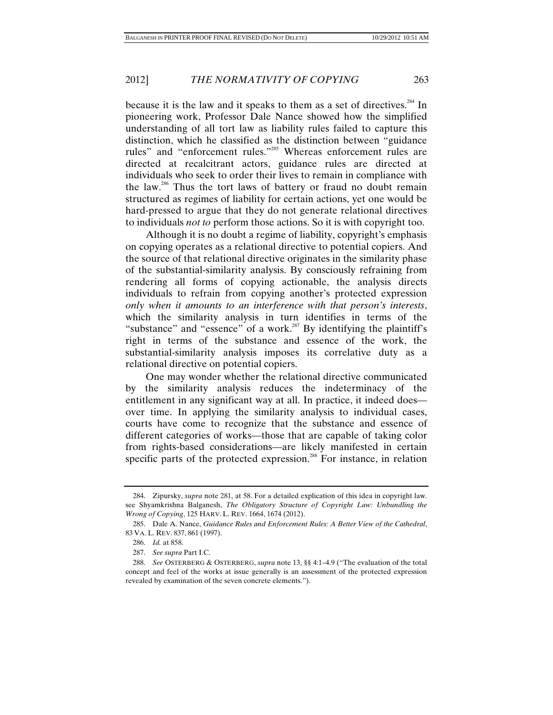because it is the law and it speaks to them as a set of directives.<sup>284</sup> In pioneering work, Professor Dale Nance showed how the simplified understanding of all tort law as liability rules failed to capture this distinction, which he classified as the distinction between "guidance rules" and "enforcement rules."285 Whereas enforcement rules are directed at recalcitrant actors, guidance rules are directed at individuals who seek to order their lives to remain in compliance with the law.286 Thus the tort laws of battery or fraud no doubt remain structured as regimes of liability for certain actions, yet one would be hard-pressed to argue that they do not generate relational directives to individuals *not to* perform those actions. So it is with copyright too.

Although it is no doubt a regime of liability, copyright's emphasis on copying operates as a relational directive to potential copiers. And the source of that relational directive originates in the similarity phase of the substantial-similarity analysis. By consciously refraining from rendering all forms of copying actionable, the analysis directs individuals to refrain from copying another's protected expression *only when it amounts to an interference with that person's interests*, which the similarity analysis in turn identifies in terms of the "substance" and "essence" of a work. $287$  By identifying the plaintiff's right in terms of the substance and essence of the work, the substantial-similarity analysis imposes its correlative duty as a relational directive on potential copiers.

One may wonder whether the relational directive communicated by the similarity analysis reduces the indeterminacy of the entitlement in any significant way at all. In practice, it indeed does over time. In applying the similarity analysis to individual cases, courts have come to recognize that the substance and essence of different categories of works—those that are capable of taking color from rights-based considerations—are likely manifested in certain specific parts of the protected expression.<sup>288</sup> For instance, in relation

 <sup>284.</sup> Zipursky, *supra* note 281, at 58. For a detailed explication of this idea in copyright law. see Shyamkrishna Balganesh, *The Obligatory Structure of Copyright Law: Unbundling the Wrong of Copying*, 125 HARV. L. REV. 1664, 1674 (2012).

 <sup>285.</sup> Dale A. Nance, *Guidance Rules and Enforcement Rules: A Better View of the Cathedral*, 83 VA. L. REV. 837, 861 (1997).

 <sup>286.</sup> *Id.* at 858.

 <sup>287.</sup> *See supra* Part I.C.

 <sup>288.</sup> *See* OSTERBERG & OSTERBERG, *supra* note 13, §§ 4:1–4.9 ("The evaluation of the total concept and feel of the works at issue generally is an assessment of the protected expression revealed by examination of the seven concrete elements.").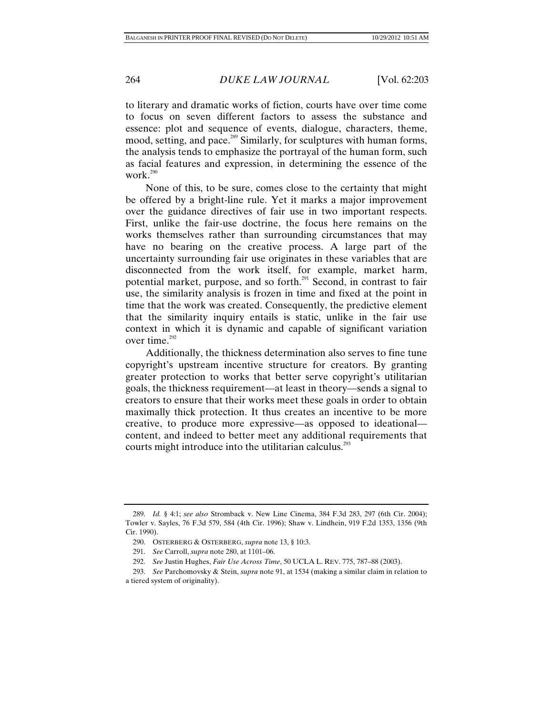to literary and dramatic works of fiction, courts have over time come to focus on seven different factors to assess the substance and essence: plot and sequence of events, dialogue, characters, theme, mood, setting, and pace.<sup>289</sup> Similarly, for sculptures with human forms, the analysis tends to emphasize the portrayal of the human form, such as facial features and expression, in determining the essence of the work.<sup>290</sup>

None of this, to be sure, comes close to the certainty that might be offered by a bright-line rule. Yet it marks a major improvement over the guidance directives of fair use in two important respects. First, unlike the fair-use doctrine, the focus here remains on the works themselves rather than surrounding circumstances that may have no bearing on the creative process. A large part of the uncertainty surrounding fair use originates in these variables that are disconnected from the work itself, for example, market harm, potential market, purpose, and so forth.<sup>291</sup> Second, in contrast to fair use, the similarity analysis is frozen in time and fixed at the point in time that the work was created. Consequently, the predictive element that the similarity inquiry entails is static, unlike in the fair use context in which it is dynamic and capable of significant variation over time.<sup>292</sup>

Additionally, the thickness determination also serves to fine tune copyright's upstream incentive structure for creators. By granting greater protection to works that better serve copyright's utilitarian goals, the thickness requirement—at least in theory—sends a signal to creators to ensure that their works meet these goals in order to obtain maximally thick protection. It thus creates an incentive to be more creative, to produce more expressive—as opposed to ideational content, and indeed to better meet any additional requirements that courts might introduce into the utilitarian calculus.<sup>293</sup>

 <sup>289.</sup> *Id.* § 4:1; *see also* Stromback v. New Line Cinema, 384 F.3d 283, 297 (6th Cir. 2004); Towler v. Sayles, 76 F.3d 579, 584 (4th Cir. 1996); Shaw v. Lindhein, 919 F.2d 1353, 1356 (9th Cir. 1990).

 <sup>290.</sup> OSTERBERG & OSTERBERG, *supra* note 13, § 10:3.

 <sup>291.</sup> *See* Carroll, *supra* note 280, at 1101–06.

 <sup>292.</sup> *See* Justin Hughes, *Fair Use Across Time*, 50 UCLA L. REV. 775, 787–88 (2003).

 <sup>293.</sup> *See* Parchomovsky & Stein, *supra* note 91, at 1534 (making a similar claim in relation to a tiered system of originality).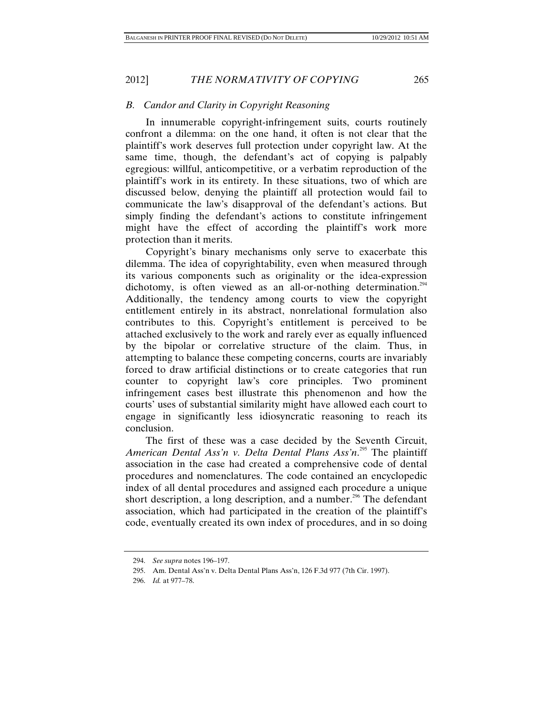# *B. Candor and Clarity in Copyright Reasoning*

In innumerable copyright-infringement suits, courts routinely confront a dilemma: on the one hand, it often is not clear that the plaintiff's work deserves full protection under copyright law. At the same time, though, the defendant's act of copying is palpably egregious: willful, anticompetitive, or a verbatim reproduction of the plaintiff's work in its entirety. In these situations, two of which are discussed below, denying the plaintiff all protection would fail to communicate the law's disapproval of the defendant's actions. But simply finding the defendant's actions to constitute infringement might have the effect of according the plaintiff's work more protection than it merits.

Copyright's binary mechanisms only serve to exacerbate this dilemma. The idea of copyrightability, even when measured through its various components such as originality or the idea-expression dichotomy, is often viewed as an all-or-nothing determination.<sup>294</sup> Additionally, the tendency among courts to view the copyright entitlement entirely in its abstract, nonrelational formulation also contributes to this. Copyright's entitlement is perceived to be attached exclusively to the work and rarely ever as equally influenced by the bipolar or correlative structure of the claim. Thus, in attempting to balance these competing concerns, courts are invariably forced to draw artificial distinctions or to create categories that run counter to copyright law's core principles. Two prominent infringement cases best illustrate this phenomenon and how the courts' uses of substantial similarity might have allowed each court to engage in significantly less idiosyncratic reasoning to reach its conclusion.

The first of these was a case decided by the Seventh Circuit, American Dental Ass'n v. Delta Dental Plans Ass'n.<sup>295</sup> The plaintiff association in the case had created a comprehensive code of dental procedures and nomenclatures. The code contained an encyclopedic index of all dental procedures and assigned each procedure a unique short description, a long description, and a number.<sup>296</sup> The defendant association, which had participated in the creation of the plaintiff's code, eventually created its own index of procedures, and in so doing

 <sup>294.</sup> *See supra* notes 196–197.

 <sup>295.</sup> Am. Dental Ass'n v. Delta Dental Plans Ass'n, 126 F.3d 977 (7th Cir. 1997).

 <sup>296.</sup> *Id.* at 977–78.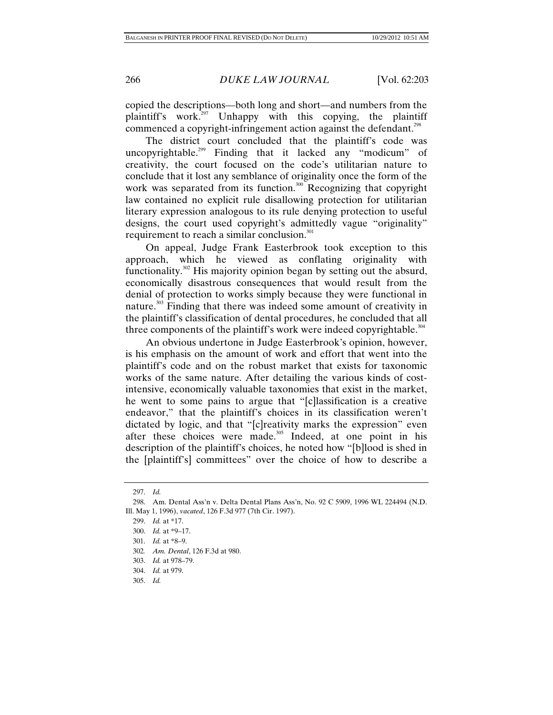copied the descriptions—both long and short—and numbers from the plaintiff's work.<sup>297</sup> Unhappy with this copying, the plaintiff commenced a copyright-infringement action against the defendant.<sup>298</sup>

The district court concluded that the plaintiff's code was uncopyrightable.<sup>299</sup> Finding that it lacked any "modicum" of creativity, the court focused on the code's utilitarian nature to conclude that it lost any semblance of originality once the form of the work was separated from its function.<sup>300</sup> Recognizing that copyright law contained no explicit rule disallowing protection for utilitarian literary expression analogous to its rule denying protection to useful designs, the court used copyright's admittedly vague "originality" requirement to reach a similar conclusion.<sup>301</sup>

On appeal, Judge Frank Easterbrook took exception to this approach, which he viewed as conflating originality with functionality.<sup>302</sup> His majority opinion began by setting out the absurd, economically disastrous consequences that would result from the denial of protection to works simply because they were functional in nature.<sup>303</sup> Finding that there was indeed some amount of creativity in the plaintiff's classification of dental procedures, he concluded that all three components of the plaintiff's work were indeed copyrightable.<sup>304</sup>

An obvious undertone in Judge Easterbrook's opinion, however, is his emphasis on the amount of work and effort that went into the plaintiff's code and on the robust market that exists for taxonomic works of the same nature. After detailing the various kinds of costintensive, economically valuable taxonomies that exist in the market, he went to some pains to argue that "[c]lassification is a creative endeavor," that the plaintiff's choices in its classification weren't dictated by logic, and that "[c]reativity marks the expression" even after these choices were made.<sup>305</sup> Indeed, at one point in his description of the plaintiff's choices, he noted how "[b]lood is shed in the [plaintiff's] committees" over the choice of how to describe a

 <sup>297.</sup> *Id.*

 <sup>298.</sup> Am. Dental Ass'n v. Delta Dental Plans Ass'n, No. 92 C 5909, 1996 WL 224494 (N.D. Ill. May 1, 1996), *vacated*, 126 F.3d 977 (7th Cir. 1997).

 <sup>299.</sup> *Id.* at \*17.

 <sup>300.</sup> *Id.* at \*9–17.

 <sup>301.</sup> *Id.* at \*8–9.

<sup>302</sup>*. Am. Dental*, 126 F.3d at 980.

 <sup>303.</sup> *Id.* at 978–79.

 <sup>304.</sup> *Id.* at 979.

 <sup>305.</sup> *Id.*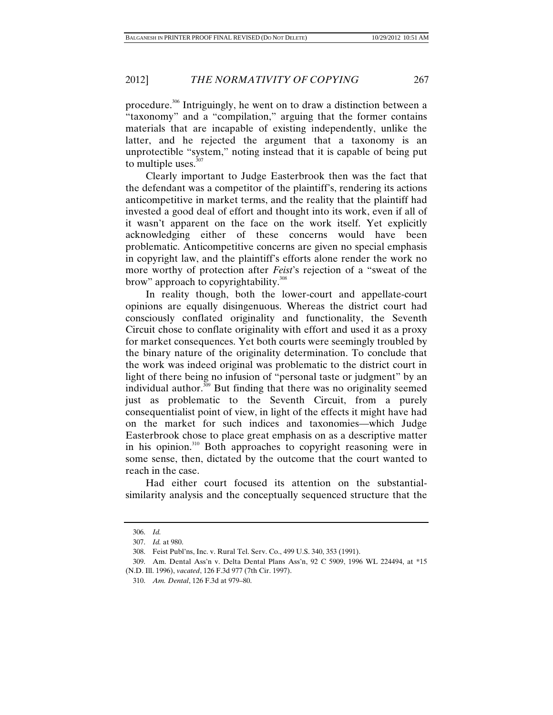procedure.306 Intriguingly, he went on to draw a distinction between a "taxonomy" and a "compilation," arguing that the former contains materials that are incapable of existing independently, unlike the latter, and he rejected the argument that a taxonomy is an unprotectible "system," noting instead that it is capable of being put to multiple uses.<sup>307</sup>

Clearly important to Judge Easterbrook then was the fact that the defendant was a competitor of the plaintiff's, rendering its actions anticompetitive in market terms, and the reality that the plaintiff had invested a good deal of effort and thought into its work, even if all of it wasn't apparent on the face on the work itself. Yet explicitly acknowledging either of these concerns would have been problematic. Anticompetitive concerns are given no special emphasis in copyright law, and the plaintiff's efforts alone render the work no more worthy of protection after *Feist*'s rejection of a "sweat of the brow" approach to copyrightability.<sup>308</sup>

In reality though, both the lower-court and appellate-court opinions are equally disingenuous. Whereas the district court had consciously conflated originality and functionality, the Seventh Circuit chose to conflate originality with effort and used it as a proxy for market consequences. Yet both courts were seemingly troubled by the binary nature of the originality determination. To conclude that the work was indeed original was problematic to the district court in light of there being no infusion of "personal taste or judgment" by an individual author. $309$  But finding that there was no originality seemed just as problematic to the Seventh Circuit, from a purely consequentialist point of view, in light of the effects it might have had on the market for such indices and taxonomies—which Judge Easterbrook chose to place great emphasis on as a descriptive matter in his opinion.<sup>310</sup> Both approaches to copyright reasoning were in some sense, then, dictated by the outcome that the court wanted to reach in the case.

Had either court focused its attention on the substantialsimilarity analysis and the conceptually sequenced structure that the

 <sup>306.</sup> *Id.*

 <sup>307.</sup> *Id.* at 980.

 <sup>308.</sup> Feist Publ'ns, Inc. v. Rural Tel. Serv. Co., 499 U.S. 340, 353 (1991).

 <sup>309.</sup> Am. Dental Ass'n v. Delta Dental Plans Ass'n, 92 C 5909, 1996 WL 224494, at \*15 (N.D. Ill. 1996), *vacated*, 126 F.3d 977 (7th Cir. 1997).

 <sup>310.</sup> *Am. Dental*, 126 F.3d at 979–80.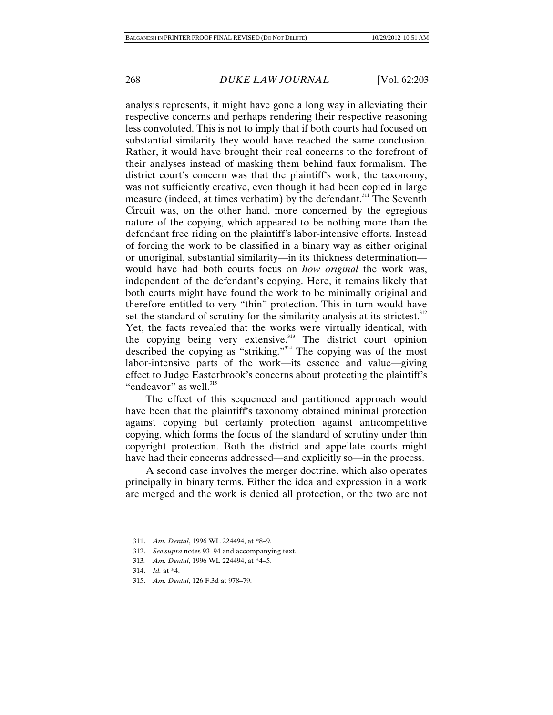analysis represents, it might have gone a long way in alleviating their respective concerns and perhaps rendering their respective reasoning less convoluted. This is not to imply that if both courts had focused on substantial similarity they would have reached the same conclusion. Rather, it would have brought their real concerns to the forefront of their analyses instead of masking them behind faux formalism. The district court's concern was that the plaintiff's work, the taxonomy, was not sufficiently creative, even though it had been copied in large measure (indeed, at times verbatim) by the defendant.<sup>311</sup> The Seventh Circuit was, on the other hand, more concerned by the egregious nature of the copying, which appeared to be nothing more than the defendant free riding on the plaintiff's labor-intensive efforts. Instead of forcing the work to be classified in a binary way as either original or unoriginal, substantial similarity—in its thickness determination would have had both courts focus on *how original* the work was, independent of the defendant's copying. Here, it remains likely that both courts might have found the work to be minimally original and therefore entitled to very "thin" protection. This in turn would have set the standard of scrutiny for the similarity analysis at its strictest.<sup>312</sup> Yet, the facts revealed that the works were virtually identical, with the copying being very extensive.<sup>313</sup> The district court opinion described the copying as "striking."<sup>314</sup> The copying was of the most labor-intensive parts of the work—its essence and value—giving effect to Judge Easterbrook's concerns about protecting the plaintiff's "endeavor" as well. $315$ 

The effect of this sequenced and partitioned approach would have been that the plaintiff's taxonomy obtained minimal protection against copying but certainly protection against anticompetitive copying, which forms the focus of the standard of scrutiny under thin copyright protection. Both the district and appellate courts might have had their concerns addressed—and explicitly so—in the process.

A second case involves the merger doctrine, which also operates principally in binary terms. Either the idea and expression in a work are merged and the work is denied all protection, or the two are not

 <sup>311.</sup> *Am. Dental*, 1996 WL 224494, at \*8–9.

 <sup>312.</sup> *See supra* notes 93–94 and accompanying text.

<sup>313</sup>*. Am. Dental*, 1996 WL 224494, at \*4–5.

 <sup>314.</sup> *Id.* at \*4.

 <sup>315.</sup> *Am. Dental*, 126 F.3d at 978–79.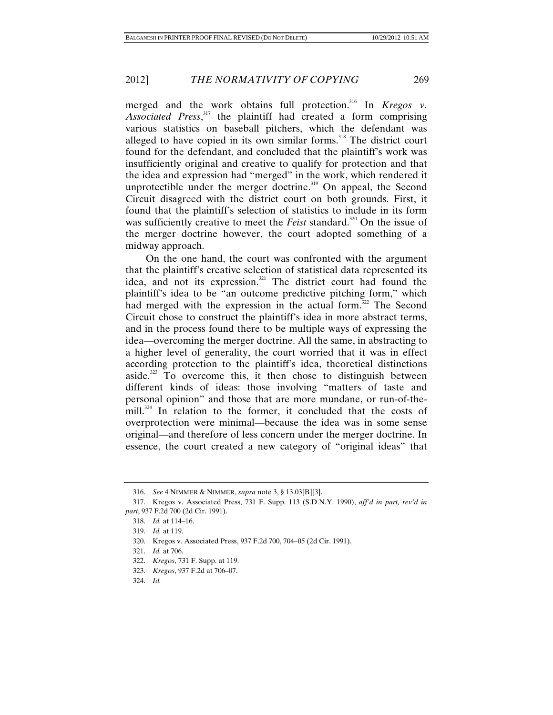merged and the work obtains full protection.<sup>316</sup> In *Kregos v. Associated Press*, 317 the plaintiff had created a form comprising various statistics on baseball pitchers, which the defendant was alleged to have copied in its own similar forms.<sup>318</sup> The district court found for the defendant, and concluded that the plaintiff's work was insufficiently original and creative to qualify for protection and that the idea and expression had "merged" in the work, which rendered it unprotectible under the merger doctrine.<sup>319</sup> On appeal, the Second Circuit disagreed with the district court on both grounds. First, it found that the plaintiff's selection of statistics to include in its form was sufficiently creative to meet the *Feist* standard.<sup>320</sup> On the issue of the merger doctrine however, the court adopted something of a midway approach.

On the one hand, the court was confronted with the argument that the plaintiff's creative selection of statistical data represented its idea, and not its expression.<sup>321</sup> The district court had found the plaintiff's idea to be "an outcome predictive pitching form," which had merged with the expression in the actual form.<sup>322</sup> The Second Circuit chose to construct the plaintiff's idea in more abstract terms, and in the process found there to be multiple ways of expressing the idea—overcoming the merger doctrine. All the same, in abstracting to a higher level of generality, the court worried that it was in effect according protection to the plaintiff's idea, theoretical distinctions aside.<sup>323</sup> To overcome this, it then chose to distinguish between different kinds of ideas: those involving "matters of taste and personal opinion" and those that are more mundane, or run-of-themill. $324$  In relation to the former, it concluded that the costs of overprotection were minimal—because the idea was in some sense original—and therefore of less concern under the merger doctrine. In essence, the court created a new category of "original ideas" that

 <sup>316.</sup> *See* 4 NIMMER & NIMMER, *supra* note 3, § 13.03[B][3].

 <sup>317.</sup> Kregos v. Associated Press, 731 F. Supp. 113 (S.D.N.Y. 1990), *aff'd in part, rev'd in part*, 937 F.2d 700 (2d Cir. 1991).

 <sup>318.</sup> *Id.* at 114–16.

 <sup>319.</sup> *Id.* at 119.

 <sup>320.</sup> Kregos v. Associated Press, 937 F.2d 700, 704–05 (2d Cir. 1991).

 <sup>321.</sup> *Id.* at 706.

 <sup>322.</sup> *Kregos*, 731 F. Supp. at 119.

 <sup>323.</sup> *Kregos*, 937 F.2d at 706–07.

 <sup>324.</sup> *Id.*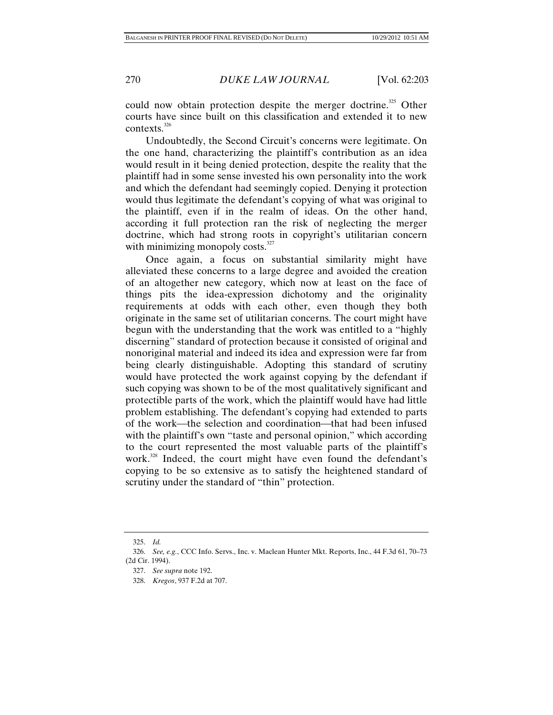could now obtain protection despite the merger doctrine.<sup>325</sup> Other courts have since built on this classification and extended it to new contexts.<sup>326</sup>

Undoubtedly, the Second Circuit's concerns were legitimate. On the one hand, characterizing the plaintiff's contribution as an idea would result in it being denied protection, despite the reality that the plaintiff had in some sense invested his own personality into the work and which the defendant had seemingly copied. Denying it protection would thus legitimate the defendant's copying of what was original to the plaintiff, even if in the realm of ideas. On the other hand, according it full protection ran the risk of neglecting the merger doctrine, which had strong roots in copyright's utilitarian concern with minimizing monopoly costs. $327$ 

Once again, a focus on substantial similarity might have alleviated these concerns to a large degree and avoided the creation of an altogether new category, which now at least on the face of things pits the idea-expression dichotomy and the originality requirements at odds with each other, even though they both originate in the same set of utilitarian concerns. The court might have begun with the understanding that the work was entitled to a "highly discerning" standard of protection because it consisted of original and nonoriginal material and indeed its idea and expression were far from being clearly distinguishable. Adopting this standard of scrutiny would have protected the work against copying by the defendant if such copying was shown to be of the most qualitatively significant and protectible parts of the work, which the plaintiff would have had little problem establishing. The defendant's copying had extended to parts of the work—the selection and coordination—that had been infused with the plaintiff's own "taste and personal opinion," which according to the court represented the most valuable parts of the plaintiff's work.<sup>328</sup> Indeed, the court might have even found the defendant's copying to be so extensive as to satisfy the heightened standard of scrutiny under the standard of "thin" protection.

 <sup>325.</sup> *Id.*

 <sup>326.</sup> *See, e.g.*, CCC Info. Servs., Inc. v. Maclean Hunter Mkt. Reports, Inc., 44 F.3d 61, 70–73 (2d Cir. 1994).

 <sup>327.</sup> *See supra* note 192.

 <sup>328.</sup> *Kregos*, 937 F.2d at 707.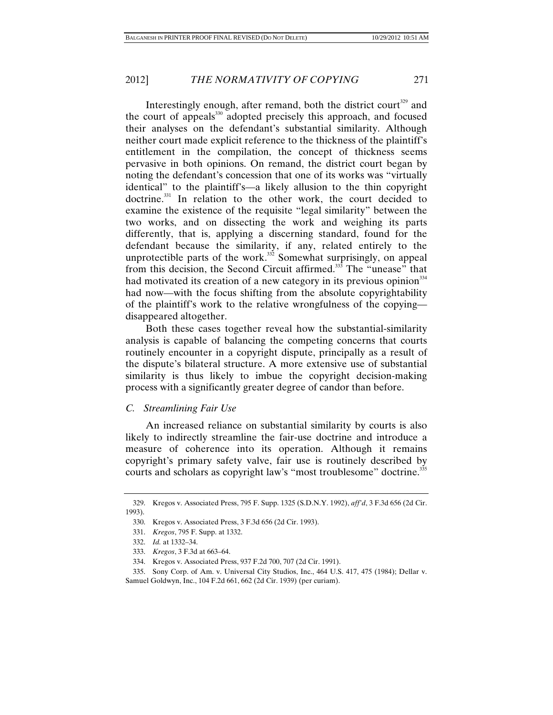Interestingly enough, after remand, both the district court<sup>329</sup> and the court of appeals<sup>330</sup> adopted precisely this approach, and focused their analyses on the defendant's substantial similarity. Although neither court made explicit reference to the thickness of the plaintiff's entitlement in the compilation, the concept of thickness seems pervasive in both opinions. On remand, the district court began by noting the defendant's concession that one of its works was "virtually identical" to the plaintiff's—a likely allusion to the thin copyright doctrine.<sup>331</sup> In relation to the other work, the court decided to examine the existence of the requisite "legal similarity" between the two works, and on dissecting the work and weighing its parts differently, that is, applying a discerning standard, found for the defendant because the similarity, if any, related entirely to the unprotectible parts of the work. $332$  Somewhat surprisingly, on appeal from this decision, the Second Circuit affirmed.<sup>335</sup> The "unease" that had motivated its creation of a new category in its previous opinion<sup>334</sup> had now—with the focus shifting from the absolute copyrightability of the plaintiff's work to the relative wrongfulness of the copying disappeared altogether.

Both these cases together reveal how the substantial-similarity analysis is capable of balancing the competing concerns that courts routinely encounter in a copyright dispute, principally as a result of the dispute's bilateral structure. A more extensive use of substantial similarity is thus likely to imbue the copyright decision-making process with a significantly greater degree of candor than before.

# *C. Streamlining Fair Use*

An increased reliance on substantial similarity by courts is also likely to indirectly streamline the fair-use doctrine and introduce a measure of coherence into its operation. Although it remains copyright's primary safety valve, fair use is routinely described by courts and scholars as copyright law's "most troublesome" doctrine.<sup>335</sup>

 <sup>329.</sup> Kregos v. Associated Press, 795 F. Supp. 1325 (S.D.N.Y. 1992), *aff'd*, 3 F.3d 656 (2d Cir. 1993).

 <sup>330.</sup> Kregos v. Associated Press, 3 F.3d 656 (2d Cir. 1993).

 <sup>331.</sup> *Kregos*, 795 F. Supp. at 1332.

 <sup>332.</sup> *Id.* at 1332–34.

 <sup>333.</sup> *Kregos*, 3 F.3d at 663–64.

 <sup>334.</sup> Kregos v. Associated Press, 937 F.2d 700, 707 (2d Cir. 1991).

 <sup>335.</sup> Sony Corp. of Am. v. Universal City Studios, Inc., 464 U.S. 417, 475 (1984); Dellar v. Samuel Goldwyn, Inc., 104 F.2d 661, 662 (2d Cir. 1939) (per curiam).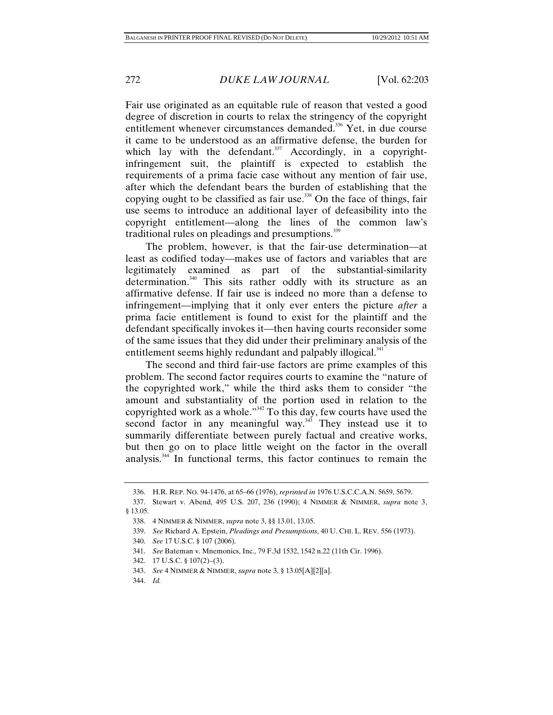Fair use originated as an equitable rule of reason that vested a good degree of discretion in courts to relax the stringency of the copyright entitlement whenever circumstances demanded.<sup>336</sup> Yet, in due course it came to be understood as an affirmative defense, the burden for which lay with the defendant. $337$  Accordingly, in a copyrightinfringement suit, the plaintiff is expected to establish the requirements of a prima facie case without any mention of fair use, after which the defendant bears the burden of establishing that the copying ought to be classified as fair use.<sup>338</sup> On the face of things, fair use seems to introduce an additional layer of defeasibility into the copyright entitlement—along the lines of the common law's traditional rules on pleadings and presumptions.<sup>339</sup>

The problem, however, is that the fair-use determination—at least as codified today—makes use of factors and variables that are legitimately examined as part of the substantial-similarity determination.<sup>340</sup> This sits rather oddly with its structure as an affirmative defense. If fair use is indeed no more than a defense to infringement—implying that it only ever enters the picture *after* a prima facie entitlement is found to exist for the plaintiff and the defendant specifically invokes it—then having courts reconsider some of the same issues that they did under their preliminary analysis of the entitlement seems highly redundant and palpably illogical.<sup>341</sup>

The second and third fair-use factors are prime examples of this problem. The second factor requires courts to examine the "nature of the copyrighted work," while the third asks them to consider "the amount and substantiality of the portion used in relation to the copyrighted work as a whole."342 To this day, few courts have used the second factor in any meaningful way. $343$  They instead use it to summarily differentiate between purely factual and creative works, but then go on to place little weight on the factor in the overall analysis.344 In functional terms, this factor continues to remain the

 <sup>336.</sup> H.R. REP. NO. 94-1476, at 65–66 (1976), *reprinted in* 1976 U.S.C.C.A.N. 5659, 5679.

 <sup>337.</sup> Stewart v. Abend, 495 U.S. 207, 236 (1990); 4 NIMMER & NIMMER, *supra* note 3, § 13.05.

 <sup>338. 4</sup> NIMMER & NIMMER, *supra* note 3, §§ 13.01, 13.05.

 <sup>339.</sup> *See* Richard A. Epstein, *Pleadings and Presumptions*, 40 U. CHI. L. REV. 556 (1973).

 <sup>340.</sup> *See* 17 U.S.C. § 107 (2006).

 <sup>341.</sup> *See* Bateman v. Mnemonics, Inc., 79 F.3d 1532, 1542 n.22 (11th Cir. 1996).

 <sup>342. 17</sup> U.S.C. § 107(2)–(3).

 <sup>343.</sup> *See* 4 NIMMER & NIMMER, *supra* note 3, § 13.05[A][2][a].

 <sup>344.</sup> *Id.*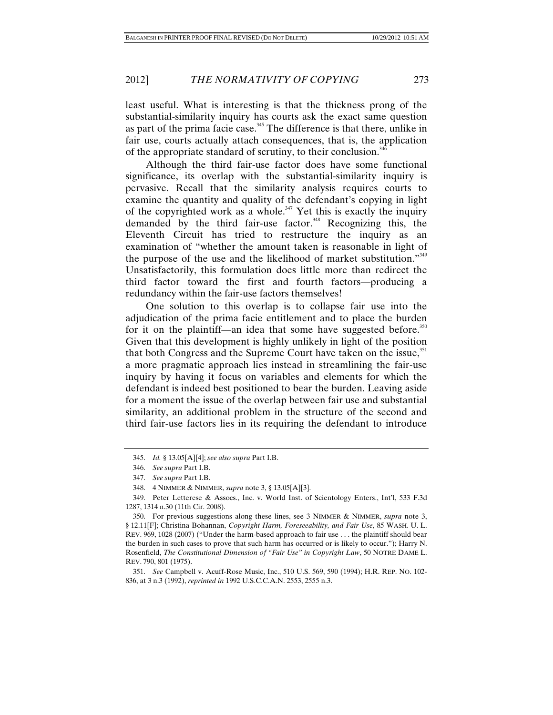least useful. What is interesting is that the thickness prong of the substantial-similarity inquiry has courts ask the exact same question as part of the prima facie case.<sup>345</sup> The difference is that there, unlike in fair use, courts actually attach consequences, that is, the application of the appropriate standard of scrutiny, to their conclusion.<sup>346</sup>

Although the third fair-use factor does have some functional significance, its overlap with the substantial-similarity inquiry is pervasive. Recall that the similarity analysis requires courts to examine the quantity and quality of the defendant's copying in light of the copyrighted work as a whole.<sup>347</sup> Yet this is exactly the inquiry demanded by the third fair-use factor.<sup>348</sup> Recognizing this, the Eleventh Circuit has tried to restructure the inquiry as an examination of "whether the amount taken is reasonable in light of the purpose of the use and the likelihood of market substitution."349 Unsatisfactorily, this formulation does little more than redirect the third factor toward the first and fourth factors—producing a redundancy within the fair-use factors themselves!

One solution to this overlap is to collapse fair use into the adjudication of the prima facie entitlement and to place the burden for it on the plaintiff—an idea that some have suggested before. $350$ Given that this development is highly unlikely in light of the position that both Congress and the Supreme Court have taken on the issue,<sup>351</sup> a more pragmatic approach lies instead in streamlining the fair-use inquiry by having it focus on variables and elements for which the defendant is indeed best positioned to bear the burden. Leaving aside for a moment the issue of the overlap between fair use and substantial similarity, an additional problem in the structure of the second and third fair-use factors lies in its requiring the defendant to introduce

 <sup>345.</sup> *Id.* § 13.05[A][4]; *see also supra* Part I.B.

 <sup>346.</sup> *See supra* Part I.B.

 <sup>347.</sup> *See supra* Part I.B.

 <sup>348. 4</sup> NIMMER & NIMMER, *supra* note 3, § 13.05[A][3].

 <sup>349.</sup> Peter Letterese & Assocs., Inc. v. World Inst. of Scientology Enters., Int'l, 533 F.3d 1287, 1314 n.30 (11th Cir. 2008).

 <sup>350.</sup> For previous suggestions along these lines, see 3 NIMMER & NIMMER, *supra* note 3, § 12.11[F]; Christina Bohannan, *Copyright Harm, Foreseeability, and Fair Use*, 85 WASH. U. L. REV. 969, 1028 (2007) ("Under the harm-based approach to fair use . . . the plaintiff should bear the burden in such cases to prove that such harm has occurred or is likely to occur."); Harry N. Rosenfield, *The Constitutional Dimension of "Fair Use" in Copyright Law*, 50 NOTRE DAME L. REV. 790, 801 (1975).

 <sup>351.</sup> *See* Campbell v. Acuff-Rose Music, Inc., 510 U.S. 569, 590 (1994); H.R. REP. NO. 102- 836, at 3 n.3 (1992), *reprinted in* 1992 U.S.C.C.A.N. 2553, 2555 n.3.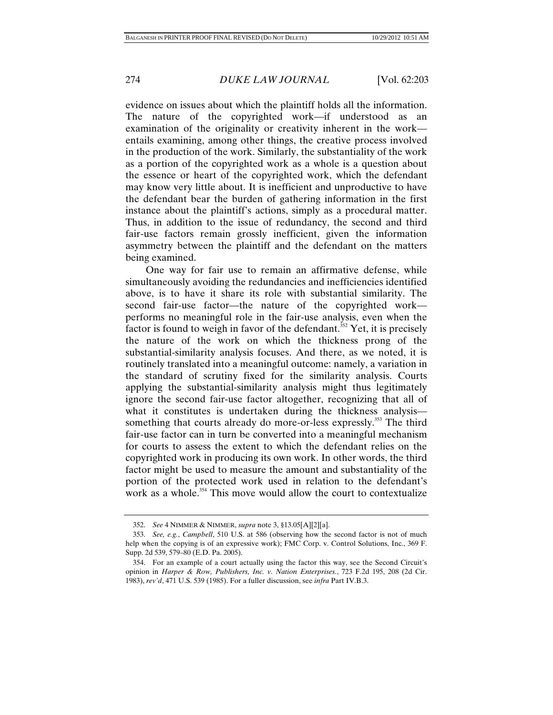evidence on issues about which the plaintiff holds all the information. The nature of the copyrighted work—if understood as an examination of the originality or creativity inherent in the work entails examining, among other things, the creative process involved in the production of the work. Similarly, the substantiality of the work as a portion of the copyrighted work as a whole is a question about the essence or heart of the copyrighted work, which the defendant may know very little about. It is inefficient and unproductive to have the defendant bear the burden of gathering information in the first instance about the plaintiff's actions, simply as a procedural matter. Thus, in addition to the issue of redundancy, the second and third fair-use factors remain grossly inefficient, given the information asymmetry between the plaintiff and the defendant on the matters being examined.

One way for fair use to remain an affirmative defense, while simultaneously avoiding the redundancies and inefficiencies identified above, is to have it share its role with substantial similarity. The second fair-use factor—the nature of the copyrighted work performs no meaningful role in the fair-use analysis, even when the factor is found to weigh in favor of the defendant.<sup>352</sup> Yet, it is precisely the nature of the work on which the thickness prong of the substantial-similarity analysis focuses. And there, as we noted, it is routinely translated into a meaningful outcome: namely, a variation in the standard of scrutiny fixed for the similarity analysis. Courts applying the substantial-similarity analysis might thus legitimately ignore the second fair-use factor altogether, recognizing that all of what it constitutes is undertaken during the thickness analysis something that courts already do more-or-less expressly.<sup>353</sup> The third fair-use factor can in turn be converted into a meaningful mechanism for courts to assess the extent to which the defendant relies on the copyrighted work in producing its own work. In other words, the third factor might be used to measure the amount and substantiality of the portion of the protected work used in relation to the defendant's work as a whole.<sup>354</sup> This move would allow the court to contextualize

 <sup>352.</sup> *See* 4 NIMMER & NIMMER, *supra* note 3, §13.05[A][2][a].

 <sup>353.</sup> *See, e.g.*, *Campbell*, 510 U.S. at 586 (observing how the second factor is not of much help when the copying is of an expressive work); FMC Corp. v. Control Solutions, Inc., 369 F. Supp. 2d 539, 579–80 (E.D. Pa. 2005).

 <sup>354.</sup> For an example of a court actually using the factor this way, see the Second Circuit's opinion in *Harper & Row, Publishers, Inc. v. Nation Enterprises.*, 723 F.2d 195, 208 (2d Cir. 1983), *rev'd*, 471 U.S. 539 (1985). For a fuller discussion, see *infra* Part IV.B.3.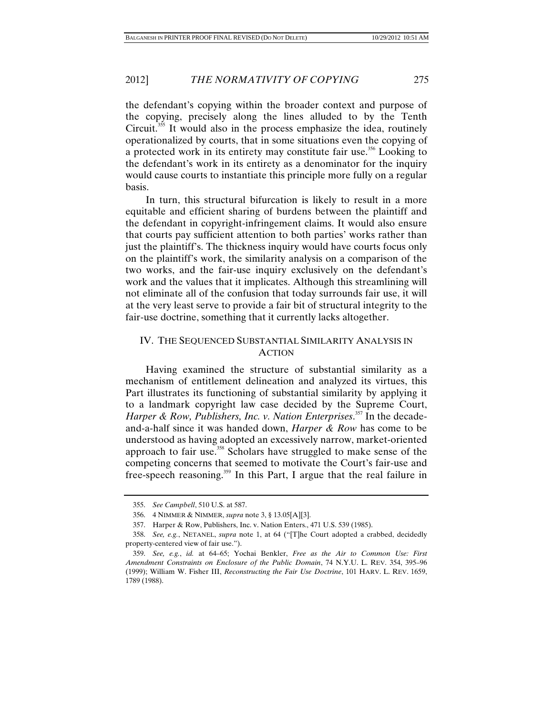2012] *THE NORMATIVITY OF COPYING* 275

the defendant's copying within the broader context and purpose of the copying, precisely along the lines alluded to by the Tenth Circuit.<sup>355</sup> It would also in the process emphasize the idea, routinely operationalized by courts, that in some situations even the copying of a protected work in its entirety may constitute fair use.<sup>356</sup> Looking to the defendant's work in its entirety as a denominator for the inquiry would cause courts to instantiate this principle more fully on a regular basis.

In turn, this structural bifurcation is likely to result in a more equitable and efficient sharing of burdens between the plaintiff and the defendant in copyright-infringement claims. It would also ensure that courts pay sufficient attention to both parties' works rather than just the plaintiff's. The thickness inquiry would have courts focus only on the plaintiff's work, the similarity analysis on a comparison of the two works, and the fair-use inquiry exclusively on the defendant's work and the values that it implicates. Although this streamlining will not eliminate all of the confusion that today surrounds fair use, it will at the very least serve to provide a fair bit of structural integrity to the fair-use doctrine, something that it currently lacks altogether.

## IV. THE SEQUENCED SUBSTANTIAL SIMILARITY ANALYSIS IN ACTION

Having examined the structure of substantial similarity as a mechanism of entitlement delineation and analyzed its virtues, this Part illustrates its functioning of substantial similarity by applying it to a landmark copyright law case decided by the Supreme Court, Harper & Row, Publishers, Inc. v. Nation Enterprises.<sup>357</sup> In the decadeand-a-half since it was handed down, *Harper & Row* has come to be understood as having adopted an excessively narrow, market-oriented approach to fair use.<sup>358</sup> Scholars have struggled to make sense of the competing concerns that seemed to motivate the Court's fair-use and free-speech reasoning.359 In this Part, I argue that the real failure in

 <sup>355.</sup> *See Campbell*, 510 U.S. at 587.

 <sup>356. 4</sup> NIMMER & NIMMER, *supra* note 3, § 13.05[A][3].

 <sup>357.</sup> Harper & Row, Publishers, Inc. v. Nation Enters., 471 U.S. 539 (1985).

 <sup>358.</sup> *See, e.g.*, NETANEL, *supra* note 1, at 64 ("[T]he Court adopted a crabbed, decidedly property-centered view of fair use.").

 <sup>359.</sup> *See, e.g.*, *id.* at 64–65; Yochai Benkler, *Free as the Air to Common Use: First Amendment Constraints on Enclosure of the Public Domain*, 74 N.Y.U. L. REV. 354, 395–96 (1999); William W. Fisher III, *Reconstructing the Fair Use Doctrine*, 101 HARV. L. REV. 1659, 1789 (1988).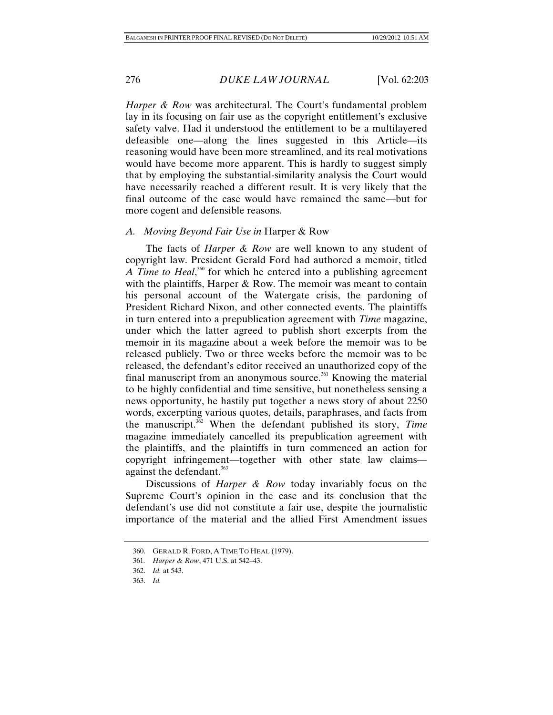*Harper & Row* was architectural. The Court's fundamental problem lay in its focusing on fair use as the copyright entitlement's exclusive safety valve. Had it understood the entitlement to be a multilayered defeasible one—along the lines suggested in this Article—its reasoning would have been more streamlined, and its real motivations would have become more apparent. This is hardly to suggest simply that by employing the substantial-similarity analysis the Court would have necessarily reached a different result. It is very likely that the final outcome of the case would have remained the same—but for more cogent and defensible reasons.

## *A. Moving Beyond Fair Use in* Harper & Row

The facts of *Harper & Row* are well known to any student of copyright law. President Gerald Ford had authored a memoir, titled A Time to Heal,<sup>360</sup> for which he entered into a publishing agreement with the plaintiffs, Harper & Row. The memoir was meant to contain his personal account of the Watergate crisis, the pardoning of President Richard Nixon, and other connected events. The plaintiffs in turn entered into a prepublication agreement with *Time* magazine, under which the latter agreed to publish short excerpts from the memoir in its magazine about a week before the memoir was to be released publicly. Two or three weeks before the memoir was to be released, the defendant's editor received an unauthorized copy of the final manuscript from an anonymous source.<sup>361</sup> Knowing the material to be highly confidential and time sensitive, but nonetheless sensing a news opportunity, he hastily put together a news story of about 2250 words, excerpting various quotes, details, paraphrases, and facts from the manuscript.362 When the defendant published its story, *Time* magazine immediately cancelled its prepublication agreement with the plaintiffs, and the plaintiffs in turn commenced an action for copyright infringement—together with other state law claims against the defendant.<sup>363</sup>

Discussions of *Harper & Row* today invariably focus on the Supreme Court's opinion in the case and its conclusion that the defendant's use did not constitute a fair use, despite the journalistic importance of the material and the allied First Amendment issues

 <sup>360.</sup> GERALD R. FORD, A TIME TO HEAL (1979).

<sup>361</sup>*. Harper & Row*, 471 U.S. at 542–43.

 <sup>362.</sup> *Id.* at 543.

 <sup>363.</sup> *Id.*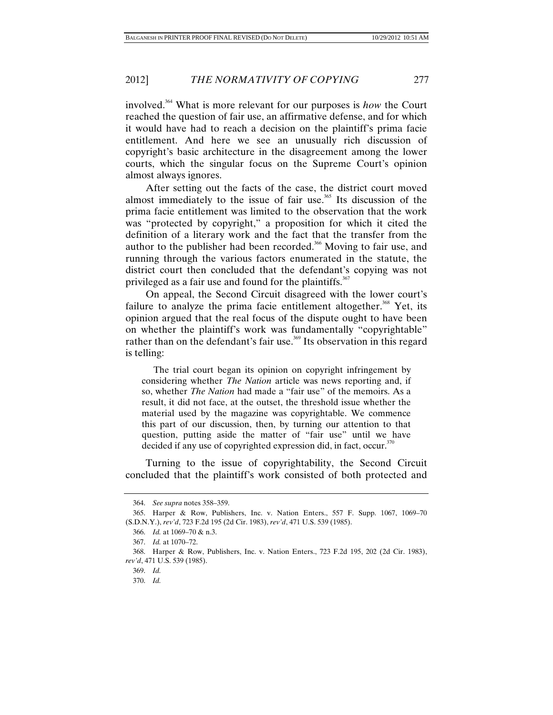involved.364 What is more relevant for our purposes is *how* the Court reached the question of fair use, an affirmative defense, and for which it would have had to reach a decision on the plaintiff's prima facie entitlement. And here we see an unusually rich discussion of copyright's basic architecture in the disagreement among the lower courts, which the singular focus on the Supreme Court's opinion almost always ignores.

After setting out the facts of the case, the district court moved almost immediately to the issue of fair use.<sup>365</sup> Its discussion of the prima facie entitlement was limited to the observation that the work was "protected by copyright," a proposition for which it cited the definition of a literary work and the fact that the transfer from the author to the publisher had been recorded.<sup>366</sup> Moving to fair use, and running through the various factors enumerated in the statute, the district court then concluded that the defendant's copying was not privileged as a fair use and found for the plaintiffs.<sup>367</sup>

On appeal, the Second Circuit disagreed with the lower court's failure to analyze the prima facie entitlement altogether.<sup>368</sup> Yet, its opinion argued that the real focus of the dispute ought to have been on whether the plaintiff's work was fundamentally "copyrightable" rather than on the defendant's fair use.<sup>369</sup> Its observation in this regard is telling:

 The trial court began its opinion on copyright infringement by considering whether *The Nation* article was news reporting and, if so, whether *The Nation* had made a "fair use" of the memoirs. As a result, it did not face, at the outset, the threshold issue whether the material used by the magazine was copyrightable. We commence this part of our discussion, then, by turning our attention to that question, putting aside the matter of "fair use" until we have decided if any use of copyrighted expression did, in fact, occur. $370$ 

Turning to the issue of copyrightability, the Second Circuit concluded that the plaintiff's work consisted of both protected and

 <sup>364.</sup> *See supra* notes 358–359.

 <sup>365.</sup> Harper & Row, Publishers, Inc. v. Nation Enters., 557 F. Supp. 1067, 1069–70 (S.D.N.Y.), *rev'd*, 723 F.2d 195 (2d Cir. 1983), *rev'd*, 471 U.S. 539 (1985).

 <sup>366.</sup> *Id.* at 1069–70 & n.3.

 <sup>367.</sup> *Id.* at 1070–72.

 <sup>368.</sup> Harper & Row, Publishers, Inc. v. Nation Enters., 723 F.2d 195, 202 (2d Cir. 1983), *rev'd*, 471 U.S. 539 (1985).

 <sup>369.</sup> *Id.* 

 <sup>370.</sup> *Id.*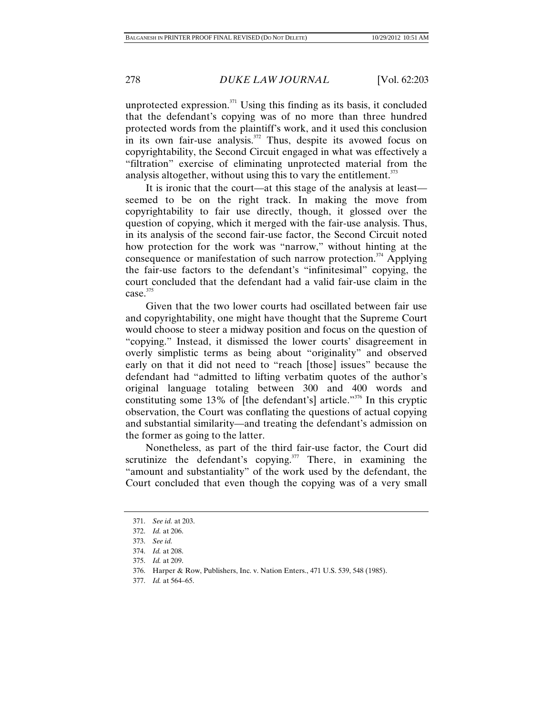unprotected expression. $371$  Using this finding as its basis, it concluded that the defendant's copying was of no more than three hundred protected words from the plaintiff's work, and it used this conclusion in its own fair-use analysis. $372$  Thus, despite its avowed focus on copyrightability, the Second Circuit engaged in what was effectively a "filtration" exercise of eliminating unprotected material from the analysis altogether, without using this to vary the entitlement. $373$ 

It is ironic that the court—at this stage of the analysis at least seemed to be on the right track. In making the move from copyrightability to fair use directly, though, it glossed over the question of copying, which it merged with the fair-use analysis. Thus, in its analysis of the second fair-use factor, the Second Circuit noted how protection for the work was "narrow," without hinting at the consequence or manifestation of such narrow protection.<sup>374</sup> Applying the fair-use factors to the defendant's "infinitesimal" copying, the court concluded that the defendant had a valid fair-use claim in the  $case.<sup>375</sup>$ 

Given that the two lower courts had oscillated between fair use and copyrightability, one might have thought that the Supreme Court would choose to steer a midway position and focus on the question of "copying." Instead, it dismissed the lower courts' disagreement in overly simplistic terms as being about "originality" and observed early on that it did not need to "reach [those] issues" because the defendant had "admitted to lifting verbatim quotes of the author's original language totaling between 300 and 400 words and constituting some 13% of [the defendant's] article."<sup>376</sup> In this cryptic observation, the Court was conflating the questions of actual copying and substantial similarity—and treating the defendant's admission on the former as going to the latter.

Nonetheless, as part of the third fair-use factor, the Court did scrutinize the defendant's copying. $377$  There, in examining the "amount and substantiality" of the work used by the defendant, the Court concluded that even though the copying was of a very small

 <sup>371.</sup> *See id.* at 203.

 <sup>372.</sup> *Id.* at 206.

 <sup>373.</sup> *See id.*

 <sup>374.</sup> *Id.* at 208.

 <sup>375.</sup> *Id.* at 209.

 <sup>376.</sup> Harper & Row, Publishers, Inc. v. Nation Enters., 471 U.S. 539, 548 (1985).

 <sup>377.</sup> *Id.* at 564–65.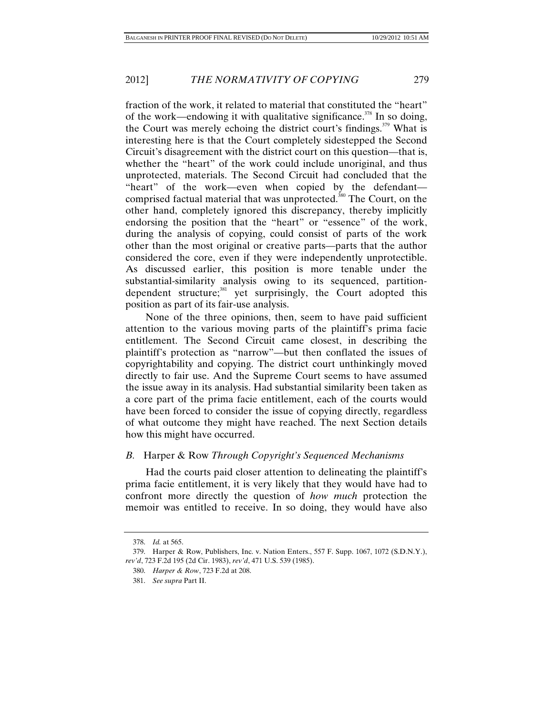fraction of the work, it related to material that constituted the "heart" of the work—endowing it with qualitative significance.<sup>378</sup> In so doing, the Court was merely echoing the district court's findings.<sup> $379$ </sup> What is interesting here is that the Court completely sidestepped the Second Circuit's disagreement with the district court on this question—that is, whether the "heart" of the work could include unoriginal, and thus unprotected, materials. The Second Circuit had concluded that the "heart" of the work—even when copied by the defendant comprised factual material that was unprotected.<sup>380</sup> The Court, on the other hand, completely ignored this discrepancy, thereby implicitly endorsing the position that the "heart" or "essence" of the work, during the analysis of copying, could consist of parts of the work other than the most original or creative parts—parts that the author considered the core, even if they were independently unprotectible. As discussed earlier, this position is more tenable under the substantial-similarity analysis owing to its sequenced, partitiondependent structure;<sup>381</sup> yet surprisingly, the Court adopted this position as part of its fair-use analysis.

None of the three opinions, then, seem to have paid sufficient attention to the various moving parts of the plaintiff's prima facie entitlement. The Second Circuit came closest, in describing the plaintiff's protection as "narrow"—but then conflated the issues of copyrightability and copying. The district court unthinkingly moved directly to fair use. And the Supreme Court seems to have assumed the issue away in its analysis. Had substantial similarity been taken as a core part of the prima facie entitlement, each of the courts would have been forced to consider the issue of copying directly, regardless of what outcome they might have reached. The next Section details how this might have occurred.

## *B.* Harper & Row *Through Copyright's Sequenced Mechanisms*

Had the courts paid closer attention to delineating the plaintiff's prima facie entitlement, it is very likely that they would have had to confront more directly the question of *how much* protection the memoir was entitled to receive. In so doing, they would have also

 <sup>378.</sup> *Id.* at 565.

 <sup>379.</sup> Harper & Row, Publishers, Inc. v. Nation Enters., 557 F. Supp. 1067, 1072 (S.D.N.Y.), *rev'd*, 723 F.2d 195 (2d Cir. 1983), *rev'd*, 471 U.S. 539 (1985).

 <sup>380.</sup> *Harper & Row*, 723 F.2d at 208.

 <sup>381.</sup> *See supra* Part II.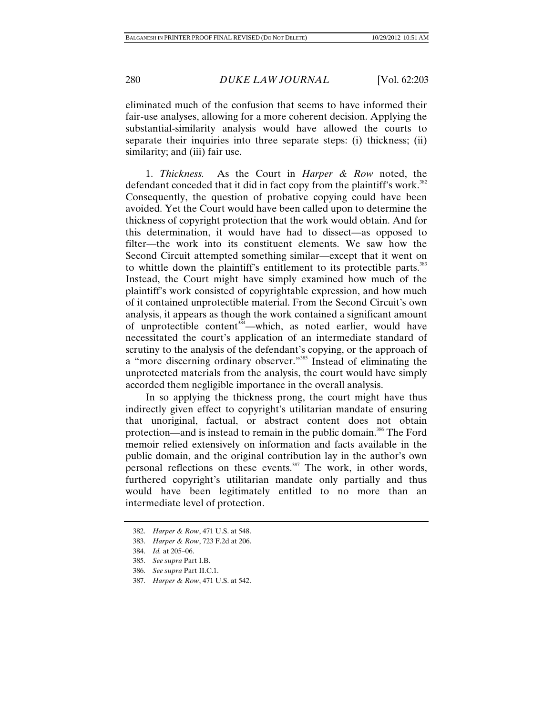eliminated much of the confusion that seems to have informed their fair-use analyses, allowing for a more coherent decision. Applying the substantial-similarity analysis would have allowed the courts to separate their inquiries into three separate steps: (i) thickness; (ii) similarity; and (iii) fair use.

1. *Thickness.* As the Court in *Harper & Row* noted, the defendant conceded that it did in fact copy from the plaintiff's work.<sup>382</sup> Consequently, the question of probative copying could have been avoided. Yet the Court would have been called upon to determine the thickness of copyright protection that the work would obtain. And for this determination, it would have had to dissect—as opposed to filter—the work into its constituent elements. We saw how the Second Circuit attempted something similar—except that it went on to whittle down the plaintiff's entitlement to its protectible parts.<sup>383</sup> Instead, the Court might have simply examined how much of the plaintiff's work consisted of copyrightable expression, and how much of it contained unprotectible material. From the Second Circuit's own analysis, it appears as though the work contained a significant amount of unprotectible content<sup>384</sup>—which, as noted earlier, would have necessitated the court's application of an intermediate standard of scrutiny to the analysis of the defendant's copying, or the approach of a "more discerning ordinary observer."385 Instead of eliminating the unprotected materials from the analysis, the court would have simply accorded them negligible importance in the overall analysis.

In so applying the thickness prong, the court might have thus indirectly given effect to copyright's utilitarian mandate of ensuring that unoriginal, factual, or abstract content does not obtain protection—and is instead to remain in the public domain.<sup>386</sup> The Ford memoir relied extensively on information and facts available in the public domain, and the original contribution lay in the author's own personal reflections on these events.<sup>387</sup> The work, in other words, furthered copyright's utilitarian mandate only partially and thus would have been legitimately entitled to no more than an intermediate level of protection.

 <sup>382.</sup> *Harper & Row*, 471 U.S. at 548.

 <sup>383.</sup> *Harper & Row*, 723 F.2d at 206.

 <sup>384.</sup> *Id.* at 205–06.

 <sup>385.</sup> *See supra* Part I.B.

 <sup>386.</sup> *See supra* Part II.C.1.

 <sup>387.</sup> *Harper & Row*, 471 U.S. at 542.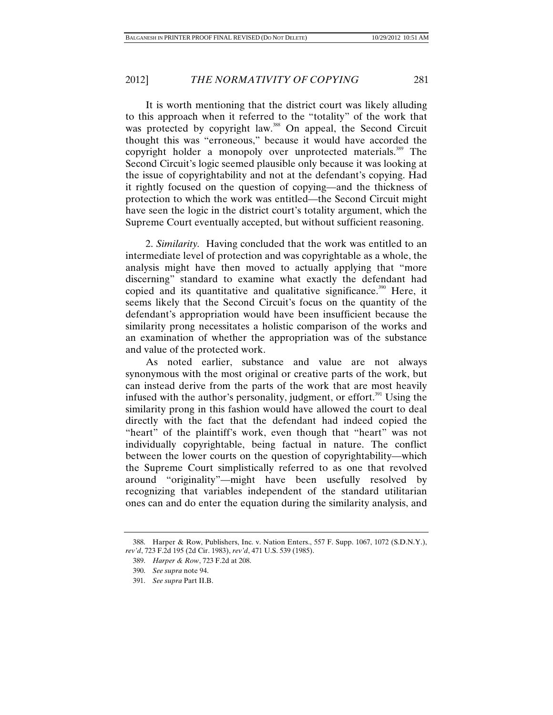It is worth mentioning that the district court was likely alluding to this approach when it referred to the "totality" of the work that was protected by copyright law.<sup>388</sup> On appeal, the Second Circuit thought this was "erroneous," because it would have accorded the copyright holder a monopoly over unprotected materials.<sup>389</sup> The Second Circuit's logic seemed plausible only because it was looking at the issue of copyrightability and not at the defendant's copying. Had it rightly focused on the question of copying—and the thickness of protection to which the work was entitled—the Second Circuit might have seen the logic in the district court's totality argument, which the Supreme Court eventually accepted, but without sufficient reasoning.

2. *Similarity.* Having concluded that the work was entitled to an intermediate level of protection and was copyrightable as a whole, the analysis might have then moved to actually applying that "more discerning" standard to examine what exactly the defendant had copied and its quantitative and qualitative significance.<sup>390</sup> Here, it seems likely that the Second Circuit's focus on the quantity of the defendant's appropriation would have been insufficient because the similarity prong necessitates a holistic comparison of the works and an examination of whether the appropriation was of the substance and value of the protected work.

As noted earlier, substance and value are not always synonymous with the most original or creative parts of the work, but can instead derive from the parts of the work that are most heavily infused with the author's personality, judgment, or effort.<sup> $391$ </sup> Using the similarity prong in this fashion would have allowed the court to deal directly with the fact that the defendant had indeed copied the "heart" of the plaintiff's work, even though that "heart" was not individually copyrightable, being factual in nature. The conflict between the lower courts on the question of copyrightability—which the Supreme Court simplistically referred to as one that revolved around "originality"—might have been usefully resolved by recognizing that variables independent of the standard utilitarian ones can and do enter the equation during the similarity analysis, and

 <sup>388.</sup> Harper & Row, Publishers, Inc. v. Nation Enters., 557 F. Supp. 1067, 1072 (S.D.N.Y.), *rev'd*, 723 F.2d 195 (2d Cir. 1983), *rev'd*, 471 U.S. 539 (1985).

 <sup>389.</sup> *Harper & Row*, 723 F.2d at 208.

 <sup>390.</sup> *See supra* note 94.

 <sup>391.</sup> *See supra* Part II.B.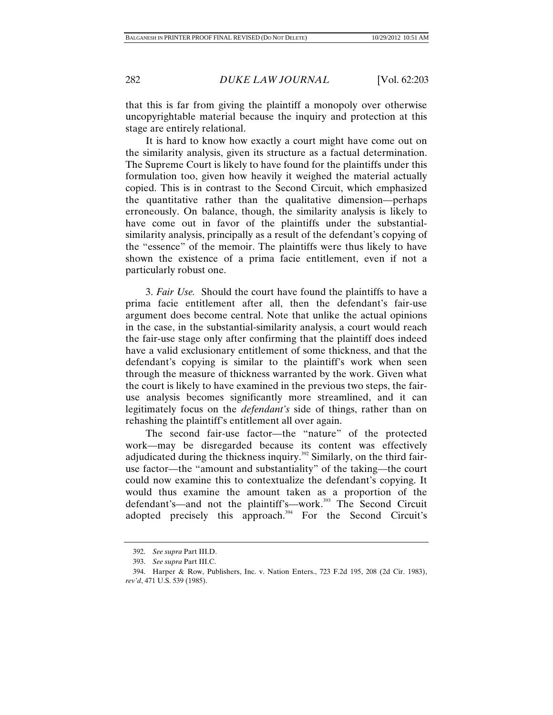that this is far from giving the plaintiff a monopoly over otherwise uncopyrightable material because the inquiry and protection at this stage are entirely relational.

It is hard to know how exactly a court might have come out on the similarity analysis, given its structure as a factual determination. The Supreme Court is likely to have found for the plaintiffs under this formulation too, given how heavily it weighed the material actually copied. This is in contrast to the Second Circuit, which emphasized the quantitative rather than the qualitative dimension—perhaps erroneously. On balance, though, the similarity analysis is likely to have come out in favor of the plaintiffs under the substantialsimilarity analysis, principally as a result of the defendant's copying of the "essence" of the memoir. The plaintiffs were thus likely to have shown the existence of a prima facie entitlement, even if not a particularly robust one.

3. *Fair Use.* Should the court have found the plaintiffs to have a prima facie entitlement after all, then the defendant's fair-use argument does become central. Note that unlike the actual opinions in the case, in the substantial-similarity analysis, a court would reach the fair-use stage only after confirming that the plaintiff does indeed have a valid exclusionary entitlement of some thickness, and that the defendant's copying is similar to the plaintiff's work when seen through the measure of thickness warranted by the work. Given what the court is likely to have examined in the previous two steps, the fairuse analysis becomes significantly more streamlined, and it can legitimately focus on the *defendant's* side of things, rather than on rehashing the plaintiff's entitlement all over again.

The second fair-use factor—the "nature" of the protected work—may be disregarded because its content was effectively adjudicated during the thickness inquiry.<sup>392</sup> Similarly, on the third fairuse factor—the "amount and substantiality" of the taking—the court could now examine this to contextualize the defendant's copying. It would thus examine the amount taken as a proportion of the defendant's—and not the plaintiff's—work.<sup>393</sup> The Second Circuit adopted precisely this approach.<sup>394</sup> For the Second Circuit's

 <sup>392.</sup> *See supra* Part III.D.

 <sup>393.</sup> *See supra* Part III.C.

 <sup>394.</sup> Harper & Row, Publishers, Inc. v. Nation Enters., 723 F.2d 195, 208 (2d Cir. 1983), *rev'd*, 471 U.S. 539 (1985).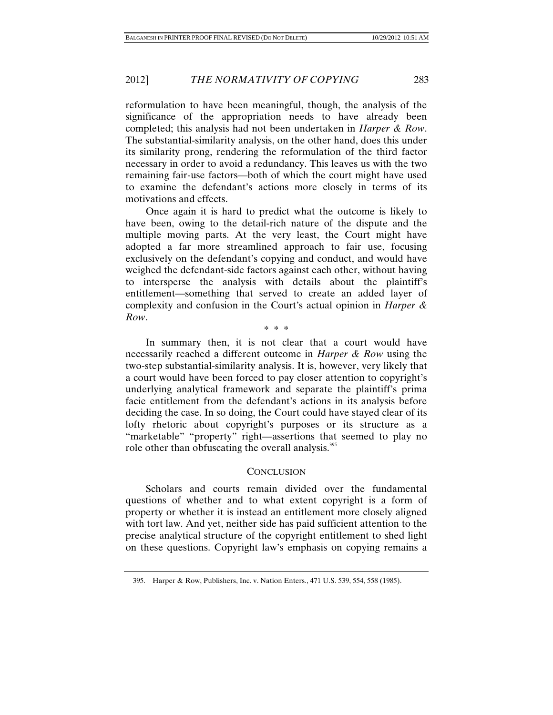reformulation to have been meaningful, though, the analysis of the significance of the appropriation needs to have already been completed; this analysis had not been undertaken in *Harper & Row*. The substantial-similarity analysis, on the other hand, does this under its similarity prong, rendering the reformulation of the third factor necessary in order to avoid a redundancy. This leaves us with the two remaining fair-use factors—both of which the court might have used to examine the defendant's actions more closely in terms of its motivations and effects.

Once again it is hard to predict what the outcome is likely to have been, owing to the detail-rich nature of the dispute and the multiple moving parts. At the very least, the Court might have adopted a far more streamlined approach to fair use, focusing exclusively on the defendant's copying and conduct, and would have weighed the defendant-side factors against each other, without having to intersperse the analysis with details about the plaintiff's entitlement—something that served to create an added layer of complexity and confusion in the Court's actual opinion in *Harper & Row*.

\* \* \*

In summary then, it is not clear that a court would have necessarily reached a different outcome in *Harper & Row* using the two-step substantial-similarity analysis. It is, however, very likely that a court would have been forced to pay closer attention to copyright's underlying analytical framework and separate the plaintiff's prima facie entitlement from the defendant's actions in its analysis before deciding the case. In so doing, the Court could have stayed clear of its lofty rhetoric about copyright's purposes or its structure as a "marketable" "property" right—assertions that seemed to play no role other than obfuscating the overall analysis.<sup>395</sup>

## **CONCLUSION**

Scholars and courts remain divided over the fundamental questions of whether and to what extent copyright is a form of property or whether it is instead an entitlement more closely aligned with tort law. And yet, neither side has paid sufficient attention to the precise analytical structure of the copyright entitlement to shed light on these questions. Copyright law's emphasis on copying remains a

 <sup>395.</sup> Harper & Row, Publishers, Inc. v. Nation Enters., 471 U.S. 539, 554, 558 (1985).